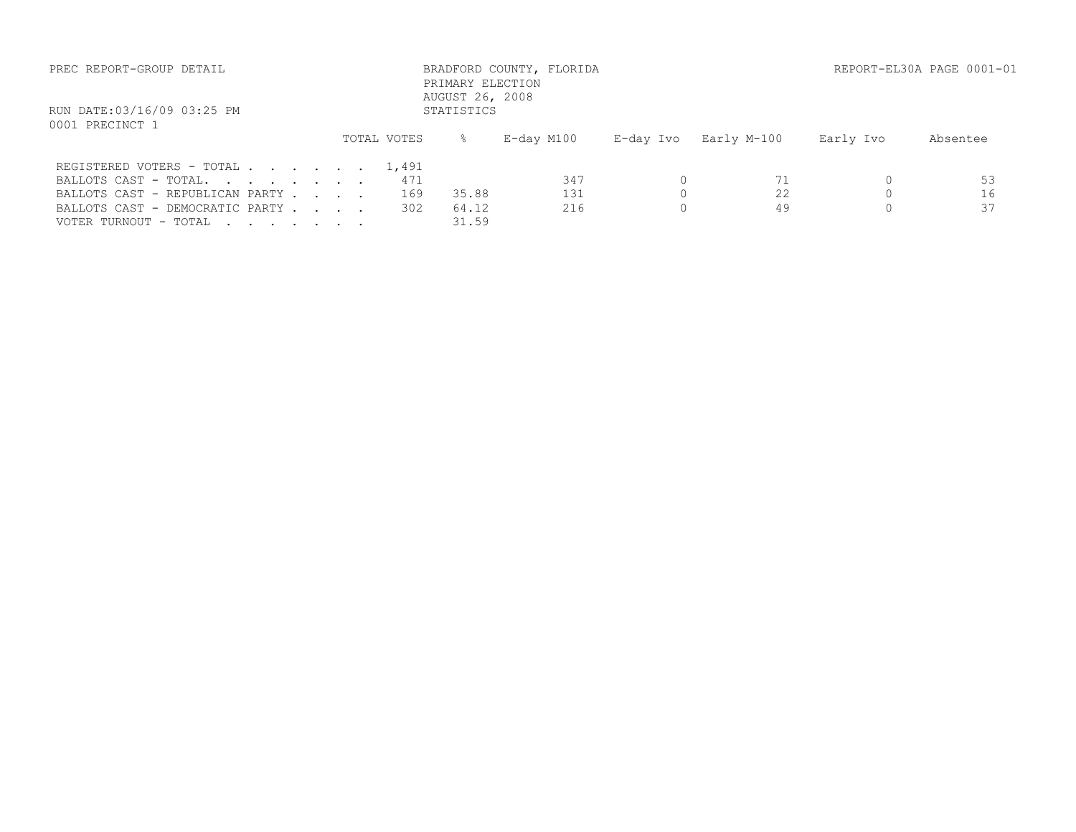| PREC REPORT-GROUP DETAIL                      |  |             | PRIMARY ELECTION              | BRADFORD COUNTY, FLORIDA |           |             |           | REPORT-EL30A PAGE 0001-01 |
|-----------------------------------------------|--|-------------|-------------------------------|--------------------------|-----------|-------------|-----------|---------------------------|
| RUN DATE:03/16/09 03:25 PM<br>0001 PRECINCT 1 |  |             | AUGUST 26, 2008<br>STATISTICS |                          |           |             |           |                           |
|                                               |  | TOTAL VOTES | $\approx$                     | E-day M100               | E-day Ivo | Early M-100 | Early Ivo | Absentee                  |
| REGISTERED VOTERS - TOTAL 1,491               |  |             |                               |                          |           |             |           |                           |
| BALLOTS CAST - TOTAL.                         |  | 471         |                               | 347                      |           |             |           | 53                        |
| BALLOTS CAST - REPUBLICAN PARTY               |  | 169         | 35.88                         | 131                      |           | 22          |           | 16                        |
| BALLOTS CAST - DEMOCRATIC PARTY               |  | 302         | 64.12                         | 216                      |           | 49          |           | 37                        |
| VOTER TURNOUT - TOTAL                         |  |             | 31.59                         |                          |           |             |           |                           |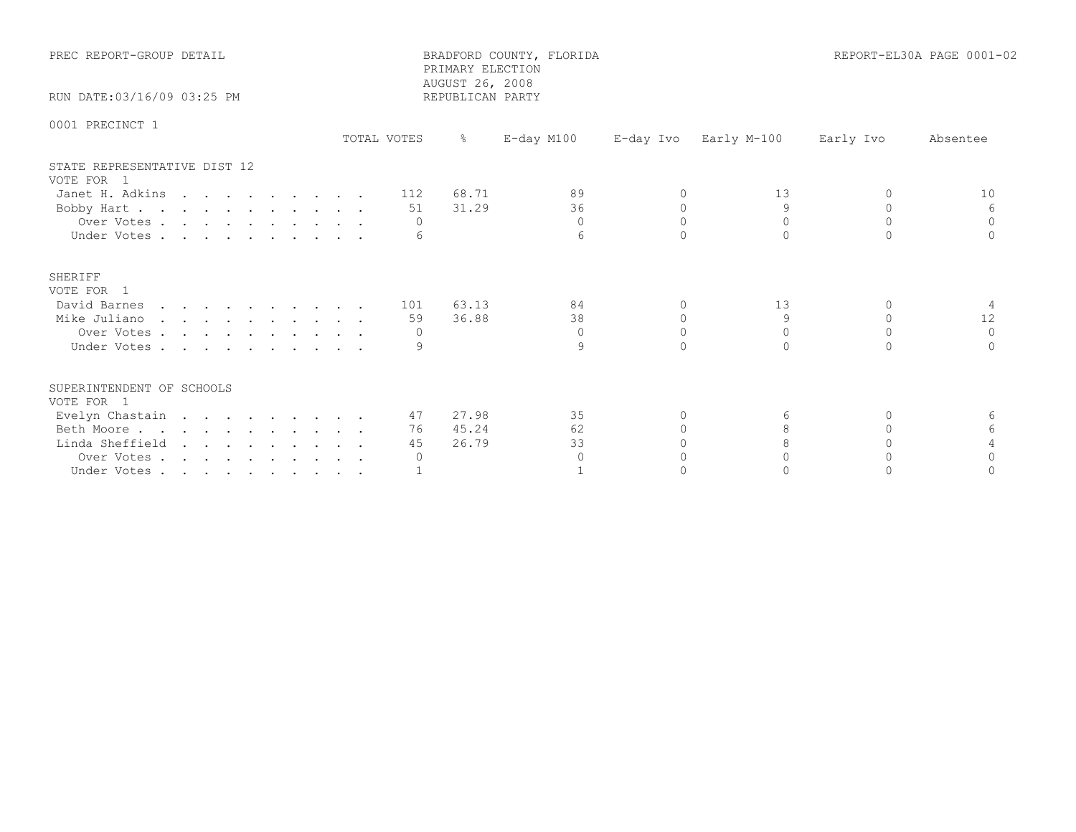| PREC REPORT-GROUP DETAIL                   |             | PRIMARY ELECTION<br>AUGUST 26, 2008 | BRADFORD COUNTY, FLORIDA |           |             |              | REPORT-EL30A PAGE 0001-02 |
|--------------------------------------------|-------------|-------------------------------------|--------------------------|-----------|-------------|--------------|---------------------------|
| RUN DATE: 03/16/09 03:25 PM                |             | REPUBLICAN PARTY                    |                          |           |             |              |                           |
| 0001 PRECINCT 1                            | TOTAL VOTES | $\frac{8}{6}$                       | E-day M100               | E-day Ivo | Early M-100 | Early Ivo    | Absentee                  |
| STATE REPRESENTATIVE DIST 12<br>VOTE FOR 1 |             |                                     |                          |           |             |              |                           |
| Janet H. Adkins                            | 112         | 68.71                               | 89                       | $\Omega$  | 13          | $\Omega$     | 10                        |
| Bobby Hart                                 | 51          | 31.29                               | 36                       | $\Omega$  | 9           | $\Omega$     | 6                         |
| Over Votes                                 | $\Omega$    |                                     | $\Omega$                 | $\Omega$  | $\Omega$    | $\Omega$     | $\Omega$                  |
| Under Votes                                |             |                                     | 6                        | $\cap$    | $\cap$      | $\cap$       |                           |
| SHERIFF<br>VOTE FOR 1                      |             |                                     |                          |           |             |              |                           |
| David Barnes                               | 101         | 63.13                               | 84                       | $\Omega$  | 13          | $\Omega$     |                           |
| Mike Juliano                               | 59          | 36.88                               | 38                       | $\circ$   | 9           | $\mathbf{0}$ | 12                        |
| Over Votes                                 | $\Omega$    |                                     | $\Omega$                 | $\Omega$  | $\Omega$    | $\Omega$     | $\Omega$                  |
| Under Votes                                |             |                                     | 9                        | $\cap$    | $\bigcap$   | $\cap$       |                           |
| SUPERINTENDENT OF SCHOOLS<br>VOTE FOR 1    |             |                                     |                          |           |             |              |                           |
| Evelyn Chastain                            | 47          | 27.98                               | 35                       | $\Omega$  | 6           | $\Omega$     | 6                         |
| Beth Moore.                                | 76          | 45.24                               | 62                       | $\bigcap$ | 8           | $\cap$       |                           |
| Linda Sheffield                            | 45          | 26.79                               | 33                       |           |             |              |                           |
| Over Votes                                 | $\Omega$    |                                     | $\Omega$                 |           | U           | $\cap$       |                           |
| Under Votes                                |             |                                     |                          |           |             |              |                           |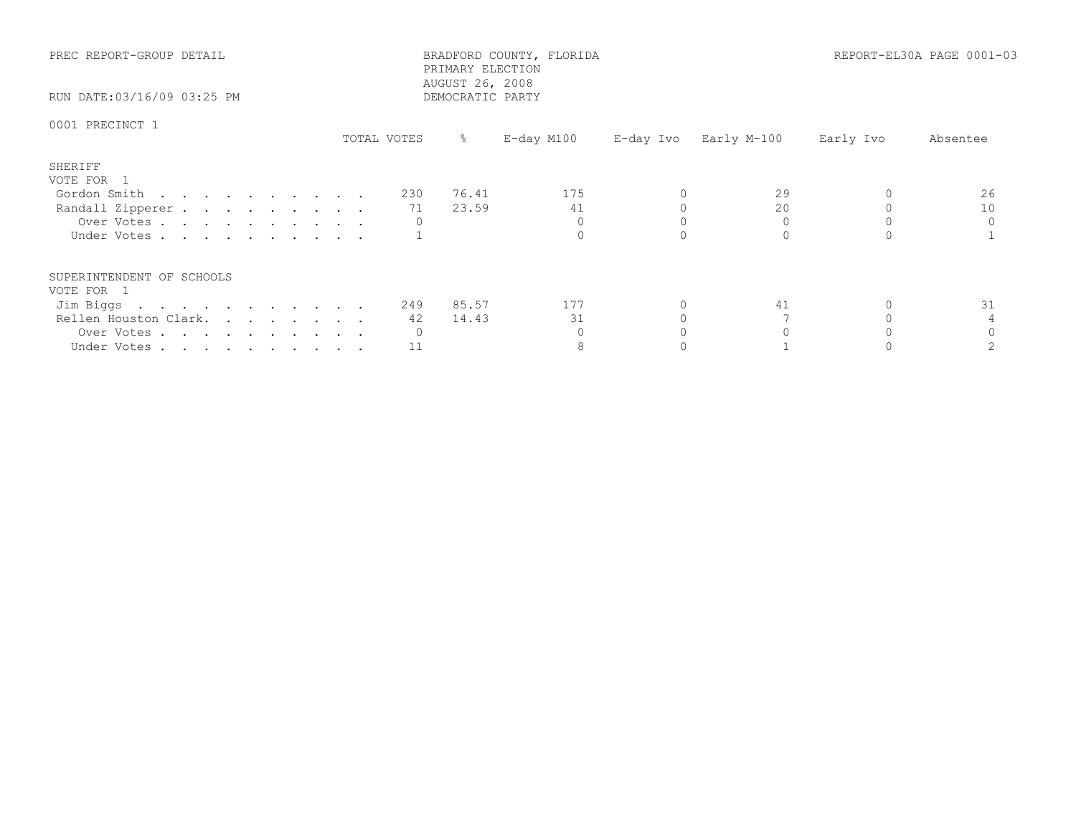| PREC REPORT-GROUP DETAIL<br>RUN DATE:03/16/09 03:25 PM |             |     | PRIMARY ELECTION<br>AUGUST 26, 2008<br>DEMOCRATIC PARTY | BRADFORD COUNTY, FLORIDA |  |                       | REPORT-EL30A PAGE 0001-03 |          |
|--------------------------------------------------------|-------------|-----|---------------------------------------------------------|--------------------------|--|-----------------------|---------------------------|----------|
| 0001 PRECINCT 1                                        | TOTAL VOTES |     | $\frac{8}{6}$                                           | E-day M100               |  | E-day Ivo Early M-100 | Early Ivo                 | Absentee |
| SHERIFF<br>VOTE FOR 1                                  |             |     |                                                         |                          |  |                       |                           |          |
| Gordon Smith                                           |             | 230 | 76.41                                                   | 175                      |  | 29                    |                           | 26       |
| Randall Zipperer                                       |             | 71  | 23.59                                                   | 41                       |  | 20                    |                           | 10       |
| Over Votes                                             |             |     |                                                         |                          |  |                       |                           |          |
| Under Votes                                            |             |     |                                                         |                          |  |                       |                           |          |
| SUPERINTENDENT OF SCHOOLS                              |             |     |                                                         |                          |  |                       |                           |          |
| VOTE FOR 1                                             |             |     | 249 85.57                                               | 177                      |  | 41                    |                           | 31       |
| Jim Biggs<br>Rellen Houston Clark.                     |             | 42  | 14.43                                                   | 31                       |  |                       |                           |          |
|                                                        |             |     |                                                         |                          |  |                       |                           |          |
| Over Votes                                             |             |     |                                                         | 8                        |  |                       |                           |          |
| Under Votes                                            |             | 11  |                                                         |                          |  |                       |                           |          |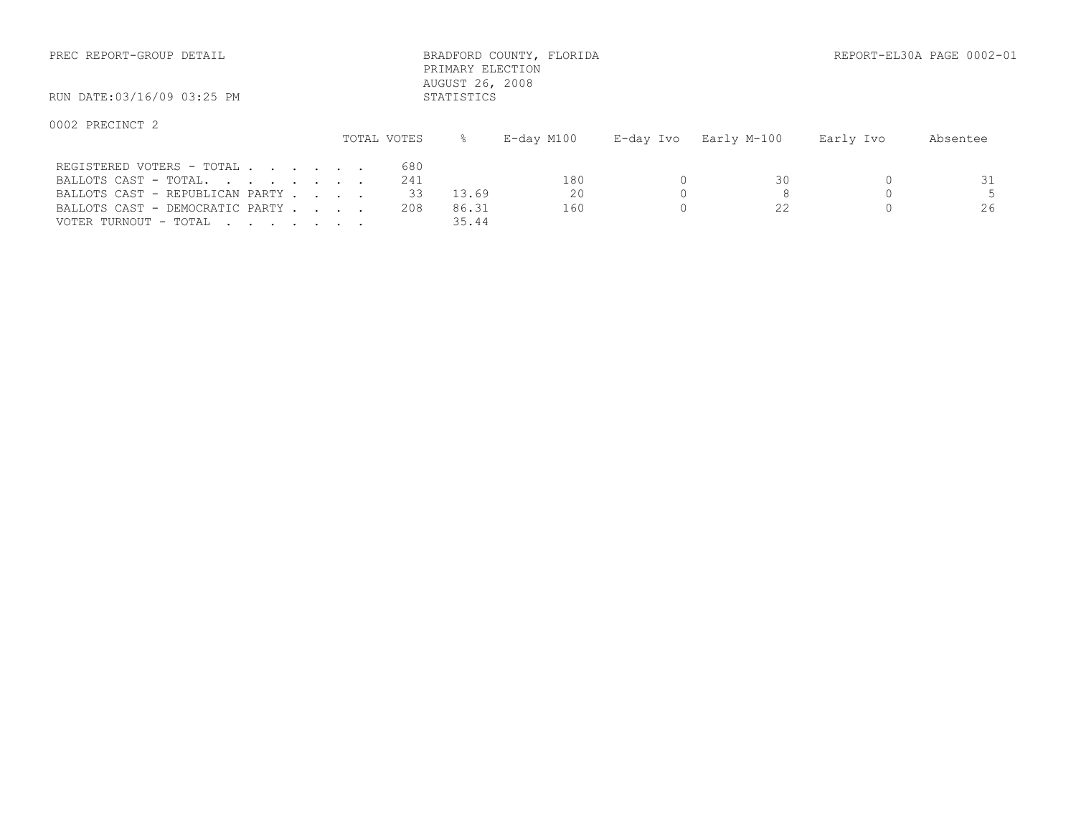| PREC REPORT-GROUP DETAIL                                                              |  |  |                  | PRIMARY ELECTION<br>AUGUST 26, 2008 | BRADFORD COUNTY, FLORIDA |           |             |           | REPORT-EL30A PAGE 0002-01 |
|---------------------------------------------------------------------------------------|--|--|------------------|-------------------------------------|--------------------------|-----------|-------------|-----------|---------------------------|
| RUN DATE:03/16/09 03:25 PM                                                            |  |  |                  | STATISTICS                          |                          |           |             |           |                           |
| 0002 PRECINCT 2                                                                       |  |  | TOTAL VOTES      | $\approx$                           | E-day M100               | E-day Ivo | Early M-100 | Early Ivo | Absentee                  |
| REGISTERED VOTERS - TOTAL<br>BALLOTS CAST - TOTAL.<br>BALLOTS CAST - REPUBLICAN PARTY |  |  | 680<br>241<br>33 | 13.69                               | 180<br>20                |           | 30          |           | 31                        |
| BALLOTS CAST - DEMOCRATIC PARTY                                                       |  |  | 208              | 86.31                               | 160                      |           |             |           | 26                        |

VOTER TURNOUT - TOTAL . . . . . . . . 35.44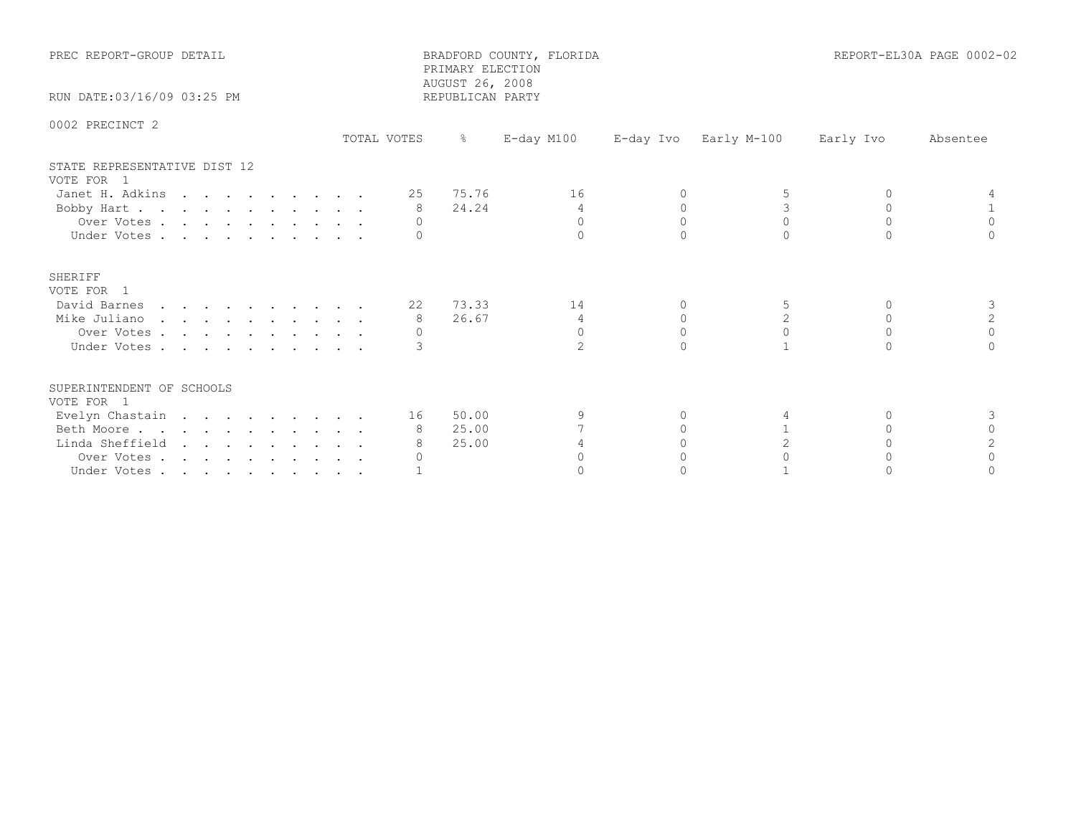| PREC REPORT-GROUP DETAIL                   |             | PRIMARY ELECTION<br>AUGUST 26, 2008 | BRADFORD COUNTY, FLORIDA |           |                |           | REPORT-EL30A PAGE 0002-02 |
|--------------------------------------------|-------------|-------------------------------------|--------------------------|-----------|----------------|-----------|---------------------------|
| RUN DATE: 03/16/09 03:25 PM                |             | REPUBLICAN PARTY                    |                          |           |                |           |                           |
| 0002 PRECINCT 2                            | TOTAL VOTES | $\frac{6}{6}$                       | $E$ -day M100            | E-day Ivo | Early M-100    | Early Ivo | Absentee                  |
| STATE REPRESENTATIVE DIST 12<br>VOTE FOR 1 |             |                                     |                          |           |                |           |                           |
| Janet H. Adkins                            |             | 25 75.76                            | 16                       | $\Omega$  |                | $\Omega$  |                           |
| Bobby Hart                                 |             | 24.24<br>8                          | $\overline{4}$           | $\Omega$  | 3              | $\Omega$  |                           |
| Over Votes                                 |             | $\Omega$                            | $\Omega$                 | $\Omega$  | $\Omega$       | $\Omega$  | $\Omega$                  |
| Under Votes                                |             |                                     | $\Omega$                 |           | $\cap$         |           |                           |
| SHERIFF<br>VOTE FOR 1                      |             |                                     |                          |           |                |           |                           |
| David Barnes                               |             | 22 73.33                            | 14                       | $\Omega$  | 5              | $\Omega$  | 3                         |
| Mike Juliano                               |             | 26.67<br>8                          | $\overline{4}$           | $\Omega$  | $\overline{2}$ | $\Omega$  | 2                         |
| Over Votes                                 |             |                                     | $\Omega$                 | $\Omega$  | $\Omega$       | $\Omega$  | $\Omega$                  |
| Under Votes                                |             |                                     | $\overline{2}$           | $\cap$    |                | $\cap$    |                           |
| SUPERINTENDENT OF SCHOOLS<br>VOTE FOR 1    |             |                                     |                          |           |                |           |                           |
| Evelyn Chastain                            |             | 50.00<br>16 —                       | 9                        | 0         |                | $\Omega$  | 3                         |
| Beth Moore                                 |             | 25.00                               |                          |           |                | $\cap$    | $\cap$                    |
| Linda Sheffield                            |             | 25.00                               |                          |           | 2              |           |                           |
| Over Votes                                 |             |                                     | $\cap$                   |           |                |           | $\cap$                    |
| Under Votes                                |             |                                     |                          |           |                |           |                           |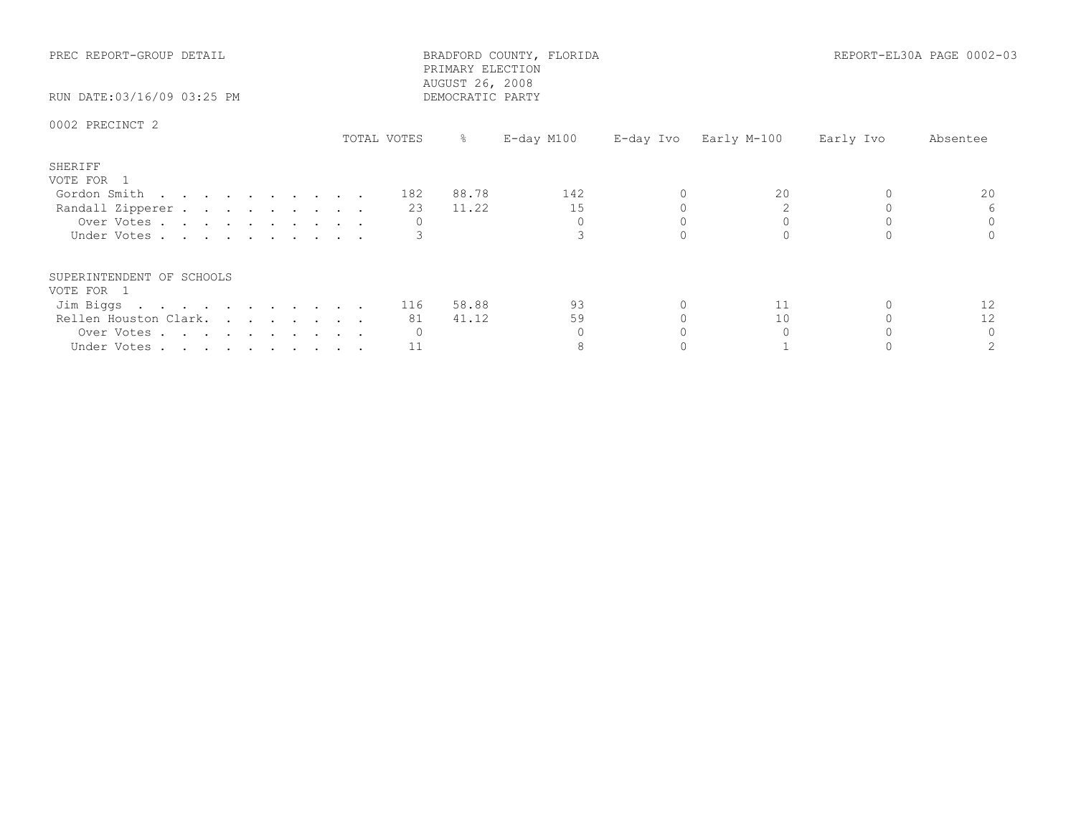| PREC REPORT-GROUP DETAIL<br>RUN DATE:03/16/09 03:25 PM |             | PRIMARY ELECTION<br>AUGUST 26, 2008<br>DEMOCRATIC PARTY | BRADFORD COUNTY, FLORIDA |  |                       | REPORT-EL30A PAGE 0002-03 |          |
|--------------------------------------------------------|-------------|---------------------------------------------------------|--------------------------|--|-----------------------|---------------------------|----------|
| 0002 PRECINCT 2                                        | TOTAL VOTES | $-8$                                                    | E-day M100               |  | E-day Ivo Early M-100 | Early Ivo                 | Absentee |
| SHERIFF<br>VOTE FOR 1                                  |             |                                                         |                          |  |                       |                           |          |
| Gordon Smith 182                                       |             | 88.78                                                   | 142                      |  | 20                    |                           | 20       |
| Randall Zipperer                                       |             | 11.22<br>23                                             | 15                       |  |                       |                           |          |
| Over Votes.                                            |             |                                                         | $\Omega$                 |  |                       |                           |          |
| Under Votes                                            |             |                                                         |                          |  |                       |                           |          |
| SUPERINTENDENT OF SCHOOLS                              |             |                                                         |                          |  |                       |                           |          |
| VOTE FOR 1                                             |             | 58.88                                                   | 93                       |  | 11                    |                           | 12       |
| Jim Biggs 116                                          |             | 41.12<br>81                                             | 59                       |  | 10                    |                           | 12       |
| Rellen Houston Clark.                                  |             |                                                         |                          |  |                       |                           |          |
| Over Votes                                             |             |                                                         |                          |  |                       |                           |          |
| Under Votes                                            |             | 11                                                      |                          |  |                       |                           |          |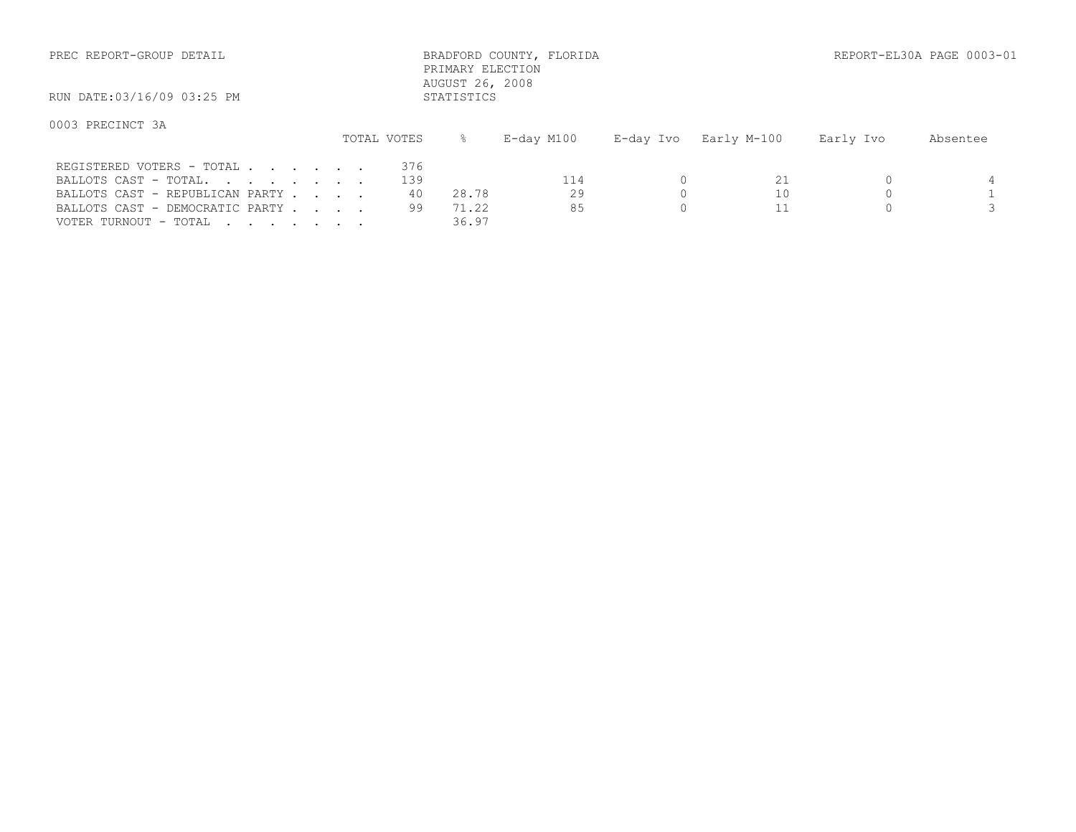| PREC REPORT-GROUP DETAIL                                                                                                 |             | PRIMARY ELECTION                         | BRADFORD COUNTY, FLORIDA |           |             |           | REPORT-EL30A PAGE 0003-01 |
|--------------------------------------------------------------------------------------------------------------------------|-------------|------------------------------------------|--------------------------|-----------|-------------|-----------|---------------------------|
| RUN DATE:03/16/09 03:25 PM                                                                                               |             | AUGUST 26, 2008<br>STATISTICS            |                          |           |             |           |                           |
| 0003 PRECINCT 3A                                                                                                         | TOTAL VOTES | ⊱                                        | E-day M100               | E-day Ivo | Early M-100 | Early Ivo | Absentee                  |
| REGISTERED VOTERS - TOTAL<br>BALLOTS CAST - TOTAL.<br>BALLOTS CAST - REPUBLICAN PARTY<br>BALLOTS CAST - DEMOCRATIC PARTY |             | 376<br>139<br>40<br>28.78<br>99<br>71.22 | 114<br>29<br>85          |           | 21<br>10    |           |                           |

VOTER TURNOUT - TOTAL . . . . . . . . 36.97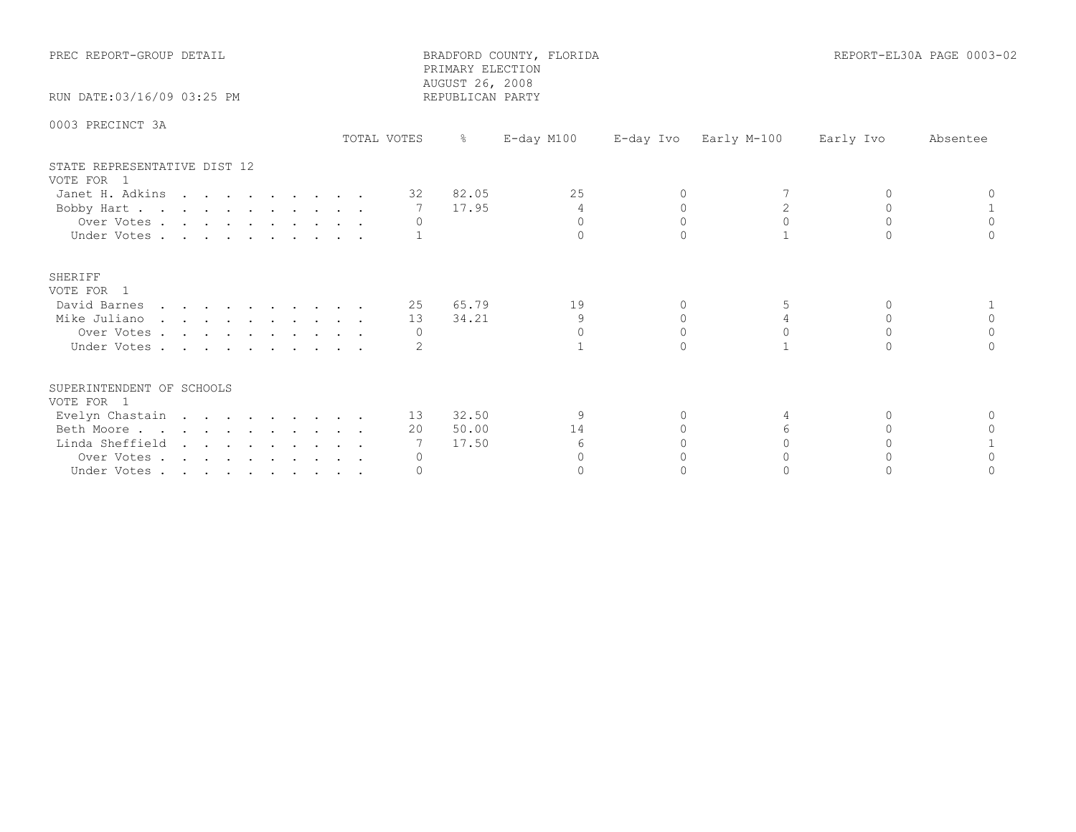| PREC REPORT-GROUP DETAIL                   |             | PRIMARY ELECTION<br>AUGUST 26, 2008 | BRADFORD COUNTY, FLORIDA |          |                       |           | REPORT-EL30A PAGE 0003-02 |
|--------------------------------------------|-------------|-------------------------------------|--------------------------|----------|-----------------------|-----------|---------------------------|
| RUN DATE: 03/16/09 03:25 PM                |             | REPUBLICAN PARTY                    |                          |          |                       |           |                           |
| 0003 PRECINCT 3A                           | TOTAL VOTES | $\frac{6}{6}$                       | $E$ -day M100            |          | E-day Ivo Early M-100 | Early Ivo | Absentee                  |
| STATE REPRESENTATIVE DIST 12<br>VOTE FOR 1 |             |                                     |                          |          |                       |           |                           |
| Janet H. Adkins                            |             | 32 82.05                            | 25                       | $\Omega$ |                       | $\Omega$  |                           |
| Bobby Hart                                 |             | 17.95<br>$\overline{7}$             | $\overline{4}$           | $\Omega$ |                       | $\Omega$  |                           |
| Over Votes                                 |             | $\circ$                             | $\Omega$                 | $\Omega$ | $\Omega$              | $\Omega$  | $\Omega$                  |
| Under Votes                                |             |                                     | $\cap$                   |          |                       |           |                           |
| SHERIFF<br>VOTE FOR 1                      |             |                                     |                          |          |                       |           |                           |
| David Barnes                               |             | 25 65.79                            | 19                       | $\Omega$ | 5                     | $\Omega$  |                           |
| Mike Juliano                               |             | 34.21<br>13                         | 9                        | $\Omega$ | 4                     | $\Omega$  | $\Omega$                  |
| Over Votes                                 |             | $\Omega$                            | $\Omega$                 | $\Omega$ |                       | $\Omega$  | $\Omega$                  |
| Under Votes                                |             |                                     |                          |          |                       | $\bigcap$ |                           |
| SUPERINTENDENT OF SCHOOLS<br>VOTE FOR 1    |             |                                     |                          |          |                       |           |                           |
| Evelyn Chastain                            |             | 13 32.50                            | 9                        | 0        | 4                     | $\Omega$  | $\Omega$                  |
| Beth Moore                                 |             | 50.00<br>20                         | 14                       |          | $6 \overline{6}$      | $\cap$    |                           |
| Linda Sheffield                            |             | 17.50                               | 6                        |          |                       |           |                           |
| Over Votes                                 |             |                                     | $\cap$                   |          |                       |           |                           |
| Under Votes                                |             |                                     | $\Omega$                 |          |                       |           |                           |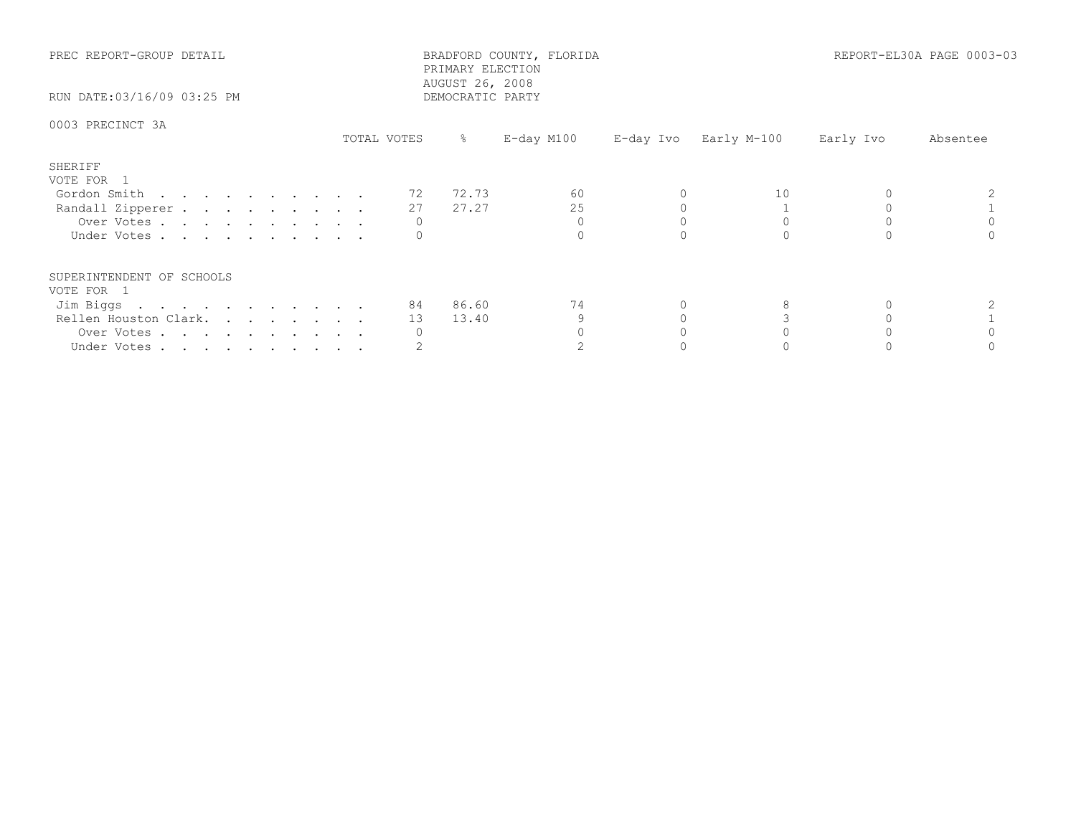| PREC REPORT-GROUP DETAIL<br>RUN DATE:03/16/09 03:25 PM |             | PRIMARY ELECTION<br>AUGUST 26, 2008<br>DEMOCRATIC PARTY | BRADFORD COUNTY, FLORIDA |                       |           | REPORT-EL30A PAGE 0003-03 |
|--------------------------------------------------------|-------------|---------------------------------------------------------|--------------------------|-----------------------|-----------|---------------------------|
| 0003 PRECINCT 3A                                       | TOTAL VOTES | ိ                                                       | E-day M100               | E-day Ivo Early M-100 | Early Ivo | Absentee                  |
| SHERIFF                                                |             |                                                         |                          |                       |           |                           |
| VOTE FOR 1                                             |             |                                                         |                          | 10                    |           |                           |
| Gordon Smith                                           | 72          | 72.73                                                   | 60                       |                       |           |                           |
| Randall Zipperer                                       | 27          | 27.27                                                   | 25                       |                       |           |                           |
| Over Votes                                             |             |                                                         |                          |                       |           |                           |
| Under Votes                                            |             |                                                         |                          |                       |           |                           |
| SUPERINTENDENT OF SCHOOLS                              |             |                                                         |                          |                       |           |                           |
| VOTE FOR 1                                             |             |                                                         |                          |                       |           |                           |
| Jim Biggs                                              |             | 84 86.60                                                | 74                       |                       |           |                           |
| Rellen Houston Clark.                                  | 13          | 13.40                                                   | 9                        |                       |           |                           |
| Over Votes                                             |             |                                                         |                          |                       |           |                           |
| Under Votes                                            |             |                                                         |                          |                       |           |                           |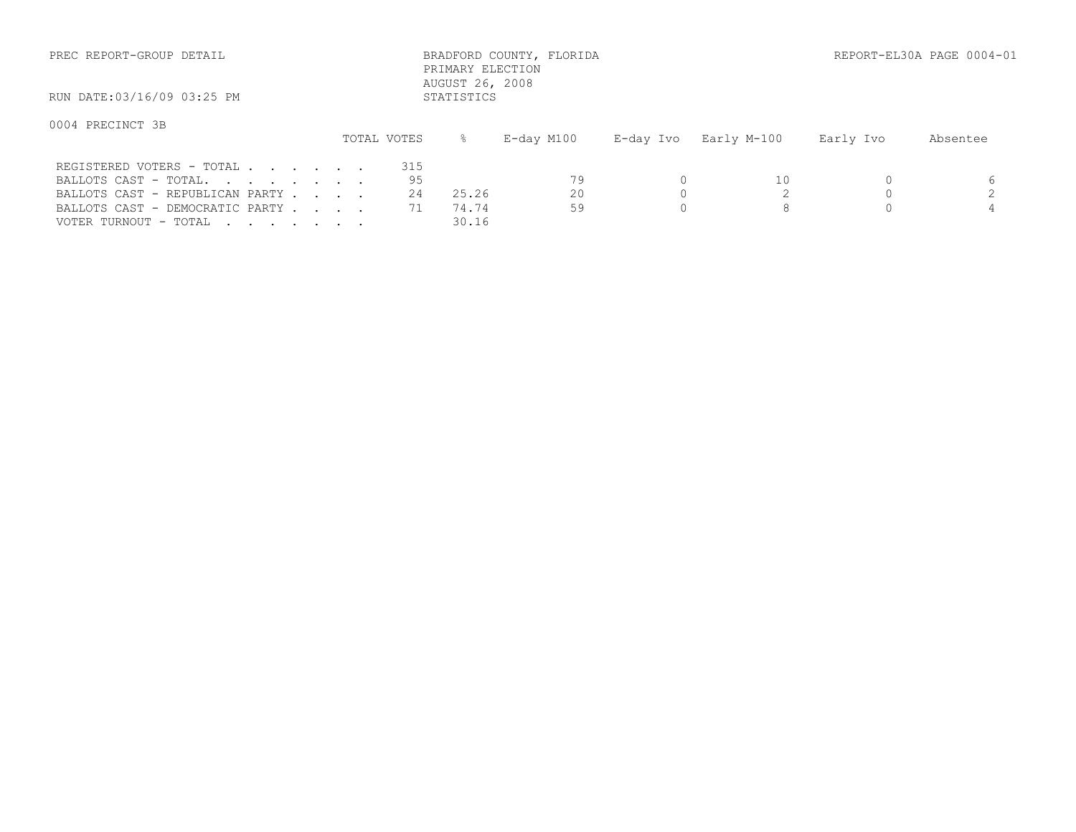| PREC REPORT-GROUP DETAIL                           |             | PRIMARY ELECTION<br>AUGUST 26, 2008 | BRADFORD COUNTY, FLORIDA |           |             |           | REPORT-EL30A PAGE 0004-01 |
|----------------------------------------------------|-------------|-------------------------------------|--------------------------|-----------|-------------|-----------|---------------------------|
| RUN DATE:03/16/09 03:25 PM                         |             | STATISTICS                          |                          |           |             |           |                           |
| 0004 PRECINCT 3B                                   | TOTAL VOTES |                                     | E-day M100               | E-day Ivo | Early M-100 | Early Ivo | Absentee                  |
| REGISTERED VOTERS - TOTAL<br>BALLOTS CAST - TOTAL. | 315<br>95   |                                     | 79                       |           | 10          |           |                           |

VOTER TURNOUT - TOTAL . . . . . . . . 30.16

BALLOTS CAST - REPUBLICAN PARTY . . . . 24 25.26 20 0 2 0 2 BALLOTS CAST - DEMOCRATIC PARTY . . . 71 74.74 59 0 8 0 9 4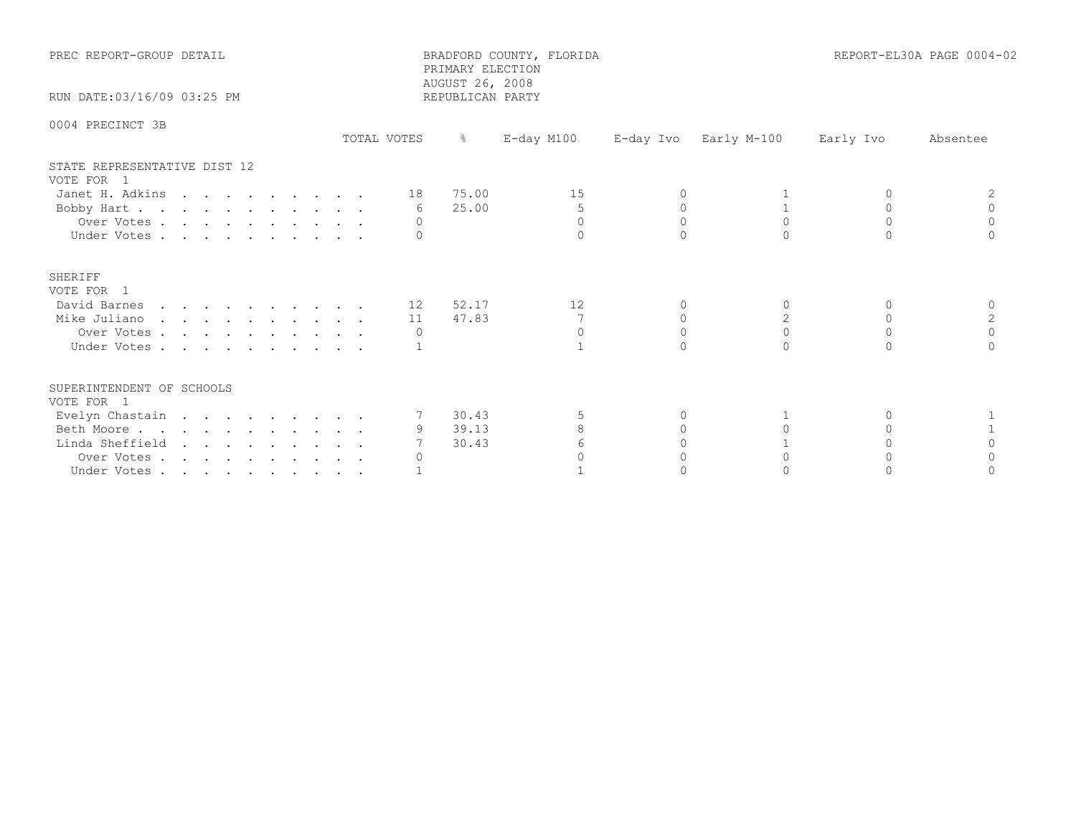| PREC REPORT-GROUP DETAIL                                                                                                 |             | PRIMARY ELECTION                            | BRADFORD COUNTY, FLORIDA |          |                       |                                | REPORT-EL30A PAGE 0004-02              |
|--------------------------------------------------------------------------------------------------------------------------|-------------|---------------------------------------------|--------------------------|----------|-----------------------|--------------------------------|----------------------------------------|
| RUN DATE:03/16/09 03:25 PM                                                                                               |             | AUGUST 26, 2008<br>REPUBLICAN PARTY         |                          |          |                       |                                |                                        |
| 0004 PRECINCT 3B                                                                                                         | TOTAL VOTES | $\frac{6}{6}$                               | E-day M100               |          | E-day Ivo Early M-100 | Early Ivo                      | Absentee                               |
| STATE REPRESENTATIVE DIST 12<br>VOTE FOR 1<br>Janet H. Adkins 18 75.00<br>Bobby Hart<br>Over Votes<br>Under Votes.       |             | 25.00<br>6<br>$\Omega$                      | 15<br>5<br>$\Omega$      | $\Omega$ | $\Omega$              | $\Omega$<br>$\cap$             | 2<br>$\Omega$<br>$\Omega$<br>$\bigcap$ |
| <b>SHERIFF</b><br>VOTE FOR 1<br>David Barnes 12 52.17<br>Mike Juliano<br>Over Votes<br>Under Votes                       |             | 11 47.83<br>$\circ$                         | 12<br>$\Omega$           | $\Omega$ | 2<br>$\Omega$         | $\Omega$<br>$\Omega$<br>$\cap$ | $\Omega$<br>2<br>$\Omega$<br>$\cap$    |
| SUPERINTENDENT OF SCHOOLS<br>VOTE FOR 1<br>Evelyn Chastain<br>Beth Moore<br>Linda Sheffield<br>Over Votes<br>Under Votes |             | 7 30.43<br>9 39.13<br>30.43<br>$\mathbf{0}$ | 8<br>6                   |          |                       |                                | $\Omega$                               |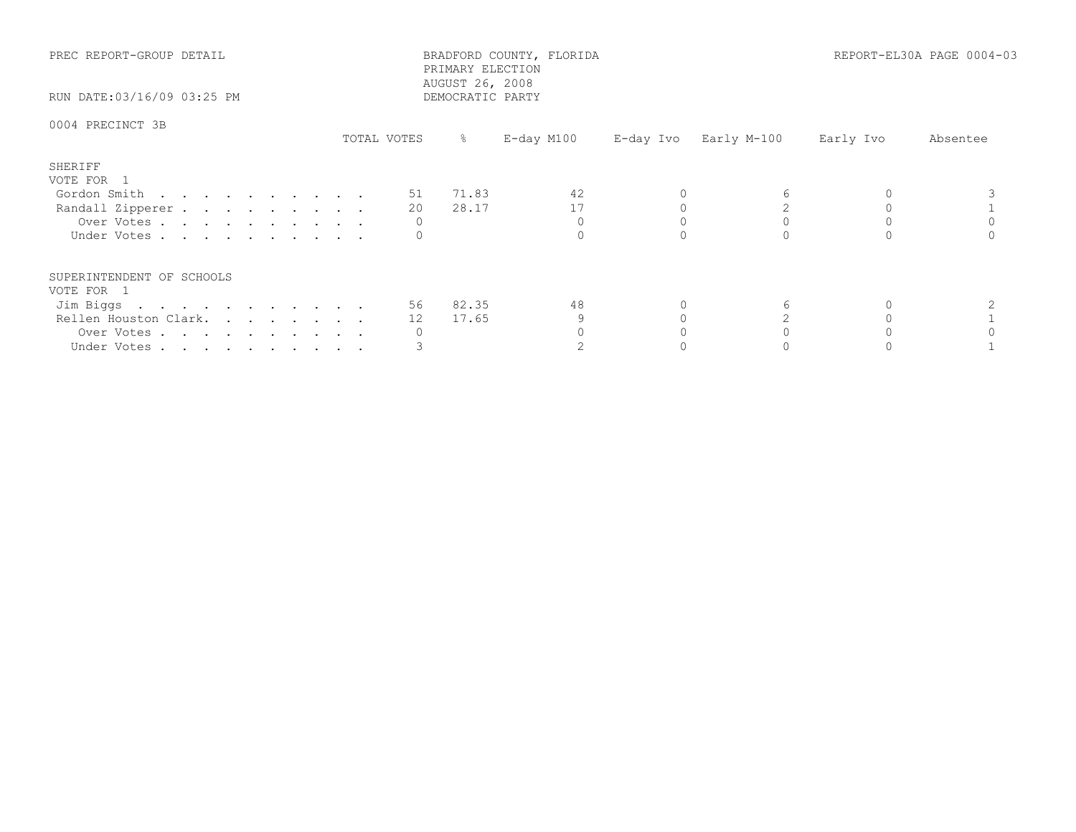| PREC REPORT-GROUP DETAIL<br>RUN DATE:03/16/09 03:25 PM                                                     |             | BRADFORD COUNTY, FLORIDA<br>PRIMARY ELECTION<br>AUGUST 26, 2008<br>DEMOCRATIC PARTY |                       |           | REPORT-EL30A PAGE 0004-03 |
|------------------------------------------------------------------------------------------------------------|-------------|-------------------------------------------------------------------------------------|-----------------------|-----------|---------------------------|
| 0004 PRECINCT 3B                                                                                           | TOTAL VOTES | E-day M100<br>ိ                                                                     | E-day Ivo Early M-100 | Early Ivo | Absentee                  |
| SHERIFF<br>VOTE FOR 1<br>Gordon Smith<br>Randall Zipperer<br>Over Votes<br>Under Votes                     | 20<br>0     | 51 71.83<br>42<br>17<br>28.17                                                       |                       |           |                           |
| SUPERINTENDENT OF SCHOOLS<br>VOTE FOR 1<br>Jim Biggs<br>Rellen Houston Clark.<br>Over Votes<br>Under Votes | 12<br>U     | 56 82.35<br>48<br>17.65                                                             |                       |           |                           |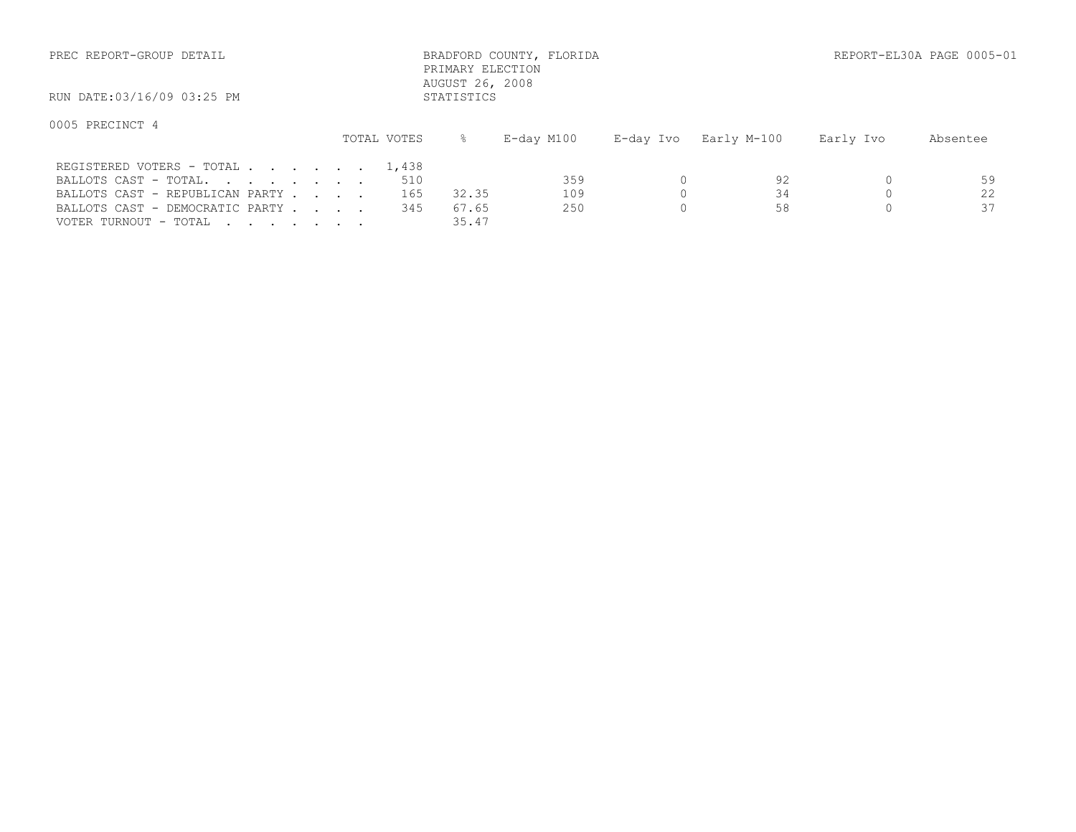| PREC REPORT-GROUP DETAIL                                                                                                 |  |  |                            | PRIMARY ELECTION<br>AUGUST 26, 2008 | BRADFORD COUNTY, FLORIDA |           |                |           | REPORT-EL30A PAGE 0005-01 |
|--------------------------------------------------------------------------------------------------------------------------|--|--|----------------------------|-------------------------------------|--------------------------|-----------|----------------|-----------|---------------------------|
| RUN DATE:03/16/09 03:25 PM                                                                                               |  |  |                            | STATISTICS                          |                          |           |                |           |                           |
| 0005 PRECINCT 4                                                                                                          |  |  | TOTAL VOTES                |                                     | E-day M100               | E-day Ivo | Early M-100    | Early Ivo | Absentee                  |
| REGISTERED VOTERS - TOTAL<br>BALLOTS CAST - TOTAL.<br>BALLOTS CAST - REPUBLICAN PARTY<br>BALLOTS CAST - DEMOCRATIC PARTY |  |  | 1,438<br>510<br>165<br>345 | 32.35<br>67.65                      | 359<br>109<br>250        |           | 92<br>34<br>58 |           | 59<br>22<br>37            |

VOTER TURNOUT - TOTAL . . . . . . . . 35.47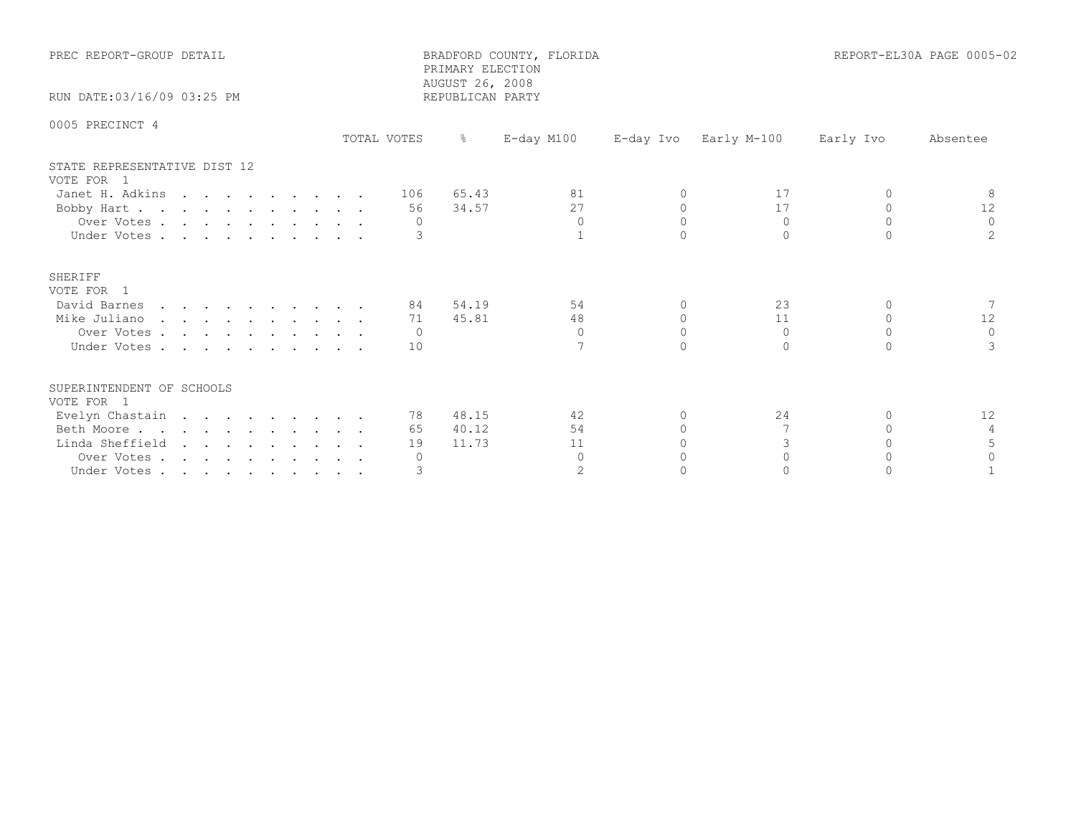| PREC REPORT-GROUP DETAIL<br>RUN DATE: 03/16/09 03:25 PM |  |  |  |  |  | BRADFORD COUNTY, FLORIDA<br>PRIMARY ELECTION<br>AUGUST 26, 2008<br>REPUBLICAN PARTY | REPORT-EL30A PAGE 0005-02 |               |                |           |             |           |          |
|---------------------------------------------------------|--|--|--|--|--|-------------------------------------------------------------------------------------|---------------------------|---------------|----------------|-----------|-------------|-----------|----------|
|                                                         |  |  |  |  |  |                                                                                     |                           |               |                |           |             |           |          |
| 0005 PRECINCT 4                                         |  |  |  |  |  |                                                                                     | TOTAL VOTES               | $\frac{6}{6}$ | $E$ -day M100  |           |             |           |          |
|                                                         |  |  |  |  |  |                                                                                     |                           |               |                | E-day Ivo | Early M-100 | Early Ivo | Absentee |
| STATE REPRESENTATIVE DIST 12<br>VOTE FOR 1              |  |  |  |  |  |                                                                                     |                           |               |                |           |             |           |          |
| Janet H. Adkins                                         |  |  |  |  |  |                                                                                     | 106                       | 65.43         | 81             | $\Omega$  | 17          | $\Omega$  | -8       |
| Bobby Hart                                              |  |  |  |  |  |                                                                                     | 56                        | 34.57         | 27             | $\Omega$  | 17          | $\Omega$  | 12       |
| Over Votes                                              |  |  |  |  |  |                                                                                     | $\Omega$                  |               | $\Omega$       | $\Omega$  | $\Omega$    | $\Omega$  | $\Omega$ |
| Under Votes                                             |  |  |  |  |  |                                                                                     |                           |               |                | $\Omega$  | $\cap$      |           |          |
| SHERIFF<br>VOTE FOR 1                                   |  |  |  |  |  |                                                                                     |                           |               |                |           |             |           |          |
| David Barnes                                            |  |  |  |  |  |                                                                                     | 84 -                      | 54.19         | 54             | $\Omega$  | 23          | $\Omega$  |          |
| Mike Juliano                                            |  |  |  |  |  |                                                                                     | 71                        | 45.81         | 48             | $\Omega$  | 11          | $\Omega$  | 12       |
| Over Votes                                              |  |  |  |  |  |                                                                                     | - 0                       |               | $\Omega$       | $\Omega$  | $\Omega$    | $\Omega$  | $\Omega$ |
| Under Votes                                             |  |  |  |  |  |                                                                                     | 10                        |               |                | $\Omega$  | $\Omega$    | $\cap$    |          |
| SUPERINTENDENT OF SCHOOLS<br>VOTE FOR 1                 |  |  |  |  |  |                                                                                     |                           |               |                |           |             |           |          |
| Evelyn Chastain                                         |  |  |  |  |  |                                                                                     |                           | 78 48.15      | 42             | 0         | 24          | $\Omega$  | 12       |
| Beth Moore                                              |  |  |  |  |  |                                                                                     | 65                        | 40.12         | 54             | $\Omega$  |             | $\cap$    | 4        |
| Linda Sheffield                                         |  |  |  |  |  |                                                                                     | 19                        | 11.73         | 11             | $\Omega$  | 3           | $\Omega$  |          |
| Over Votes                                              |  |  |  |  |  |                                                                                     | $\circ$                   |               | $\Omega$       | $\bigcap$ | $\bigcap$   | $\cap$    | $\Omega$ |
| Under Votes                                             |  |  |  |  |  |                                                                                     |                           |               | $\overline{2}$ | $\cap$    |             |           |          |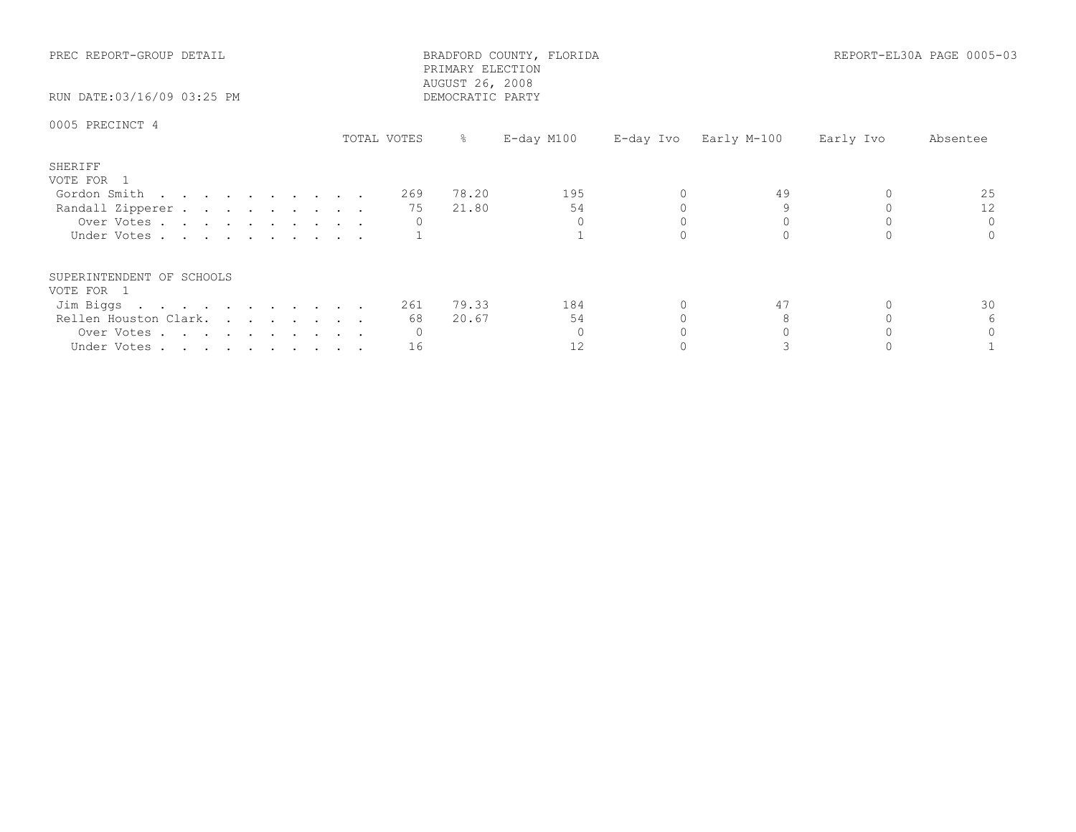| PREC REPORT-GROUP DETAIL<br>RUN DATE:03/16/09 03:25 PM                                                     |             | BRADFORD COUNTY, FLORIDA<br>PRIMARY ELECTION<br>AUGUST 26, 2008<br>DEMOCRATIC PARTY |                 | REPORT-EL30A PAGE 0005-03 |                       |           |          |
|------------------------------------------------------------------------------------------------------------|-------------|-------------------------------------------------------------------------------------|-----------------|---------------------------|-----------------------|-----------|----------|
| 0005 PRECINCT 4                                                                                            | TOTAL VOTES | % $\sim$                                                                            | $E$ -day M100   |                           | E-day Ivo Early M-100 | Early Ivo | Absentee |
| SHERIFF<br>VOTE FOR 1<br>Gordon Smith<br>Randall Zipperer<br>Over Votes<br>Under Votes                     |             | 78.20<br>269<br>21.80<br>75                                                         | 195<br>54       |                           | 49                    |           | 25<br>12 |
| SUPERINTENDENT OF SCHOOLS<br>VOTE FOR 1<br>Jim Biggs<br>Rellen Houston Clark.<br>Over Votes<br>Under Votes |             | 79.33<br>261<br>20.67<br>68<br>0<br>16                                              | 184<br>54<br>12 |                           | 47                    |           | 30       |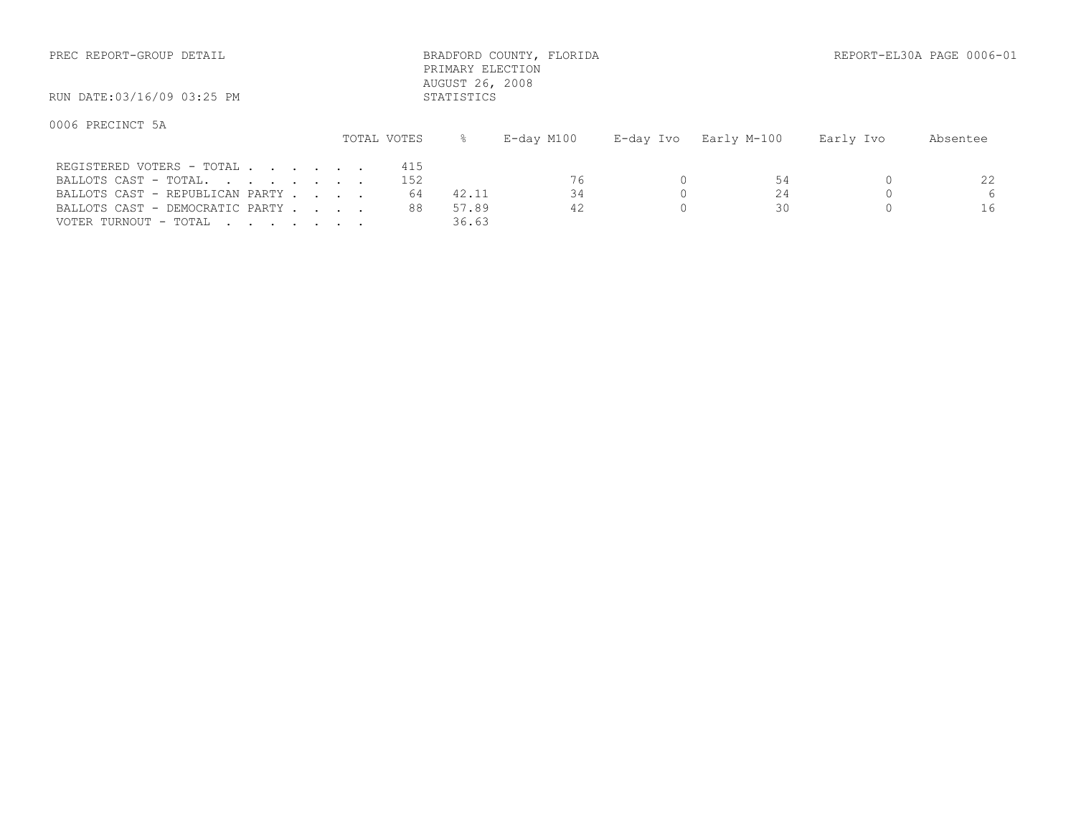| PREC REPORT-GROUP DETAIL                                                                                                 |  |  |  |  |                        | PRIMARY ELECTION<br>AUGUST 26, 2008 | BRADFORD COUNTY, FLORIDA |           | REPORT-EL30A PAGE 0006-01 |           |               |
|--------------------------------------------------------------------------------------------------------------------------|--|--|--|--|------------------------|-------------------------------------|--------------------------|-----------|---------------------------|-----------|---------------|
| RUN DATE:03/16/09 03:25 PM                                                                                               |  |  |  |  |                        | STATISTICS                          |                          |           |                           |           |               |
| 0006 PRECINCT 5A                                                                                                         |  |  |  |  | TOTAL VOTES            |                                     | E-day M100               | E-day Ivo | Early M-100               | Early Ivo | Absentee      |
| REGISTERED VOTERS - TOTAL<br>BALLOTS CAST - TOTAL.<br>BALLOTS CAST - REPUBLICAN PARTY<br>BALLOTS CAST - DEMOCRATIC PARTY |  |  |  |  | 415<br>152<br>64<br>88 | 42.11<br>57.89                      | 76<br>34<br>42           |           | 54<br>24<br>30            |           | 22<br>6<br>16 |

VOTER TURNOUT - TOTAL . . . . . . . . 36.63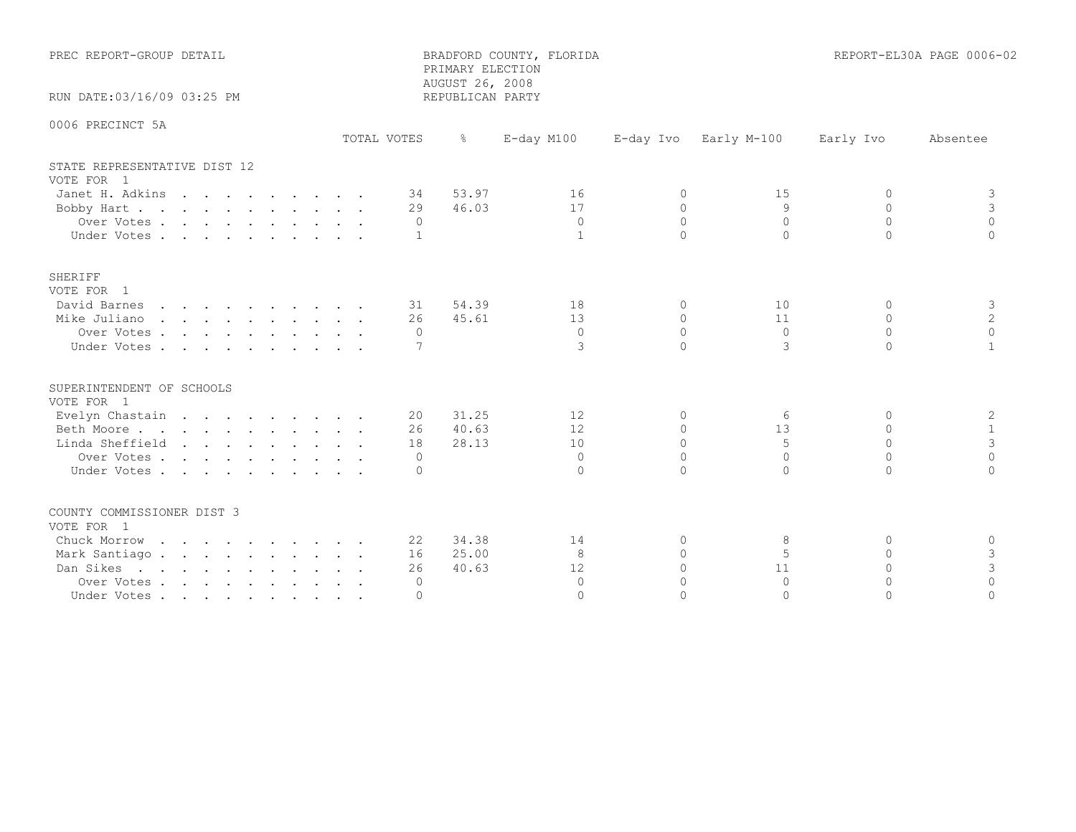| PREC REPORT-GROUP DETAIL<br>RUN DATE:03/16/09 03:25 PM                                                                   |                                        | PRIMARY ELECTION<br>AUGUST 26, 2008<br>REPUBLICAN PARTY | BRADFORD COUNTY, FLORIDA                   |                                                          |                                                   |                                                          | REPORT-EL30A PAGE 0006-02                                |
|--------------------------------------------------------------------------------------------------------------------------|----------------------------------------|---------------------------------------------------------|--------------------------------------------|----------------------------------------------------------|---------------------------------------------------|----------------------------------------------------------|----------------------------------------------------------|
|                                                                                                                          |                                        |                                                         |                                            |                                                          |                                                   |                                                          |                                                          |
| 0006 PRECINCT 5A                                                                                                         | TOTAL VOTES                            | $\frac{5}{6}$                                           | E-day M100                                 | E-day Ivo                                                | Early M-100                                       | Early Ivo                                                | Absentee                                                 |
| STATE REPRESENTATIVE DIST 12                                                                                             |                                        |                                                         |                                            |                                                          |                                                   |                                                          |                                                          |
| VOTE FOR 1<br>Janet H. Adkins<br>Bobby Hart<br>Over Votes<br>Under Votes                                                 | 34<br>29<br>$\Omega$<br>$\mathbf{1}$   | 53.97<br>46.03                                          | 16<br>17<br>$\overline{0}$<br>$\mathbf{1}$ | $\circ$<br>$\Omega$<br>$\Omega$<br>$\cap$                | 15<br>9<br>$\Omega$<br>$\Omega$                   | 0<br>$\circ$<br>$\Omega$<br>$\cap$                       | 3<br>3<br>$\Omega$<br>$\cap$                             |
| <b>SHERIFF</b><br>VOTE FOR 1<br>David Barnes<br>Mike Juliano<br>Over Votes<br>Under Votes                                | 26<br>$\Omega$<br>7                    | 31 54.39<br>45.61                                       | 18<br>13<br>$\Omega$<br>3                  | $\Omega$<br>$\Omega$<br>$\Omega$<br>$\cap$               | 10<br>11<br>$\Omega$<br>3                         | $\Omega$<br>$\Omega$<br>$\Omega$<br>$\Omega$             | 3<br>$\overline{c}$<br>$\Omega$<br>$\mathbf{1}$          |
| SUPERINTENDENT OF SCHOOLS<br>VOTE FOR 1<br>Evelyn Chastain<br>Beth Moore<br>Linda Sheffield<br>Over Votes<br>Under Votes | 20<br>26<br>18<br>$\Omega$<br>$\Omega$ | 31.25<br>40.63<br>28.13                                 | 12<br>12<br>10<br>$\Omega$<br>$\Omega$     | $\Omega$<br>$\Omega$<br>$\Omega$<br>$\Omega$             | 6<br>13<br>5<br>$\Omega$<br>$\cap$                | $\Omega$<br>$\Omega$<br>$\circ$<br>$\Omega$<br>$\Omega$  | 2<br>$\mathbf{1}$<br>$\mathsf 3$<br>$\Omega$<br>$\Omega$ |
| COUNTY COMMISSIONER DIST 3<br>VOTE FOR 1<br>Chuck Morrow<br>Mark Santiago.<br>Dan Sikes<br>Over Votes<br>Under Votes     | 22<br>16<br>26<br>0<br>$\mathbf 0$     | 34.38<br>25.00<br>40.63                                 | 14<br>8<br>12<br>$\Omega$<br>$\Omega$      | $\Omega$<br>$\Omega$<br>$\Omega$<br>$\Omega$<br>$\Omega$ | 8<br>$\overline{5}$<br>11<br>$\Omega$<br>$\Omega$ | $\Omega$<br>$\Omega$<br>$\Omega$<br>$\Omega$<br>$\Omega$ | $\circ$<br>3<br>3<br>$\circ$<br>$\Omega$                 |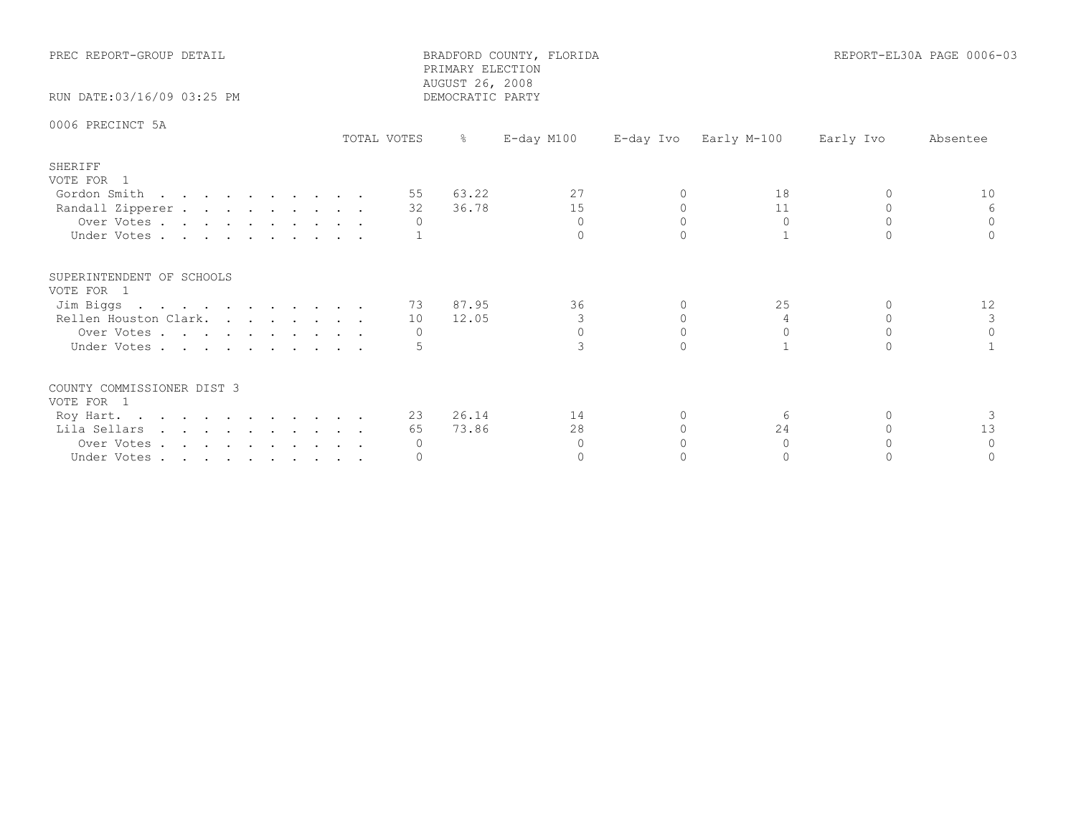| PREC REPORT-GROUP DETAIL<br>RUN DATE:03/16/09 03:25 PM                                                              |             | BRADFORD COUNTY, FLORIDA<br>PRIMARY ELECTION<br>AUGUST 26, 2008<br>DEMOCRATIC PARTY | REPORT-EL30A PAGE 0006-03        |                       |                                  |                       |                                 |
|---------------------------------------------------------------------------------------------------------------------|-------------|-------------------------------------------------------------------------------------|----------------------------------|-----------------------|----------------------------------|-----------------------|---------------------------------|
| 0006 PRECINCT 5A                                                                                                    | TOTAL VOTES | - 왕 - 이                                                                             | E-day M100                       |                       | E-day Ivo Early M-100            | Early Ivo             | Absentee                        |
| SHERIFF<br>VOTE FOR 1<br>Gordon Smith<br>Randall Zipperer<br>Over Votes<br>Under Votes                              |             | 55 63.22<br>32 36.78<br>$\circ$                                                     | 27<br>15<br>$\Omega$<br>$\Omega$ | $\Omega$<br>$\bigcap$ | 18<br>11<br>$\circ$              | $\bigcap$<br>$\Omega$ | 10<br>6<br>$\Omega$<br>$\Omega$ |
| SUPERINTENDENT OF SCHOOLS<br>VOTE FOR 1<br>Jim Biggs<br>Rellen Houston Clark. 10 12.05<br>Over Votes<br>Under Votes |             | 73 87.95<br>$\circ$                                                                 | 36<br>3<br>$\Omega$              | $\circ$<br>$\Omega$   | 25<br>4<br>$\Omega$              | $\Omega$<br>$\Omega$  | 12<br>3<br>$\Omega$             |
| COUNTY COMMISSIONER DIST 3<br>VOTE FOR 1<br>Roy Hart.<br>Lila Sellars<br>Over Votes<br>Under Votes                  |             | 23 26.14<br>73.86<br>65<br>$\circ$<br>0                                             | 14<br>28<br>$\Omega$<br>$\Omega$ | $\Omega$<br>$\bigcap$ | -6<br>24<br>$\Omega$<br>$\Omega$ | $\Omega$              | 3<br>13<br>$\Omega$<br>$\Omega$ |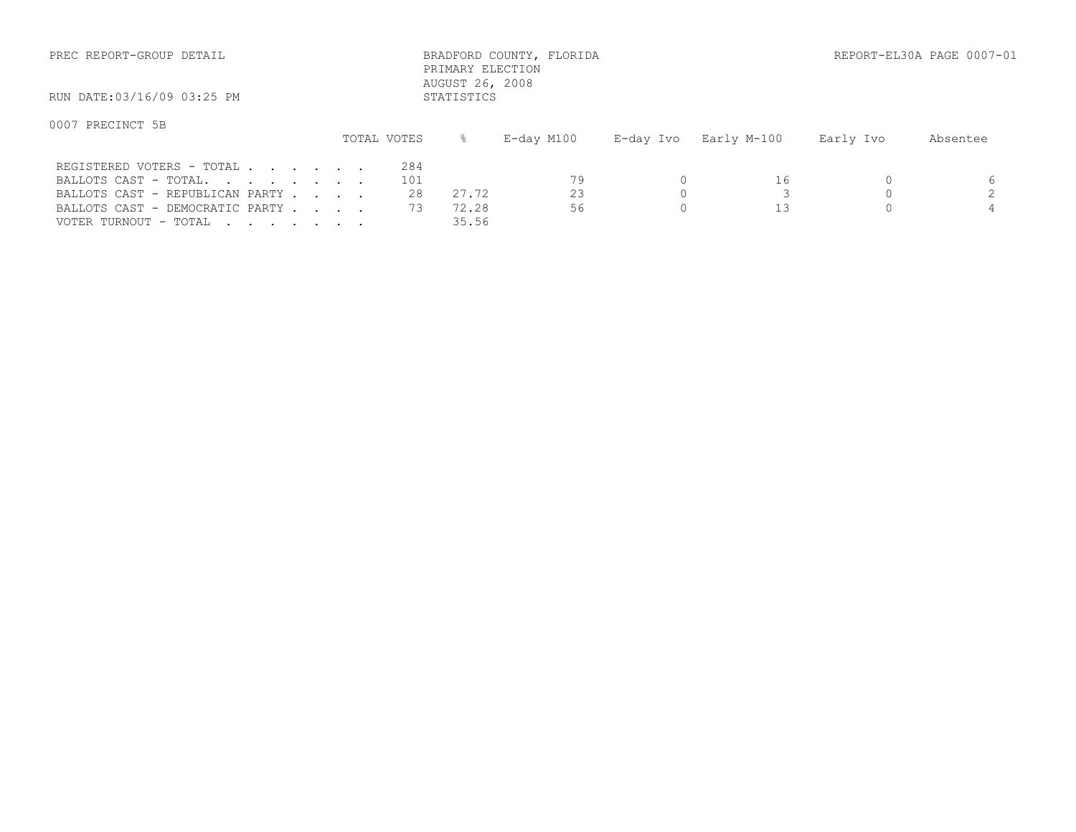| PREC REPORT-GROUP DETAIL   |             |            | BRADFORD COUNTY, FLORIDA<br>PRIMARY ELECTION<br>AUGUST 26, 2008 |           |             |           | REPORT-EL30A PAGE 0007-01 |
|----------------------------|-------------|------------|-----------------------------------------------------------------|-----------|-------------|-----------|---------------------------|
| RUN DATE:03/16/09 03:25 PM |             | STATISTICS |                                                                 |           |             |           |                           |
| 0007 PRECINCT 5B           | TOTAL VOTES |            | E-day M100                                                      | E-day Ivo | Early M-100 | Early Ivo | Absentee                  |
| REGISTERED VOTERS - TOTAL  | 284         |            |                                                                 |           |             |           |                           |

| BALLOTS CAST - TOTAL.                    |  |  |  |
|------------------------------------------|--|--|--|
| BALLOTS CAST - REPUBLICAN PARTY          |  |  |  |
| BALLOTS CAST - DEMOCRATIC PARTY 73 72.28 |  |  |  |
| 35.56<br>VOTER TURNOUT - TOTAL           |  |  |  |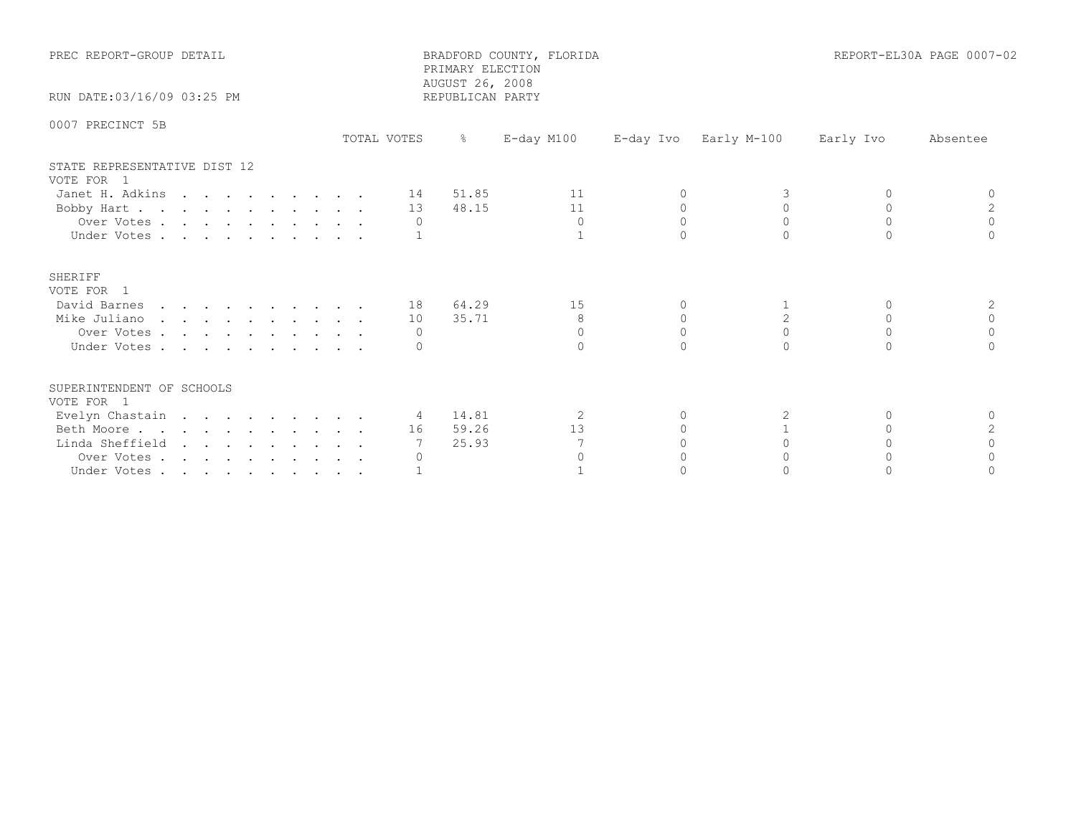| PREC REPORT-GROUP DETAIL                   |             | PRIMARY ELECTION<br>AUGUST 26, 2008 | BRADFORD COUNTY, FLORIDA |           |                       | REPORT-EL30A PAGE 0007-02 |          |
|--------------------------------------------|-------------|-------------------------------------|--------------------------|-----------|-----------------------|---------------------------|----------|
| RUN DATE: 03/16/09 03:25 PM                |             | REPUBLICAN PARTY                    |                          |           |                       |                           |          |
| 0007 PRECINCT 5B                           | TOTAL VOTES | $\frac{6}{6}$                       | E-day M100               |           | E-day Ivo Early M-100 | Early Ivo                 | Absentee |
| STATE REPRESENTATIVE DIST 12<br>VOTE FOR 1 |             |                                     |                          |           |                       |                           |          |
| Janet H. Adkins                            | 14          | 51.85                               | 11                       |           |                       | $\Omega$                  | $\Omega$ |
| Bobby Hart                                 | 13          | 48.15                               | 11                       |           |                       | $\Omega$                  |          |
| Over Votes.                                | 0           |                                     | $\mathbf 0$              | $\Omega$  | $\Omega$              | $\Omega$                  | $\Omega$ |
| Under Votes                                |             |                                     |                          |           |                       |                           |          |
| SHERIFF<br>VOTE FOR 1                      |             |                                     |                          |           |                       |                           |          |
| David Barnes                               |             | 18 64.29                            | 15                       | $\Omega$  |                       | $\Omega$                  | 2        |
| Mike Juliano                               | 10          | 35.71                               | 8                        | $\circ$   | $\overline{2}$        | $\circ$                   | 0        |
| Over Votes                                 | $\Omega$    |                                     | $\Omega$                 | $\cap$    | $\cap$                | $\bigcap$                 | $\Omega$ |
| Under Votes                                |             |                                     | $\Omega$                 |           |                       |                           |          |
| SUPERINTENDENT OF SCHOOLS<br>VOTE FOR 1    |             |                                     |                          |           |                       |                           |          |
| Evelyn Chastain                            |             | 4 14.81                             | 2                        | $\Omega$  |                       | $\Omega$                  |          |
| Beth Moore.                                | 16 —        | 59.26                               | 13                       | $\bigcap$ |                       | $\cap$                    |          |
| Linda Sheffield                            |             | 25.93                               |                          |           |                       |                           |          |
| Over Votes                                 | $\Omega$    |                                     | $\Omega$                 |           |                       |                           |          |
| Under Votes                                |             |                                     |                          |           |                       |                           |          |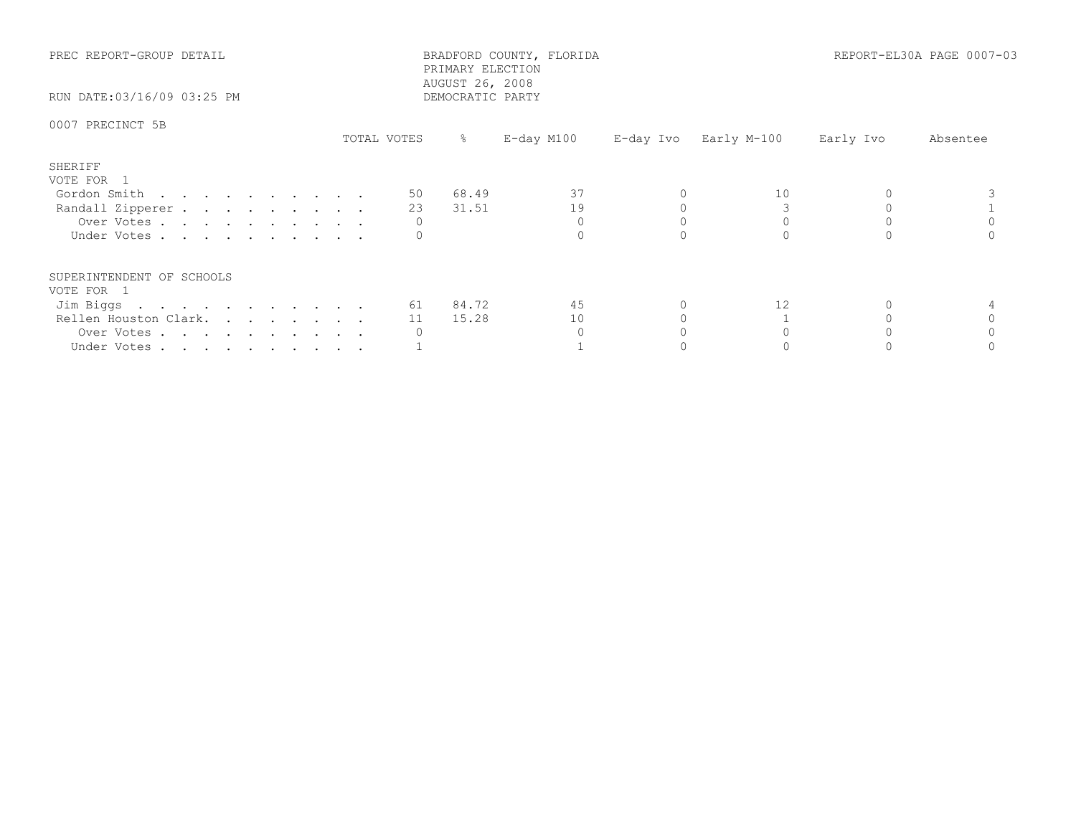| PREC REPORT-GROUP DETAIL<br>RUN DATE:03/16/09 03:25 PM |             | BRADFORD COUNTY, FLORIDA<br>PRIMARY ELECTION<br>AUGUST 26, 2008<br>DEMOCRATIC PARTY |            | REPORT-EL30A PAGE 0007-03 |           |          |
|--------------------------------------------------------|-------------|-------------------------------------------------------------------------------------|------------|---------------------------|-----------|----------|
| 0007 PRECINCT 5B                                       | TOTAL VOTES | $\frac{1}{6}$                                                                       | E-day M100 | E-day Ivo Early M-100     | Early Ivo | Absentee |
| SHERIFF                                                |             |                                                                                     |            |                           |           |          |
| VOTE FOR 1                                             | 50 —        | 68.49                                                                               | 37         | 10                        |           |          |
| Gordon Smith<br>Randall Zipperer                       | 23          | 31.51                                                                               | 19         |                           |           |          |
| Over Votes                                             |             |                                                                                     |            |                           |           |          |
| Under Votes                                            |             |                                                                                     |            |                           |           |          |
| SUPERINTENDENT OF SCHOOLS                              |             |                                                                                     |            |                           |           |          |
| VOTE FOR 1                                             |             |                                                                                     |            |                           |           |          |
| Jim Biggs                                              |             | 61 84.72                                                                            | 45         | $12 \overline{ }$         |           |          |
| Rellen Houston Clark.                                  | 11          | 15.28                                                                               | 10         |                           |           |          |
| Over Votes                                             |             |                                                                                     |            |                           |           |          |
| Under Votes                                            |             |                                                                                     |            |                           |           |          |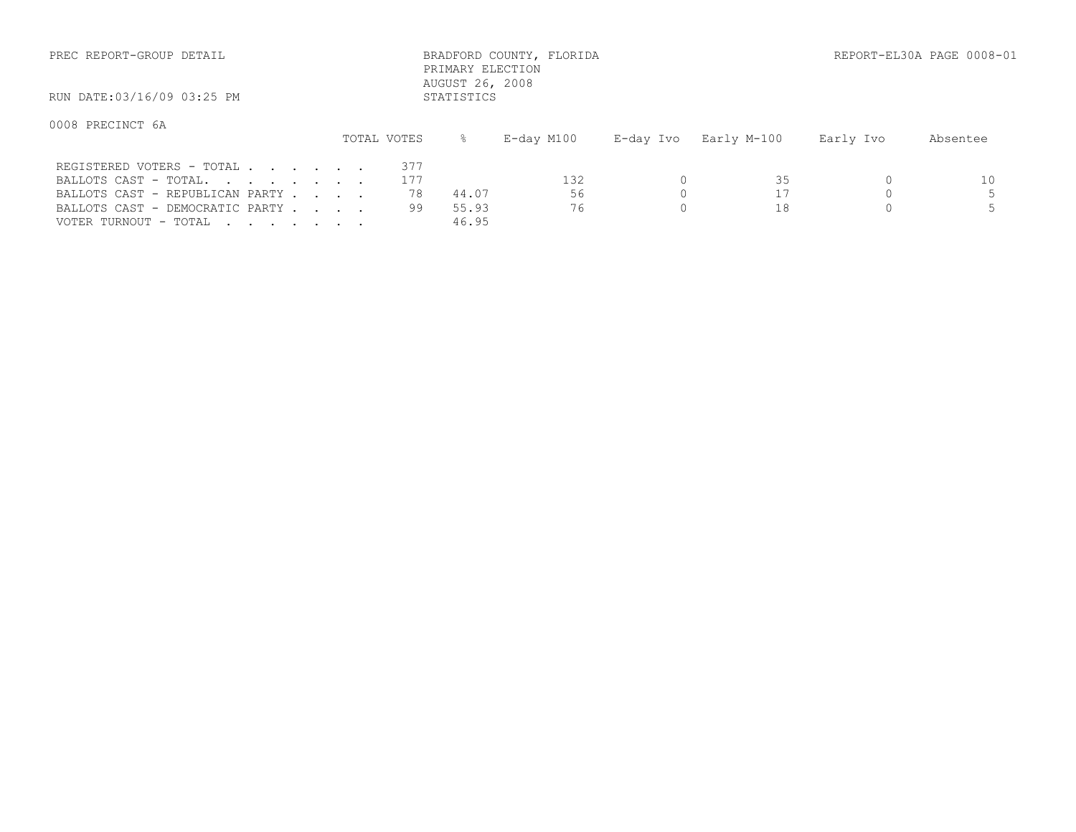| PREC REPORT-GROUP DETAIL                                                              |                  | PRIMARY ELECTION<br>AUGUST 26, 2008 | BRADFORD COUNTY, FLORIDA |           |             |           | REPORT-EL30A PAGE 0008-01 |
|---------------------------------------------------------------------------------------|------------------|-------------------------------------|--------------------------|-----------|-------------|-----------|---------------------------|
| RUN DATE:03/16/09 03:25 PM                                                            |                  | STATISTICS                          |                          |           |             |           |                           |
| 0008 PRECINCT 6A                                                                      | TOTAL VOTES      | ⊱                                   | E-day M100               | E-day Ivo | Early M-100 | Early Ivo | Absentee                  |
| REGISTERED VOTERS - TOTAL<br>BALLOTS CAST - TOTAL.<br>BALLOTS CAST - REPUBLICAN PARTY | 377<br>177<br>78 | 44.07                               | 132<br>56                |           | 35          |           | 10                        |

VOTER TURNOUT - TOTAL . . . . . . . . 46.95

BALLOTS CAST – DEMOCRATIC PARTY . . . 99 55.93 76 0 18 0 5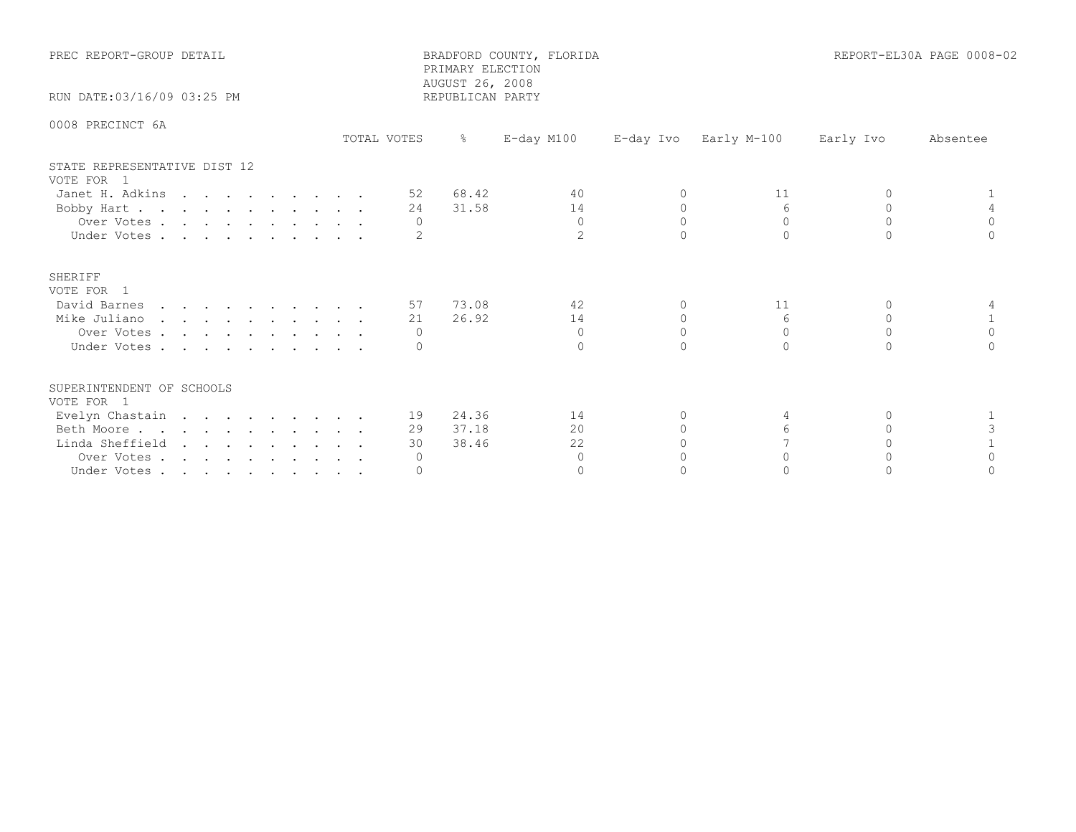| PREC REPORT-GROUP DETAIL                   |             | PRIMARY ELECTION<br>AUGUST 26, 2008 | BRADFORD COUNTY, FLORIDA |           | REPORT-EL30A PAGE 0008-02 |           |          |
|--------------------------------------------|-------------|-------------------------------------|--------------------------|-----------|---------------------------|-----------|----------|
| RUN DATE: 03/16/09 03:25 PM                |             | REPUBLICAN PARTY                    |                          |           |                           |           |          |
| 0008 PRECINCT 6A                           | TOTAL VOTES | $\frac{6}{6}$                       | $E$ -day M100            | E-day Ivo | Early M-100               | Early Ivo | Absentee |
| STATE REPRESENTATIVE DIST 12<br>VOTE FOR 1 |             |                                     |                          |           |                           |           |          |
| Janet H. Adkins                            |             | 68.42<br>52                         | 40                       | $\Omega$  | 11                        | $\Omega$  |          |
| Bobby Hart                                 |             | 31.58<br>24                         | 14                       | $\Omega$  | 6                         | $\Omega$  |          |
| Over Votes                                 |             | $\Omega$                            | $\Omega$                 | $\Omega$  | $\Omega$                  | $\Omega$  | $\Omega$ |
| Under Votes                                |             |                                     | $\overline{2}$           | $\cap$    | $\bigcap$                 | $\cap$    |          |
| SHERIFF<br>VOTE FOR 1                      |             |                                     |                          |           |                           |           |          |
| David Barnes                               |             | 57 73.08                            | 42                       | $\Omega$  | 11                        | $\Omega$  |          |
| Mike Juliano                               |             | 26.92<br>21                         | 14                       | $\Omega$  | 6                         | $\Omega$  |          |
| Over Votes                                 |             | $\Omega$                            | $\Omega$                 | $\Omega$  | $\Omega$                  | $\Omega$  | $\Omega$ |
| Under Votes                                |             |                                     | $\Omega$                 | $\cap$    | $\bigcap$                 | $\cap$    |          |
| SUPERINTENDENT OF SCHOOLS<br>VOTE FOR 1    |             |                                     |                          |           |                           |           |          |
| Evelyn Chastain                            |             | 19 24.36                            | 14                       | 0         | 4                         | $\Omega$  |          |
| Beth Moore                                 |             | 37.18<br>29                         | 20                       | $\bigcap$ | $6 \overline{6}$          | $\cap$    | 3        |
| Linda Sheffield                            |             | 38.46<br>30                         | 22                       |           |                           |           |          |
| Over Votes                                 |             | $\circ$                             | $\Omega$                 |           | $\cap$                    |           | $\cap$   |
| Under Votes                                |             | $\Omega$                            | $\Omega$                 |           |                           |           |          |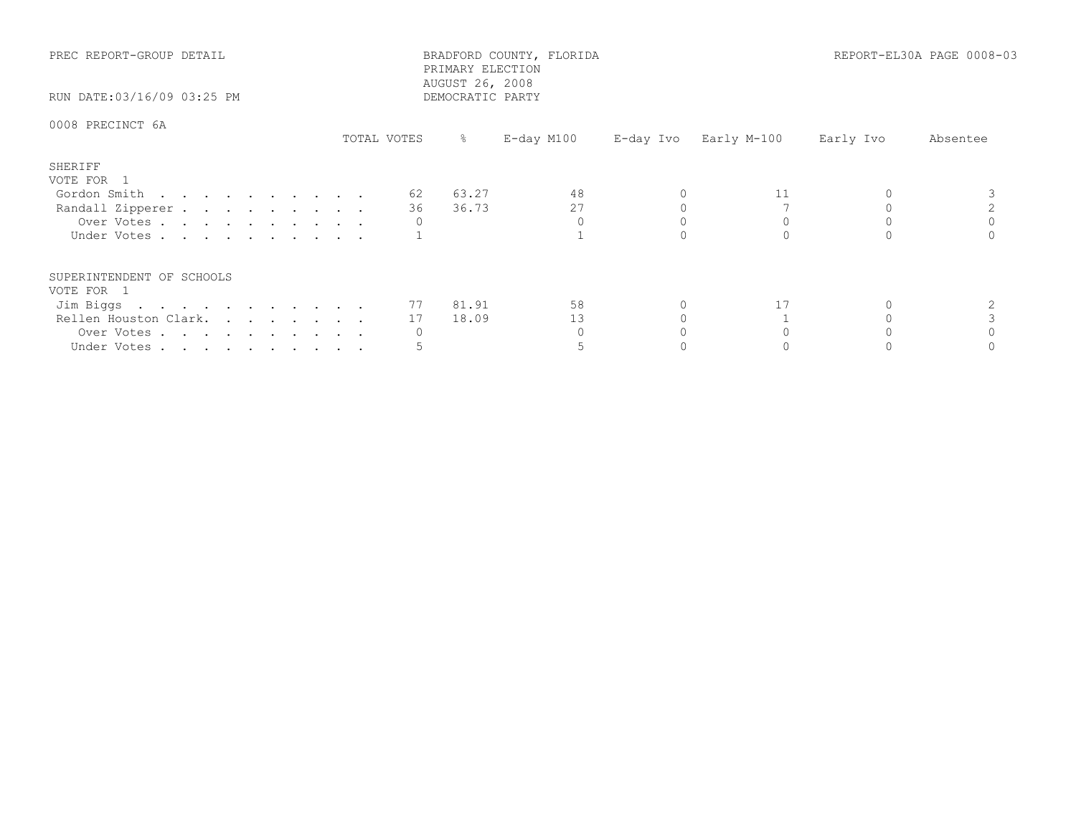| PREC REPORT-GROUP DETAIL<br>RUN DATE:03/16/09 03:25 PM |             | PRIMARY ELECTION<br>AUGUST 26, 2008<br>DEMOCRATIC PARTY | BRADFORD COUNTY, FLORIDA |                       |           | REPORT-EL30A PAGE 0008-03 |
|--------------------------------------------------------|-------------|---------------------------------------------------------|--------------------------|-----------------------|-----------|---------------------------|
| 0008 PRECINCT 6A                                       | TOTAL VOTES | ိ                                                       | E-day M100               | E-day Ivo Early M-100 | Early Ivo | Absentee                  |
| SHERIFF<br>VOTE FOR 1                                  |             |                                                         |                          |                       |           |                           |
| Gordon Smith                                           | 62 —        | 63.27                                                   | 48                       | 11                    |           |                           |
| Randall Zipperer                                       | 36 —        | 36.73                                                   | 27                       |                       |           |                           |
| Over Votes                                             |             |                                                         |                          |                       |           |                           |
| Under Votes                                            |             |                                                         |                          |                       |           |                           |
| SUPERINTENDENT OF SCHOOLS                              |             |                                                         |                          |                       |           |                           |
| VOTE FOR 1                                             |             |                                                         |                          |                       |           |                           |
| Jim Biggs                                              |             | 77 81.91                                                | 58                       | 17                    |           |                           |
| Rellen Houston Clark.                                  | 17          | 18.09                                                   | 13                       |                       |           |                           |
| Over Votes                                             |             |                                                         |                          |                       |           |                           |
| Under Votes                                            |             |                                                         |                          |                       |           |                           |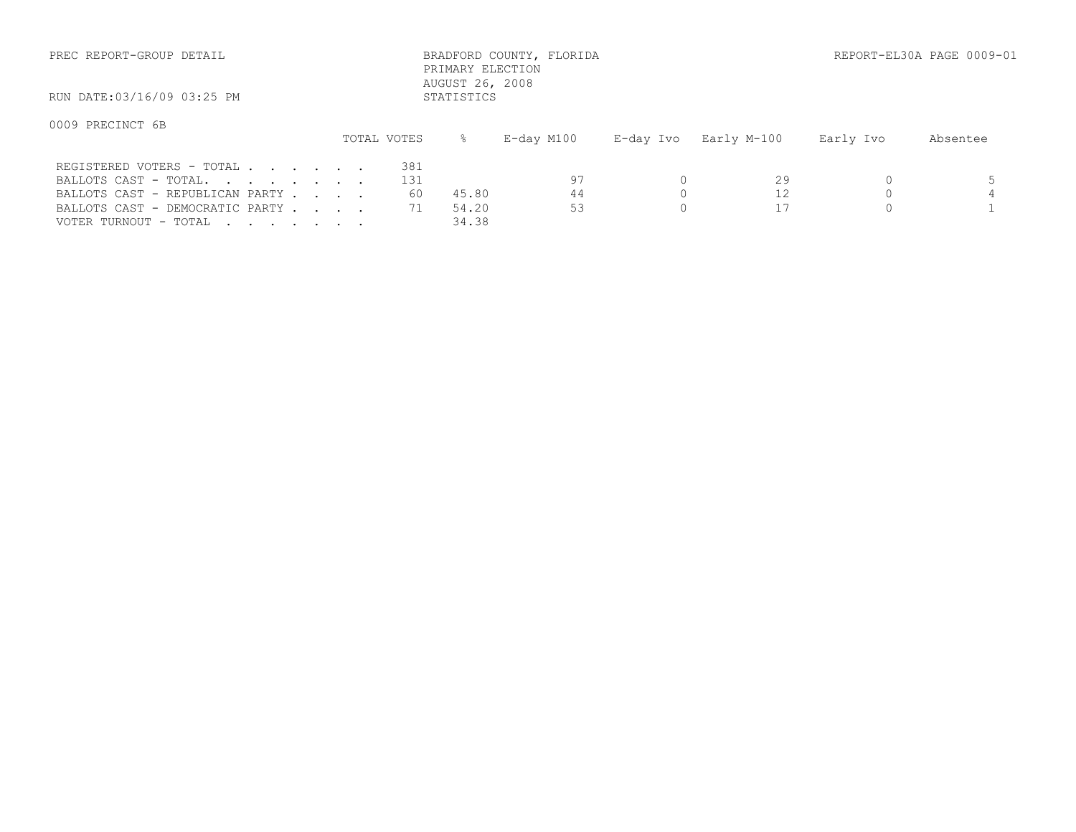| PREC REPORT-GROUP DETAIL                           |             | AUGUST 26, 2008 | BRADFORD COUNTY, FLORIDA<br>PRIMARY ELECTION |           |             |           | REPORT-EL30A PAGE 0009-01 |
|----------------------------------------------------|-------------|-----------------|----------------------------------------------|-----------|-------------|-----------|---------------------------|
| RUN DATE:03/16/09 03:25 PM                         |             | STATISTICS      |                                              |           |             |           |                           |
| 0009 PRECINCT 6B                                   | TOTAL VOTES |                 | E-day M100                                   | E-day Ivo | Early M-100 | Early Ivo | Absentee                  |
| REGISTERED VOTERS - TOTAL<br>BALLOTS CAST - TOTAL. | 381<br>131  |                 | 97                                           |           | 29          |           |                           |

VOTER TURNOUT - TOTAL . . . . . . . . 34.38

BALLOTS CAST - REPUBLICAN PARTY . . . . 60 45.80 44 0 12 0 4 BALLOTS CAST - DEMOCRATIC PARTY . . . 71 54.20 53 0 17 0 17 0 1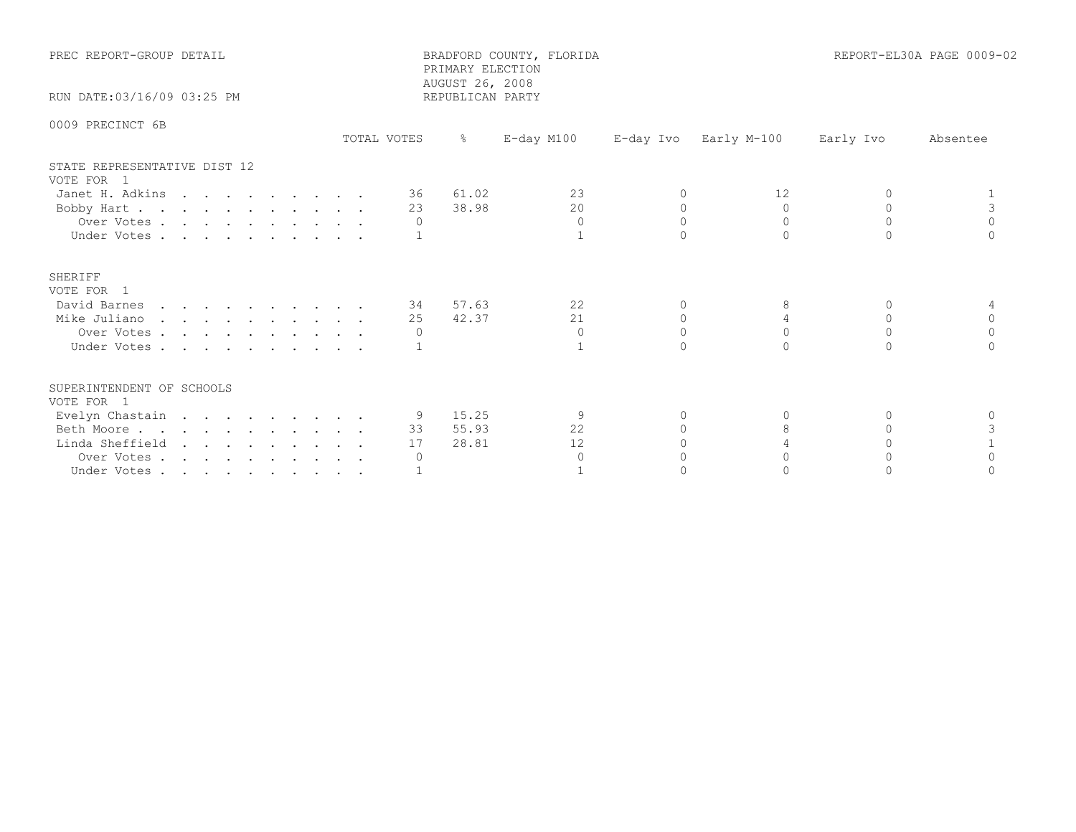| PREC REPORT-GROUP DETAIL                   |             | PRIMARY ELECTION<br>AUGUST 26, 2008 | BRADFORD COUNTY, FLORIDA |           |                       |           | REPORT-EL30A PAGE 0009-02 |
|--------------------------------------------|-------------|-------------------------------------|--------------------------|-----------|-----------------------|-----------|---------------------------|
| RUN DATE:03/16/09 03:25 PM                 |             | REPUBLICAN PARTY                    |                          |           |                       |           |                           |
| 0009 PRECINCT 6B                           | TOTAL VOTES | $\frac{5}{6}$                       | E-day M100               |           | E-day Ivo Early M-100 | Early Ivo | Absentee                  |
| STATE REPRESENTATIVE DIST 12<br>VOTE FOR 1 |             |                                     |                          |           |                       |           |                           |
| Janet H. Adkins                            | 36 —        | 61.02                               | 23                       | $\Omega$  | 12                    | $\Omega$  |                           |
| Bobby Hart                                 | 23          | 38.98                               | 20                       | $\Omega$  | $\Omega$              | $\Omega$  | 3                         |
| Over Votes                                 | $\Omega$    |                                     | $\Omega$                 | $\Omega$  | $\Omega$              | $\Omega$  | $\Omega$                  |
| Under Votes                                |             |                                     |                          |           |                       |           |                           |
| SHERIFF<br>VOTE FOR 1                      |             |                                     |                          |           |                       |           |                           |
| David Barnes                               | 34          | 57.63                               | 22                       | $\Omega$  | 8                     | $\Omega$  |                           |
| Mike Juliano                               | 25          | 42.37                               | 21                       | 0         | 4                     | 0         | 0                         |
| Over Votes                                 |             |                                     | $\Omega$                 | $\cap$    | $\Omega$              | $\cap$    | $\Omega$                  |
| Under Votes                                |             |                                     |                          |           |                       |           |                           |
| SUPERINTENDENT OF SCHOOLS<br>VOTE FOR 1    |             |                                     |                          |           |                       |           |                           |
| Evelyn Chastain                            |             | 9 15.25                             | 9                        | $\Omega$  | 0                     | $\Omega$  | $\Omega$                  |
| Beth Moore.                                | 33          | 55.93                               | 22                       | $\bigcap$ | 8                     | $\cap$    |                           |
| Linda Sheffield                            | 17          | 28.81                               | $12 \overline{ }$        |           |                       |           |                           |
| Over Votes                                 | $\circ$     |                                     | $\Omega$                 |           |                       |           |                           |
| Under Votes                                |             |                                     |                          |           |                       |           |                           |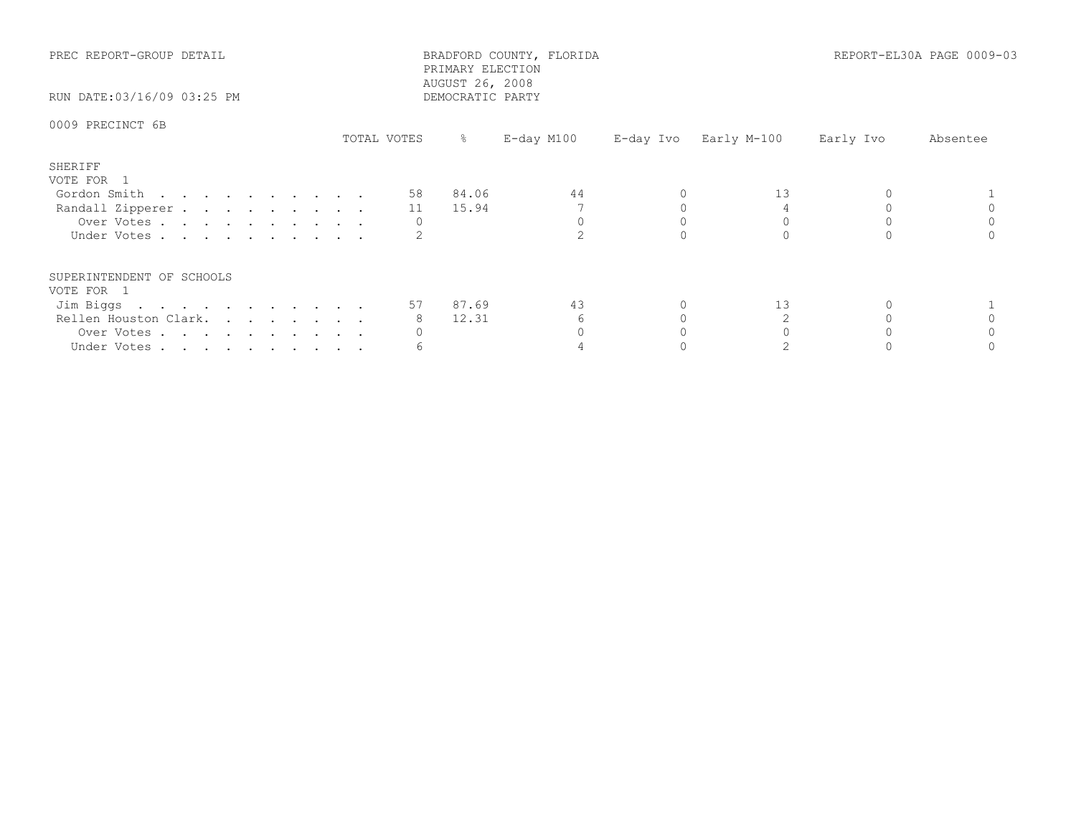| PREC REPORT-GROUP DETAIL<br>RUN DATE:03/16/09 03:25 PM |             | PRIMARY ELECTION<br>AUGUST 26, 2008<br>DEMOCRATIC PARTY | BRADFORD COUNTY, FLORIDA |                       |           | REPORT-EL30A PAGE 0009-03 |
|--------------------------------------------------------|-------------|---------------------------------------------------------|--------------------------|-----------------------|-----------|---------------------------|
| 0009 PRECINCT 6B                                       | TOTAL VOTES | ိ                                                       | E-day M100               | E-day Ivo Early M-100 | Early Ivo | Absentee                  |
| SHERIFF<br>VOTE FOR 1                                  |             |                                                         |                          |                       |           |                           |
| Gordon Smith                                           |             | 58 84.06                                                | 44                       | 13                    |           |                           |
| Randall Zipperer                                       |             | 11 15.94                                                |                          |                       |           |                           |
| Over Votes                                             |             |                                                         |                          |                       |           |                           |
| Under Votes                                            |             |                                                         |                          |                       |           |                           |
| SUPERINTENDENT OF SCHOOLS                              |             |                                                         |                          |                       |           |                           |
| VOTE FOR 1                                             |             | 57 87.69                                                | 43                       | 13                    |           |                           |
| Jim Biggs<br>Rellen Houston Clark.                     | 8           | 12.31                                                   | 6                        |                       |           |                           |
|                                                        |             |                                                         |                          |                       |           |                           |
| Over Votes                                             |             |                                                         |                          |                       |           |                           |
| Under Votes                                            |             |                                                         |                          |                       |           |                           |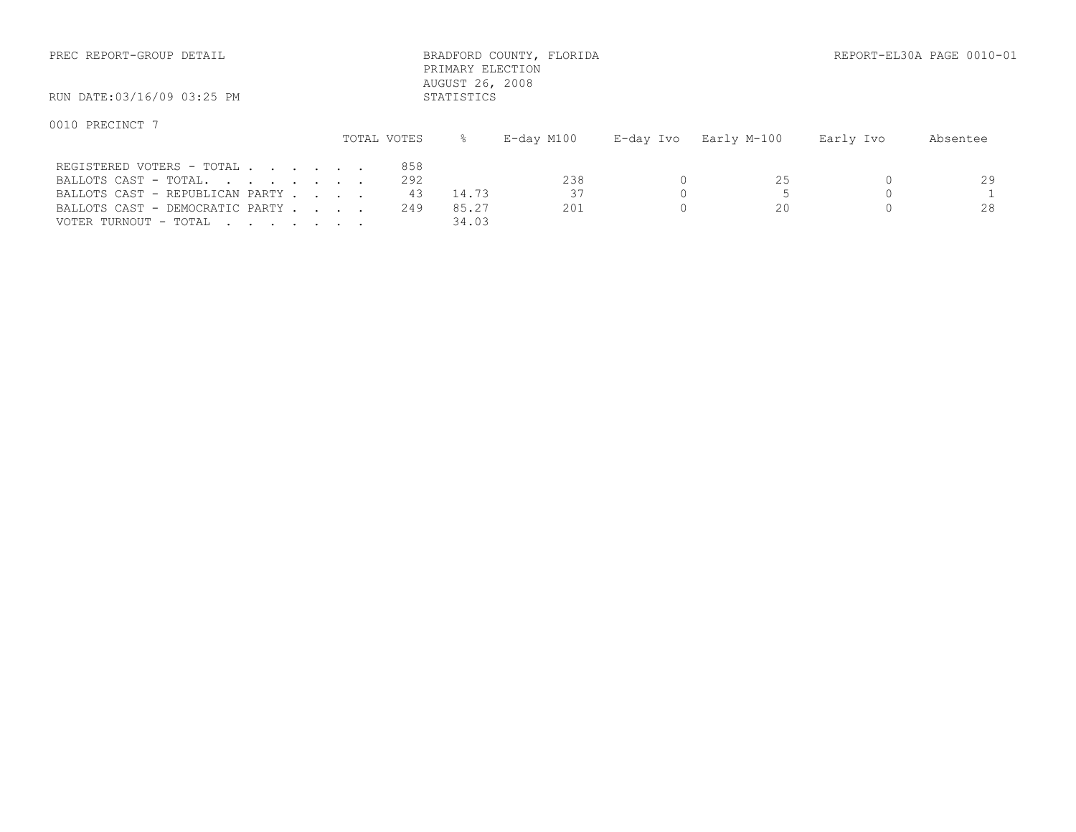| PREC REPORT-GROUP DETAIL        |             | PRIMARY ELECTION<br>AUGUST 26, 2008 | BRADFORD COUNTY, FLORIDA |           |             |           | REPORT-EL30A PAGE 0010 |
|---------------------------------|-------------|-------------------------------------|--------------------------|-----------|-------------|-----------|------------------------|
| RUN DATE:03/16/09 03:25 PM      |             | STATISTICS                          |                          |           |             |           |                        |
| 0010 PRECINCT 7                 | TOTAL VOTES | $\approx$                           | $E$ -day M $100$         | E-day Ivo | Early M-100 | Early Ivo | Absentee               |
| REGISTERED VOTERS - TOTAL       |             | 858                                 |                          |           |             |           |                        |
| BALLOTS CAST - TOTAL.           |             | 292                                 | 238                      |           | 25          |           | 29                     |
| BALLOTS CAST - REPUBLICAN PARTY |             | 43<br>14.73                         | 37                       |           |             |           |                        |
| BALLOTS CAST - DEMOCRATIC PARTY |             | 249<br>85.27                        | 201                      |           | 20          |           | 28                     |

VOTER TURNOUT - TOTAL . . . . . . . . 34.03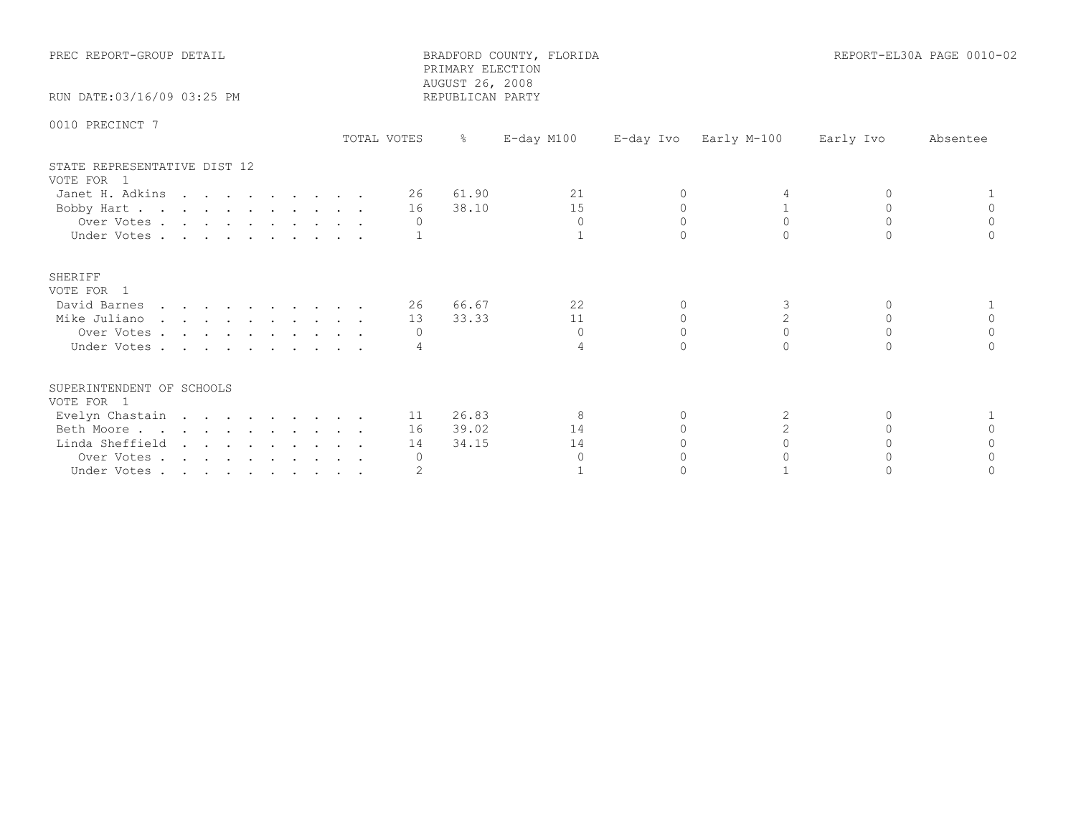| PREC REPORT-GROUP DETAIL                   |             | PRIMARY ELECTION<br>AUGUST 26, 2008 | BRADFORD COUNTY, FLORIDA |           |                       |           | REPORT-EL30A PAGE 0010-02 |
|--------------------------------------------|-------------|-------------------------------------|--------------------------|-----------|-----------------------|-----------|---------------------------|
| RUN DATE: 03/16/09 03:25 PM                |             | REPUBLICAN PARTY                    |                          |           |                       |           |                           |
| 0010 PRECINCT 7                            | TOTAL VOTES | $\frac{6}{6}$                       | E-day M100               |           | E-day Ivo Early M-100 | Early Ivo | Absentee                  |
| STATE REPRESENTATIVE DIST 12<br>VOTE FOR 1 |             |                                     |                          |           |                       |           |                           |
| Janet H. Adkins                            | 26          | 61.90                               | 21                       | $\Omega$  |                       |           |                           |
| Bobby Hart                                 | 16          | 38.10                               | 15                       | $\Omega$  |                       |           |                           |
| Over Votes.                                | $\Omega$    |                                     | $\Omega$                 | $\Omega$  | $\Omega$              | $\Omega$  | $\Omega$                  |
| Under Votes                                |             |                                     |                          |           |                       |           |                           |
| SHERIFF<br>VOTE FOR 1                      |             |                                     |                          |           |                       |           |                           |
| David Barnes                               | 26 —        | 66.67                               | 22                       | $\Omega$  | 3                     | $\Omega$  |                           |
| Mike Juliano                               | 13          | 33.33                               | 11                       | 0         | $\mathbf{2}$          | 0         | 0                         |
| Over Votes                                 |             |                                     | $\Omega$                 | $\cap$    | $\Omega$              | $\cap$    | $\Omega$                  |
| Under Votes                                |             |                                     | 4                        | $\cap$    |                       |           |                           |
| SUPERINTENDENT OF SCHOOLS<br>VOTE FOR 1    |             |                                     |                          |           |                       |           |                           |
| Evelyn Chastain                            |             | 11 26.83                            | 8                        | $\Omega$  | 2                     | $\Omega$  |                           |
| Beth Moore.                                | 16          | 39.02                               | 14                       | $\bigcap$ | $\overline{2}$        | $\cap$    | $\cap$                    |
| Linda Sheffield                            | 14          | 34.15                               | 14                       |           |                       |           |                           |
| Over Votes                                 | $\Omega$    |                                     | $\Omega$                 |           |                       |           |                           |
| Under Votes                                |             |                                     |                          |           |                       |           |                           |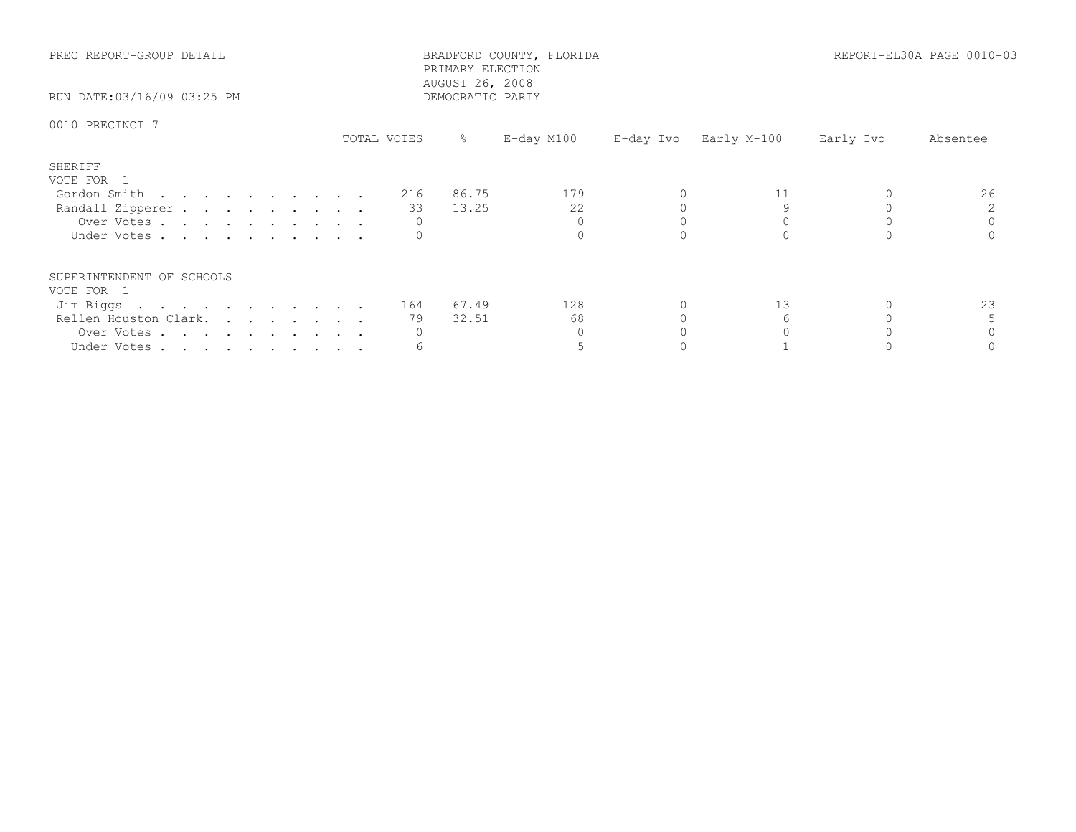| PREC REPORT-GROUP DETAIL<br>RUN DATE:03/16/09 03:25 PM |             |    | PRIMARY ELECTION<br>AUGUST 26, 2008<br>DEMOCRATIC PARTY | BRADFORD COUNTY, FLORIDA |  |                       | REPORT-EL30A PAGE 0010-03 |          |
|--------------------------------------------------------|-------------|----|---------------------------------------------------------|--------------------------|--|-----------------------|---------------------------|----------|
| 0010 PRECINCT 7                                        | TOTAL VOTES |    | $\frac{1}{6}$                                           | E-day M100               |  | E-day Ivo Early M-100 | Early Ivo                 | Absentee |
| SHERIFF<br>VOTE FOR 1                                  |             |    |                                                         |                          |  |                       |                           |          |
| Gordon Smith $\ldots$ 216                              |             |    | 86.75                                                   | 179                      |  | 11                    |                           | 26       |
| Randall Zipperer                                       |             | 33 | 13.25                                                   | 22                       |  |                       |                           |          |
| Over Votes                                             |             |    |                                                         | $\Omega$                 |  |                       |                           |          |
| Under Votes                                            |             |    |                                                         |                          |  |                       |                           |          |
| SUPERINTENDENT OF SCHOOLS<br>VOTE FOR 1                |             |    |                                                         |                          |  |                       |                           |          |
| Jim Biggs 164 67.49                                    |             |    |                                                         | 128                      |  | 13                    |                           | 23       |
| Rellen Houston Clark.                                  |             | 79 | 32.51                                                   | 68                       |  |                       |                           |          |
| Over Votes                                             |             |    |                                                         |                          |  |                       |                           |          |
| Under Votes                                            |             |    |                                                         |                          |  |                       |                           |          |
|                                                        |             |    |                                                         |                          |  |                       |                           |          |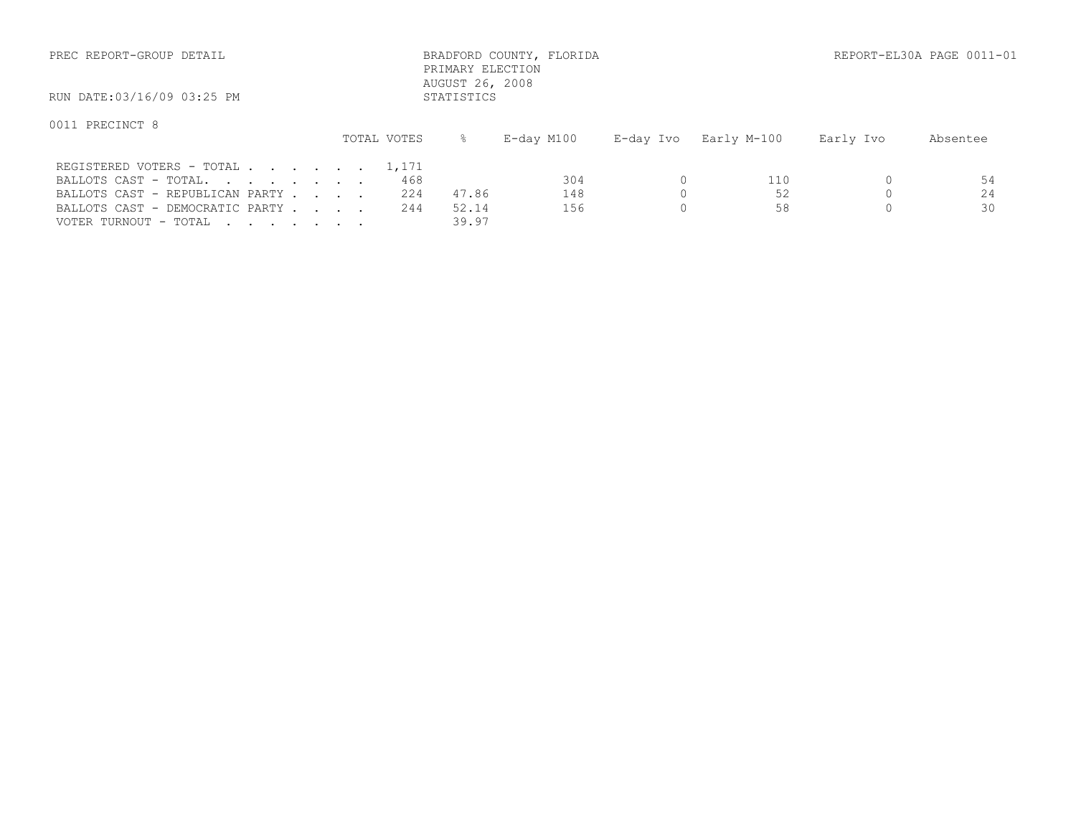| PREC REPORT-GROUP DETAIL                                           |  |              | PRIMARY ELECTION              | BRADFORD COUNTY, FLORIDA |           |             |           | REPORT-EL30A PAGE 0011-01 |
|--------------------------------------------------------------------|--|--------------|-------------------------------|--------------------------|-----------|-------------|-----------|---------------------------|
| RUN DATE:03/16/09 03:25 PM                                         |  |              | AUGUST 26, 2008<br>STATISTICS |                          |           |             |           |                           |
| 0011 PRECINCT 8                                                    |  | TOTAL VOTES  | ⊱                             | E-day M100               | E-day Ivo | Early M-100 | Early Ivo | Absentee                  |
| REGISTERED VOTERS - TOTAL<br>BALLOTS CAST - TOTAL.                 |  | 1,171<br>468 |                               | 304                      |           | 110         |           | 54                        |
| BALLOTS CAST - REPUBLICAN PARTY<br>BALLOTS CAST - DEMOCRATIC PARTY |  | 224<br>244   | 47.86<br>52.14                | 148<br>156               |           | 52<br>58    |           | 24<br>30                  |

VOTER TURNOUT - TOTAL . . . . . . . . 39.97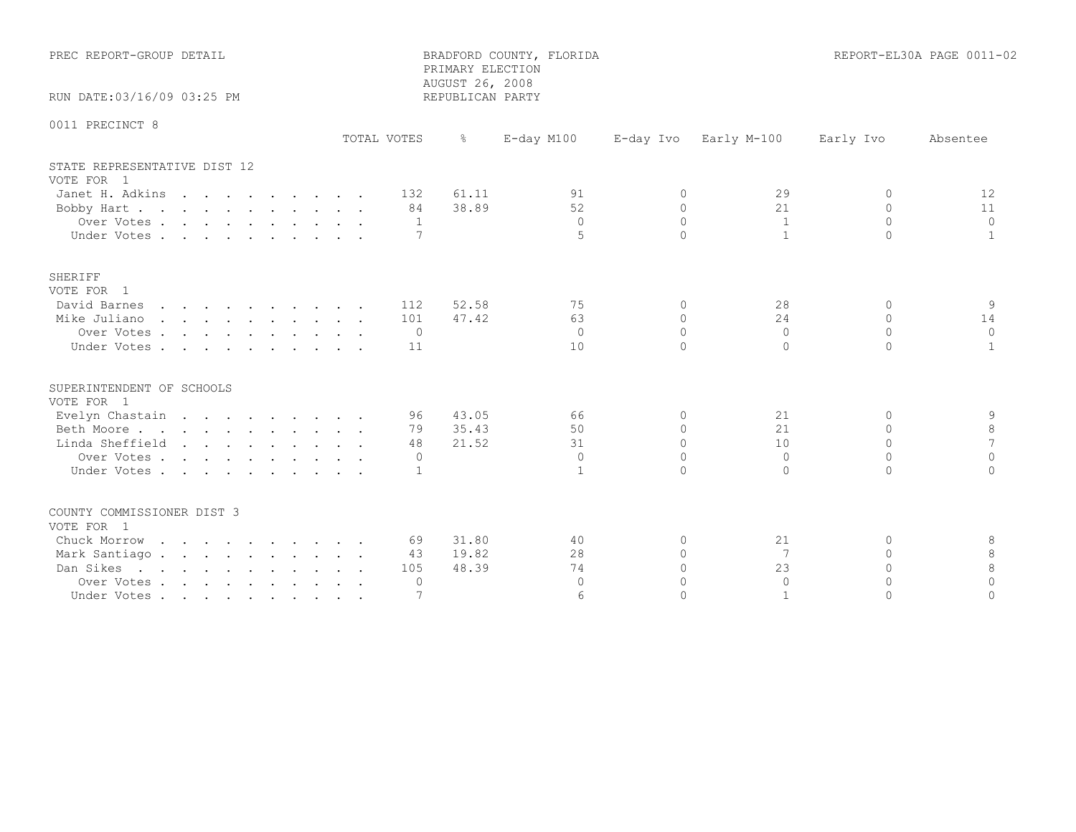| PREC REPORT-GROUP DETAIL                                                                                                  |                                    | PRIMARY ELECTION<br>AUGUST 26, 2008                       | BRADFORD COUNTY, FLORIDA                      |                                                    |                                              |                                                              | REPORT-EL30A PAGE 0011-02             |
|---------------------------------------------------------------------------------------------------------------------------|------------------------------------|-----------------------------------------------------------|-----------------------------------------------|----------------------------------------------------|----------------------------------------------|--------------------------------------------------------------|---------------------------------------|
| RUN DATE:03/16/09 03:25 PM                                                                                                |                                    | REPUBLICAN PARTY                                          |                                               |                                                    |                                              |                                                              |                                       |
| 0011 PRECINCT 8                                                                                                           | TOTAL VOTES                        | $\frac{1}{6}$                                             | $E$ -day M100                                 |                                                    | E-day Ivo Early M-100                        | Early Ivo                                                    | Absentee                              |
| STATE REPRESENTATIVE DIST 12<br>VOTE FOR 1<br>Janet H. Adkins<br>Bobby Hart. 84<br>Over Votes<br>Under Votes              | 132                                | 61.11<br>38.89<br>$\overline{1}$<br>7                     | 91<br>52<br>$\bigcap$<br>5                    | $\Omega$<br>$\Omega$<br>$\cap$<br>$\cap$           | 29<br>21<br>$\overline{1}$<br>$\overline{1}$ | $\Omega$<br>$\Omega$<br>$\Omega$<br>$\Omega$                 | 12<br>11<br>$\Omega$<br>$\mathbf{1}$  |
| SHERIFF<br>VOTE FOR 1<br>David Barnes<br>Mike Juliano<br>Over Votes<br>Under Votes                                        | 112<br>101<br>$\overline{0}$<br>11 | 52.58<br>47.42                                            | 75<br>63<br>$\bigcirc$<br>10                  | $\Omega$<br>$\Omega$<br>$\Omega$<br>$\cap$         | 28<br>24<br>$\overline{0}$<br>$\Omega$       | $\Omega$<br>$\Omega$<br>$\Omega$<br>$\cap$                   | 9<br>14<br>$\Omega$<br>$\overline{1}$ |
| SUPERINTENDENT OF SCHOOLS<br>VOTE FOR 1<br>Evelyn Chastain<br>Beth Moore<br>Linda Sheffield<br>Over Votes.<br>Under Votes |                                    | 43.05<br>96 —<br>79 35.43<br>21.52<br>48<br>$\Omega$<br>1 | 66<br>50<br>31<br>$\Omega$<br>$\mathbf{1}$    | $\Omega$<br>$\Omega$<br>$\Omega$<br>$\cap$         | 21<br>21<br>10<br>$\bigcirc$<br>$\Omega$     | $\Omega$<br>$\mathbf{0}$<br>$\Omega$<br>$\Omega$<br>$\Omega$ | 9<br>8<br>7<br>$\Omega$<br>$\Omega$   |
| COUNTY COMMISSIONER DIST 3<br>VOTE FOR 1<br>Chuck Morrow<br>Mark Santiago.<br>Dan Sikes<br>Over Votes<br>Under Votes      | 105                                | 31.80<br>69 —<br>19.82<br>43<br>48.39<br>$\Omega$         | 40<br>28<br>74<br>$\Omega$<br>$6\overline{6}$ | $\Omega$<br>$\Omega$<br>$\cap$<br>$\cap$<br>$\cap$ | 21<br>7<br>23<br>$\Omega$<br>$\overline{1}$  | $\Omega$<br>$\Omega$<br>$\cap$<br>$\Omega$<br>$\Omega$       | 8<br>8<br>8<br>$\Omega$<br>$\Omega$   |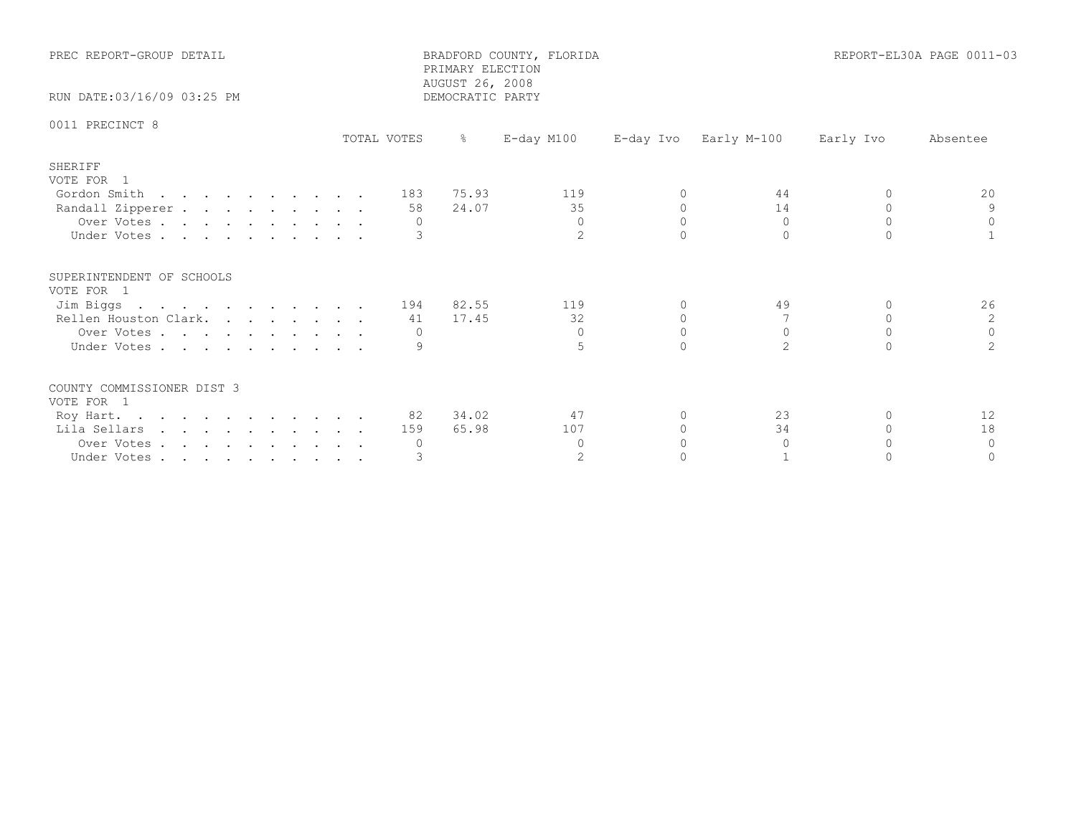| PREC REPORT-GROUP DETAIL                                                                                   |             | BRADFORD COUNTY, FLORIDA<br>PRIMARY ELECTION<br>AUGUST 26, 2008 | REPORT-EL30A PAGE 0011-03              |                                  |                                  |                                              |                                          |
|------------------------------------------------------------------------------------------------------------|-------------|-----------------------------------------------------------------|----------------------------------------|----------------------------------|----------------------------------|----------------------------------------------|------------------------------------------|
| RUN DATE: 03/16/09 03:25 PM                                                                                |             | DEMOCRATIC PARTY                                                |                                        |                                  |                                  |                                              |                                          |
| 0011 PRECINCT 8                                                                                            | TOTAL VOTES |                                                                 | E-day M100                             | E-day Ivo                        | Early M-100                      | Early Ivo                                    | Absentee                                 |
|                                                                                                            |             |                                                                 |                                        |                                  |                                  |                                              |                                          |
| SHERIFF<br>VOTE FOR 1<br>Gordon Smith<br>Randall Zipperer<br>Over Votes<br>Under Votes                     |             | 183 75.93<br>24.07<br>58<br>$\Omega$                            | 119<br>35<br>$\Omega$<br>$\mathcal{P}$ | $\Omega$<br>$\Omega$<br>$\Omega$ | 44<br>14<br>$\Omega$<br>$\Omega$ | $\Omega$<br>$\Omega$<br>$\Omega$<br>$\cap$   | 20<br>9<br>$\Omega$                      |
| SUPERINTENDENT OF SCHOOLS<br>VOTE FOR 1<br>Jim Biggs<br>Rellen Houston Clark.<br>Over Votes<br>Under Votes |             | 194 82.55<br>41 17.45<br>0<br>9                                 | 119<br>32<br>$\Omega$                  | $\circ$<br>$\Omega$              | 49<br>$\Omega$<br>$\overline{2}$ | 0<br>$\Omega$<br>$\Omega$<br>$\cap$          | 26<br>2<br>$\mathbb O$<br>$\overline{2}$ |
| COUNTY COMMISSIONER DIST 3<br>VOTE FOR 1<br>Roy Hart.<br>Lila Sellars<br>Over Votes<br>Under Votes         |             | 82 34.02<br>65.98<br>159<br>0                                   | 47<br>107<br>$\Omega$<br>2             | $\Omega$<br>$\Omega$<br>$\Omega$ | 23<br>34<br>$\Omega$             | $\Omega$<br>$\Omega$<br>$\Omega$<br>$\Omega$ | 12<br>18<br>$\Omega$<br>$\Omega$         |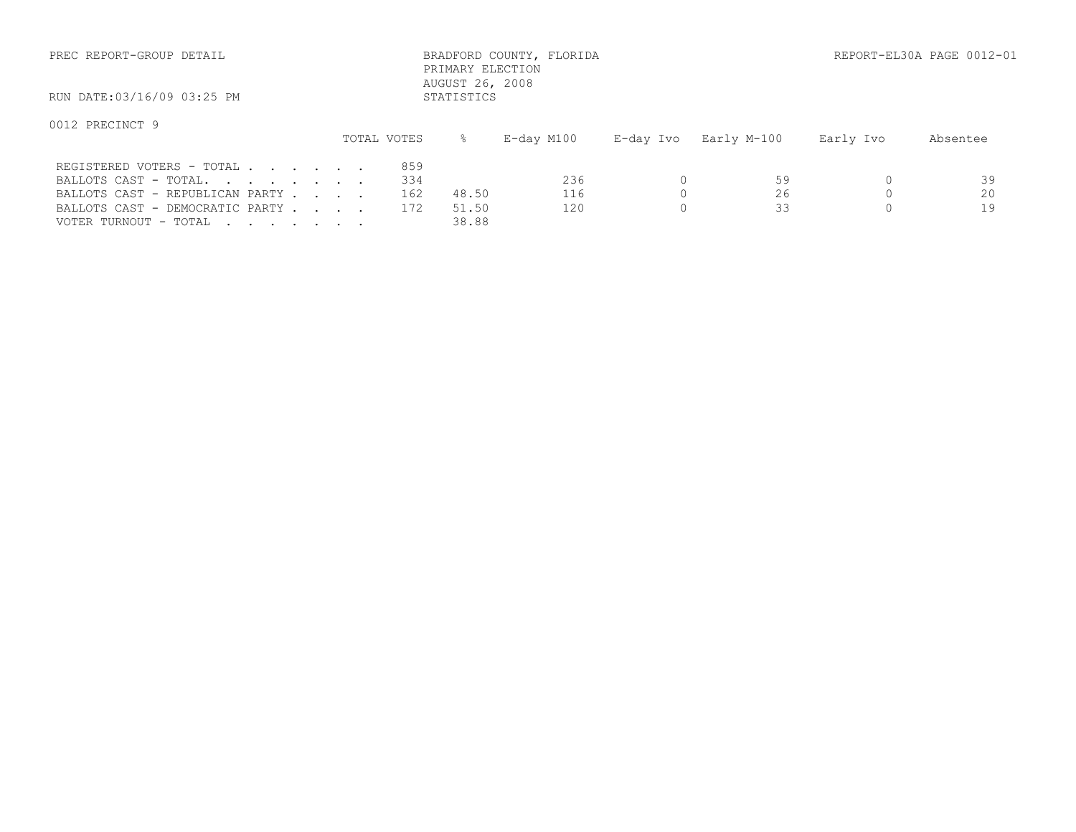| PREC REPORT-GROUP DETAIL        |  |             | PRIMARY ELECTION<br>AUGUST 26, 2008 | BRADFORD COUNTY, FLORIDA |           |             |           | REPORT-EL30A PAGE 0012-01 |
|---------------------------------|--|-------------|-------------------------------------|--------------------------|-----------|-------------|-----------|---------------------------|
| RUN DATE:03/16/09 03:25 PM      |  |             | STATISTICS                          |                          |           |             |           |                           |
| 0012 PRECINCT 9                 |  | TOTAL VOTES | $\approx$                           |                          |           |             |           |                           |
|                                 |  |             |                                     | E-day M100               | E-day Ivo | Early M-100 | Early Ivo | Absentee                  |
| REGISTERED VOTERS - TOTAL       |  | 859         |                                     |                          |           |             |           |                           |
| BALLOTS CAST - TOTAL.           |  | 334         |                                     | 236                      | $\Omega$  | 59          |           | 39                        |
| BALLOTS CAST - REPUBLICAN PARTY |  | 162         | 48.50                               | 116                      | $\Omega$  | 26          | $\Omega$  | 20                        |
| BALLOTS CAST - DEMOCRATIC PARTY |  | 172         | 51.50                               | 120                      | $\Omega$  | 33          |           | 19                        |

VOTER TURNOUT - TOTAL . . . . . . . . 38.88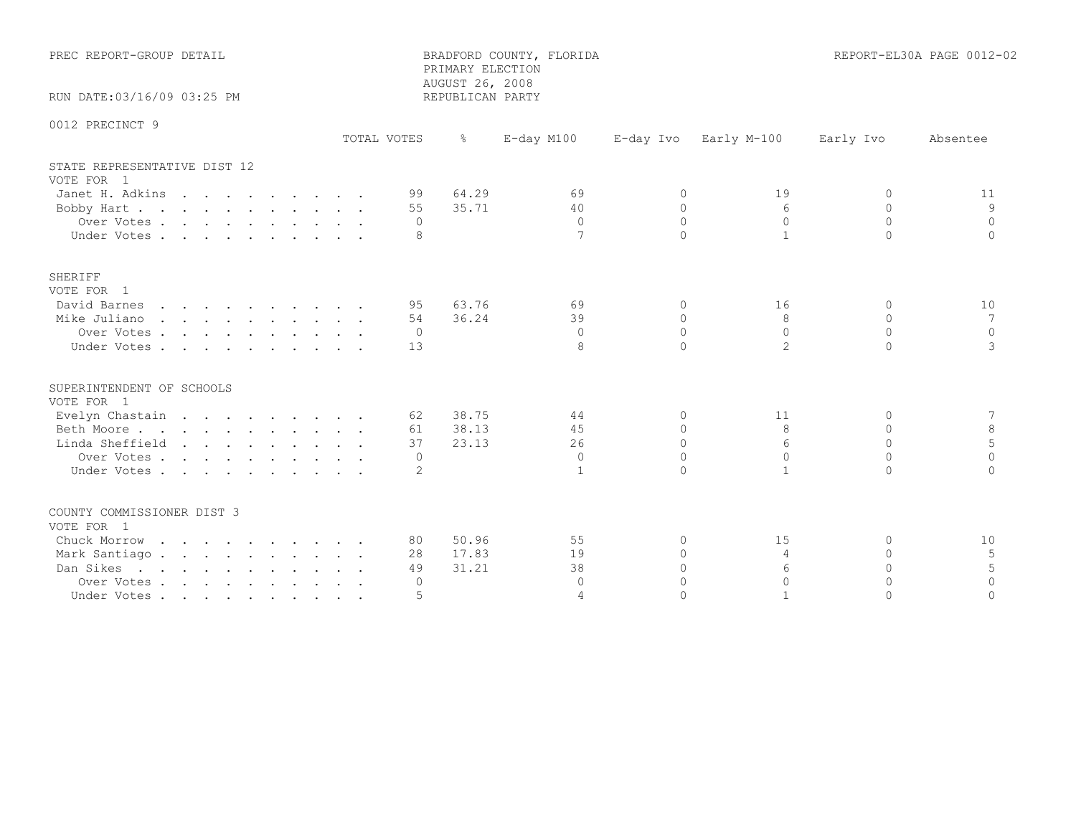| PREC REPORT-GROUP DETAIL                                                                                                  |             | PRIMARY ELECTION<br>AUGUST 26, 2008                           | BRADFORD COUNTY, FLORIDA                 |                                                    |                                                       |                                                            | REPORT-EL30A PAGE 0012-02            |
|---------------------------------------------------------------------------------------------------------------------------|-------------|---------------------------------------------------------------|------------------------------------------|----------------------------------------------------|-------------------------------------------------------|------------------------------------------------------------|--------------------------------------|
| RUN DATE:03/16/09 03:25 PM                                                                                                |             | REPUBLICAN PARTY                                              |                                          |                                                    |                                                       |                                                            |                                      |
| 0012 PRECINCT 9                                                                                                           | TOTAL VOTES | $\frac{5}{6}$                                                 | $E$ -day M100                            | E-day Ivo                                          | Early M-100                                           | Early Ivo                                                  | Absentee                             |
| STATE REPRESENTATIVE DIST 12<br>VOTE FOR 1<br>Janet H. Adkins<br>Bobby Hart.<br>Over Votes<br>Under Votes                 |             | 99 64.29<br>35.71<br>55<br>$\Omega$<br>8                      | 69<br>40<br>$\bigcap$<br>$7\phantom{.0}$ | $\Omega$<br>$\Omega$<br>$\Omega$<br>$\cap$         | 19<br>$6^{6}$<br>$\Omega$<br>$\mathbf{1}$             | 0<br>$\Omega$<br>$\Omega$<br>$\Omega$                      | 11<br>9<br>$\Omega$<br>$\Omega$      |
| SHERIFF<br>VOTE FOR 1<br>David Barnes<br>Mike Juliano<br>Over Votes<br>Under Votes                                        |             | 63.76<br>95<br>36.24<br>54<br>$\overline{0}$<br>13            | 69<br>39<br>$\bigcirc$<br>8              | $\Omega$<br>$\Omega$<br>$\bigcap$<br>$\cap$        | 16<br>8<br>$\Omega$<br>$\overline{2}$                 | $\cap$<br>$\Omega$<br>$\Omega$<br>$\cap$                   | 10<br>7<br>$\overline{0}$<br>3       |
| SUPERINTENDENT OF SCHOOLS<br>VOTE FOR 1<br>Evelyn Chastain<br>Beth Moore<br>Linda Sheffield<br>Over Votes.<br>Under Votes |             | 62 38.75<br>61 38.13<br>23.13<br>37<br>$\Omega$<br>2          | 44<br>45<br>26<br>$\Omega$               | $\Omega$<br>$\Omega$<br>$\Omega$<br>$\Omega$       | 11<br>8<br>6<br>$\Omega$<br>$\mathbf{1}$              | $\Omega$<br>$\mathbf{0}$<br>$\Omega$<br>$\Omega$<br>$\cap$ | 7<br>8<br>5<br>$\Omega$<br>$\Omega$  |
| COUNTY COMMISSIONER DIST 3<br>VOTE FOR 1<br>Chuck Morrow<br>Mark Santiago.<br>Dan Sikes<br>Over Votes<br>Under Votes      |             | 50.96<br>80 —<br>17.83<br>28<br>31.21<br>49<br>$\bigcap$<br>5 | 55<br>19<br>38<br>$\Omega$<br>$\Delta$   | $\Omega$<br>$\Omega$<br>$\cap$<br>$\cap$<br>$\cap$ | 15<br>$\overline{4}$<br>6<br>$\Omega$<br>$\mathbf{1}$ | $\Omega$<br>$\Omega$<br>$\Omega$<br>$\cap$<br>$\Omega$     | 10<br>5<br>5<br>$\Omega$<br>$\Omega$ |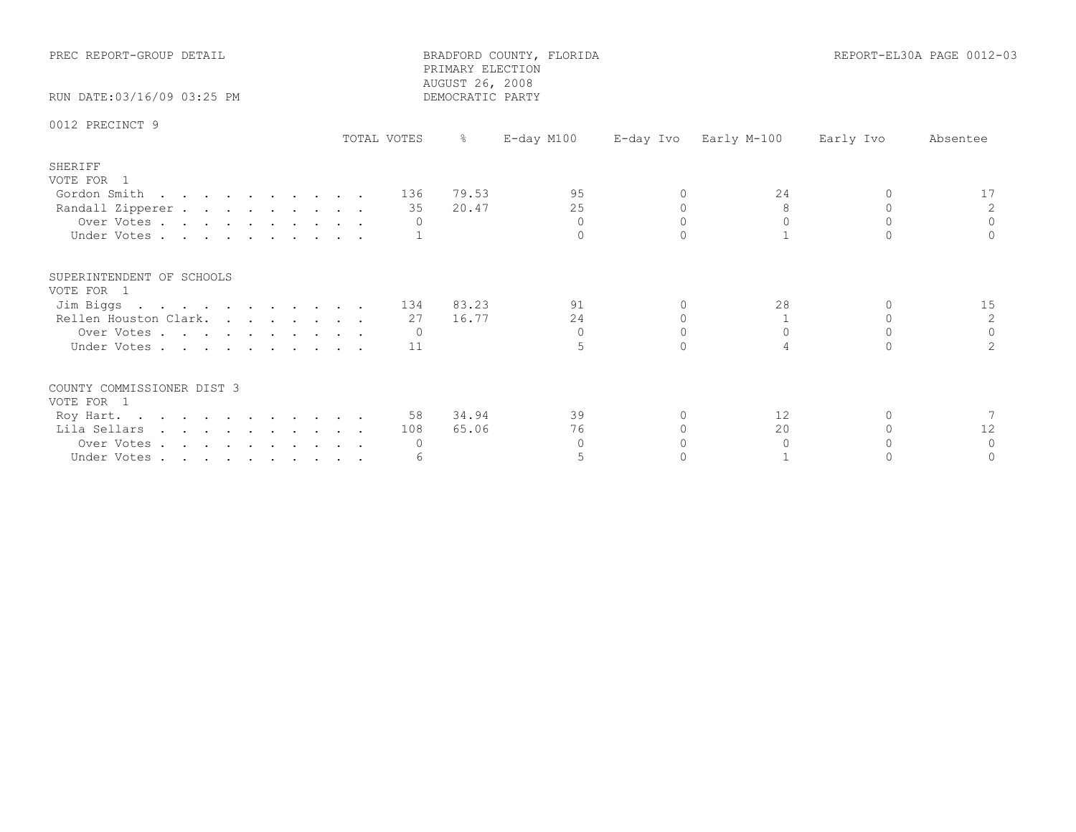| PREC REPORT-GROUP DETAIL<br>RUN DATE: 03/16/09 03:25 PM |             | PRIMARY ELECTION<br>AUGUST 26, 2008<br>DEMOCRATIC PARTY | BRADFORD COUNTY, FLORIDA |          | REPORT-EL30A PAGE 0012-03 |           |               |  |
|---------------------------------------------------------|-------------|---------------------------------------------------------|--------------------------|----------|---------------------------|-----------|---------------|--|
| 0012 PRECINCT 9                                         |             |                                                         |                          |          |                           |           |               |  |
|                                                         | TOTAL VOTES | $\approx$                                               | E-day M100               |          | E-day Ivo Early M-100     | Early Ivo | Absentee      |  |
| SHERIFF<br>VOTE FOR 1                                   |             |                                                         |                          |          |                           |           |               |  |
| Gordon Smith                                            |             | 136 79.53                                               | 95                       | $\Omega$ | 24                        | $\Omega$  | 17            |  |
| Randall Zipperer                                        |             | 20.47<br>35                                             | 25                       |          | 8                         | $\Omega$  |               |  |
| Over Votes                                              |             | $\overline{0}$                                          | $\Omega$<br>$\Omega$     | $\Omega$ | $\Omega$                  | $\Omega$  | $\Omega$      |  |
| Under Votes                                             |             |                                                         |                          |          |                           |           |               |  |
| SUPERINTENDENT OF SCHOOLS<br>VOTE FOR 1                 |             |                                                         |                          |          |                           |           |               |  |
| Jim Biggs                                               |             | 134 83.23                                               | 91                       | 0        | 28                        | $\Omega$  | 15            |  |
| Rellen Houston Clark.                                   |             | 16.77<br>27                                             | 24                       |          |                           |           | 2             |  |
| Over Votes                                              |             | $\overline{0}$                                          | $\Omega$                 | $\Omega$ | $\Omega$                  | $\Omega$  | $\Omega$      |  |
| Under Votes                                             |             | 11                                                      | 5                        |          |                           |           | $\mathcal{L}$ |  |
| COUNTY COMMISSIONER DIST 3<br>VOTE FOR 1                |             |                                                         |                          |          |                           |           |               |  |
| Roy Hart.                                               |             | 58 34.94                                                | 39                       | ∩        | 12                        | $\Omega$  |               |  |
| Lila Sellars                                            |             | 65.06<br>108                                            | 76                       |          | 20                        |           | 12            |  |
| Over Votes                                              |             | 0                                                       | $\Omega$                 |          | $\Omega$                  | $\Omega$  | $\Omega$      |  |
| Under Votes                                             |             | 6                                                       | 5                        |          |                           |           |               |  |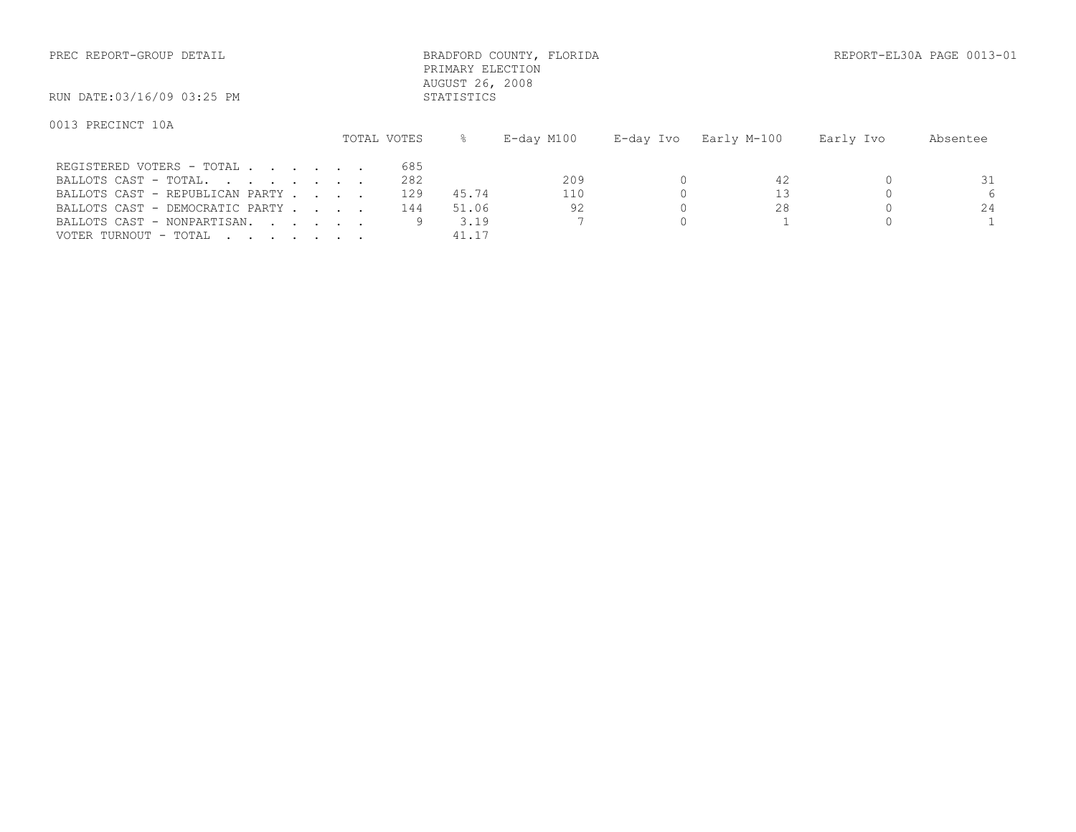| PREC REPORT-GROUP DETAIL | BRADFORD COUNTY, FLORIDA | REPORT-EL30A PAGE 0013-01 |
|--------------------------|--------------------------|---------------------------|
|                          |                          |                           |

 PRIMARY ELECTION AUGUST 26, 2008<br>STATISTICS

RUN DATE:03/16/09 03:25 PM

## 0013 PRECINCT 10A

|                                 |  |  | TOTAL VOTES |       | E-day M100 | E-day Ivo   Early M-100 | Early Ivo | Absentee |
|---------------------------------|--|--|-------------|-------|------------|-------------------------|-----------|----------|
| REGISTERED VOTERS - TOTAL       |  |  | 685         |       |            |                         |           |          |
| BALLOTS CAST - TOTAL.           |  |  | 282         |       | 209        |                         |           |          |
| BALLOTS CAST - REPUBLICAN PARTY |  |  | 129         | 45.74 | 110        |                         |           |          |
| BALLOTS CAST - DEMOCRATIC PARTY |  |  | 144         | 51.06 | 92         | 28                      |           | 24       |
| BALLOTS CAST - NONPARTISAN.     |  |  |             | 3.19  |            |                         |           |          |
| VOTER TURNOUT - TOTAL           |  |  |             | 41.17 |            |                         |           |          |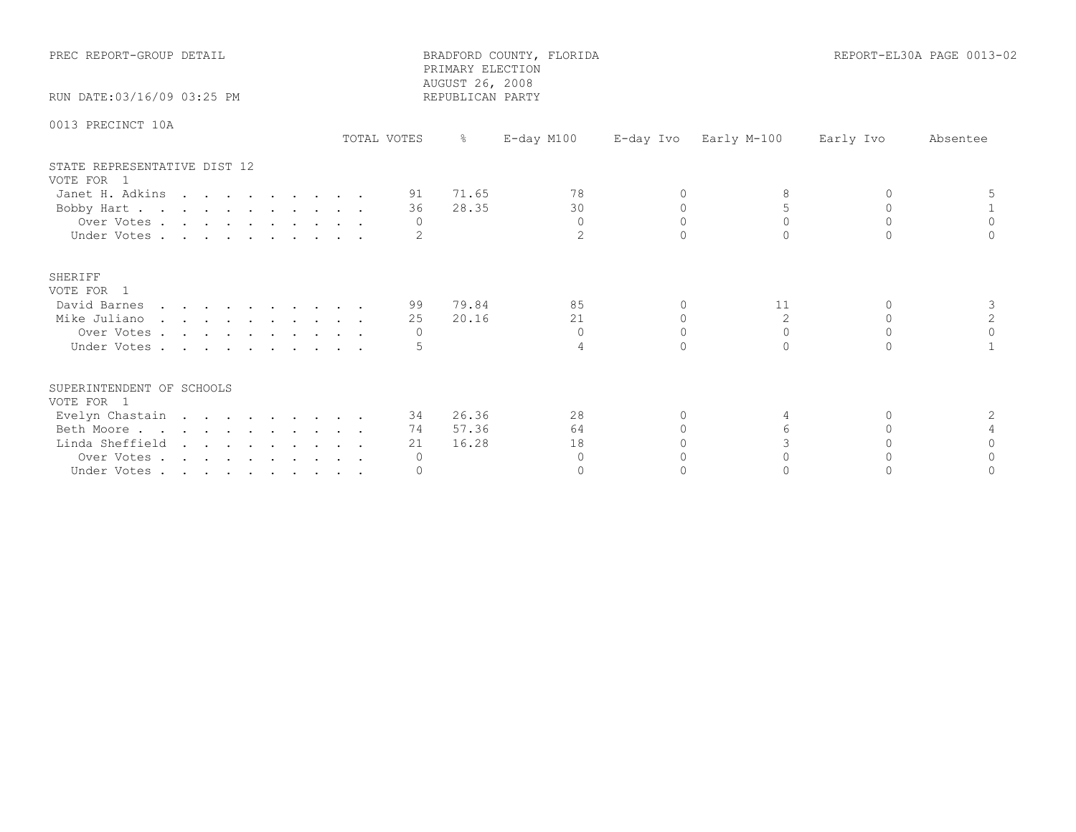| PREC REPORT-GROUP DETAIL                   |             |                 | BRADFORD COUNTY, FLORIDA<br>PRIMARY ELECTION<br>AUGUST 26, 2008 |           |             |           | REPORT-EL30A PAGE 0013-02 |
|--------------------------------------------|-------------|-----------------|-----------------------------------------------------------------|-----------|-------------|-----------|---------------------------|
| RUN DATE: 03/16/09 03:25 PM                |             |                 | REPUBLICAN PARTY                                                |           |             |           |                           |
| 0013 PRECINCT 10A                          | TOTAL VOTES | $\frac{6}{6}$   | $E$ -day M100                                                   | E-day Ivo | Early M-100 | Early Ivo | Absentee                  |
| STATE REPRESENTATIVE DIST 12<br>VOTE FOR 1 |             |                 |                                                                 |           |             |           |                           |
| Janet H. Adkins                            |             | 91 71.65        | 78                                                              | $\Omega$  |             | $\Omega$  |                           |
| Bobby Hart                                 |             | 28.35<br>36     | 30                                                              | $\Omega$  | 5           | $\Omega$  |                           |
| Over Votes                                 |             | $\Omega$        | $\Omega$                                                        | $\Omega$  | $\Omega$    | $\Omega$  | $\Omega$                  |
| Under Votes                                |             |                 | $\overline{2}$                                                  |           |             |           |                           |
| SHERIFF<br>VOTE FOR 1                      |             |                 |                                                                 |           |             |           |                           |
| David Barnes                               |             | 79.84<br>99 - 1 | 85                                                              | $\Omega$  | 11          | $\Omega$  | 3                         |
| Mike Juliano                               |             | 20.16<br>25     | 21                                                              | $\Omega$  | 2           | $\Omega$  | 2                         |
| Over Votes                                 |             | $\Omega$        | $\Omega$                                                        | $\Omega$  | $\Omega$    | $\Omega$  | $\Omega$                  |
| Under Votes                                |             |                 | $\overline{4}$                                                  | $\cap$    | $\cap$      | $\cap$    |                           |
| SUPERINTENDENT OF SCHOOLS<br>VOTE FOR 1    |             |                 |                                                                 |           |             |           |                           |
| Evelyn Chastain                            |             | 34 26.36        | 28                                                              | 0         | 4           | 0         | 2                         |
| Beth Moore                                 |             | 57.36<br>74     | 64                                                              |           | 6           | $\cap$    |                           |
| Linda Sheffield                            |             | 16.28<br>21     | 18                                                              |           | 3           |           |                           |
| Over Votes                                 |             | $\circ$         | $\Omega$                                                        |           | $\cap$      |           |                           |
| Under Votes                                |             | $\Omega$        | $\Omega$                                                        |           |             |           |                           |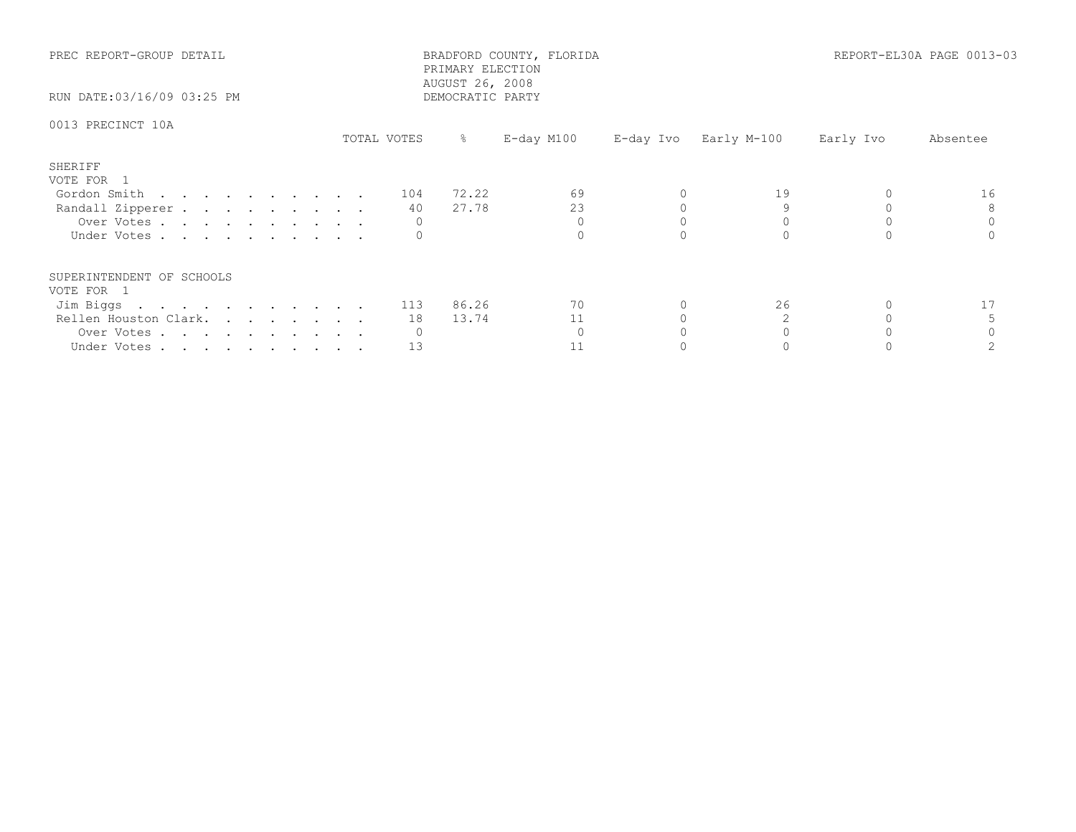| PREC REPORT-GROUP DETAIL<br>RUN DATE:03/16/09 03:25 PM |             | PRIMARY ELECTION<br>AUGUST 26, 2008<br>DEMOCRATIC PARTY | BRADFORD COUNTY, FLORIDA |                       |           | REPORT-EL30A PAGE 0013-03 |
|--------------------------------------------------------|-------------|---------------------------------------------------------|--------------------------|-----------------------|-----------|---------------------------|
| 0013 PRECINCT 10A                                      | TOTAL VOTES | ိ                                                       | E-day M100               | E-day Ivo Early M-100 | Early Ivo | Absentee                  |
| SHERIFF<br>VOTE FOR 1                                  |             |                                                         |                          |                       |           |                           |
| Gordon Smith                                           | 104         | 72.22                                                   | 69                       | 19                    |           | 16                        |
| Randall Zipperer                                       | 40          | 27.78                                                   | 23                       |                       |           |                           |
| Over Votes                                             |             |                                                         |                          |                       |           |                           |
| Under Votes                                            |             |                                                         |                          |                       |           |                           |
| SUPERINTENDENT OF SCHOOLS                              |             |                                                         |                          |                       |           |                           |
| VOTE FOR 1                                             |             |                                                         | 70                       | 26                    |           |                           |
| Jim Biggs 113 86.26                                    |             |                                                         |                          |                       |           |                           |
| Rellen Houston Clark.                                  | 18          | 13.74                                                   | 11                       |                       |           |                           |
| Over Votes                                             | 0           |                                                         |                          |                       |           |                           |
| Under Votes                                            | 13          |                                                         |                          |                       |           |                           |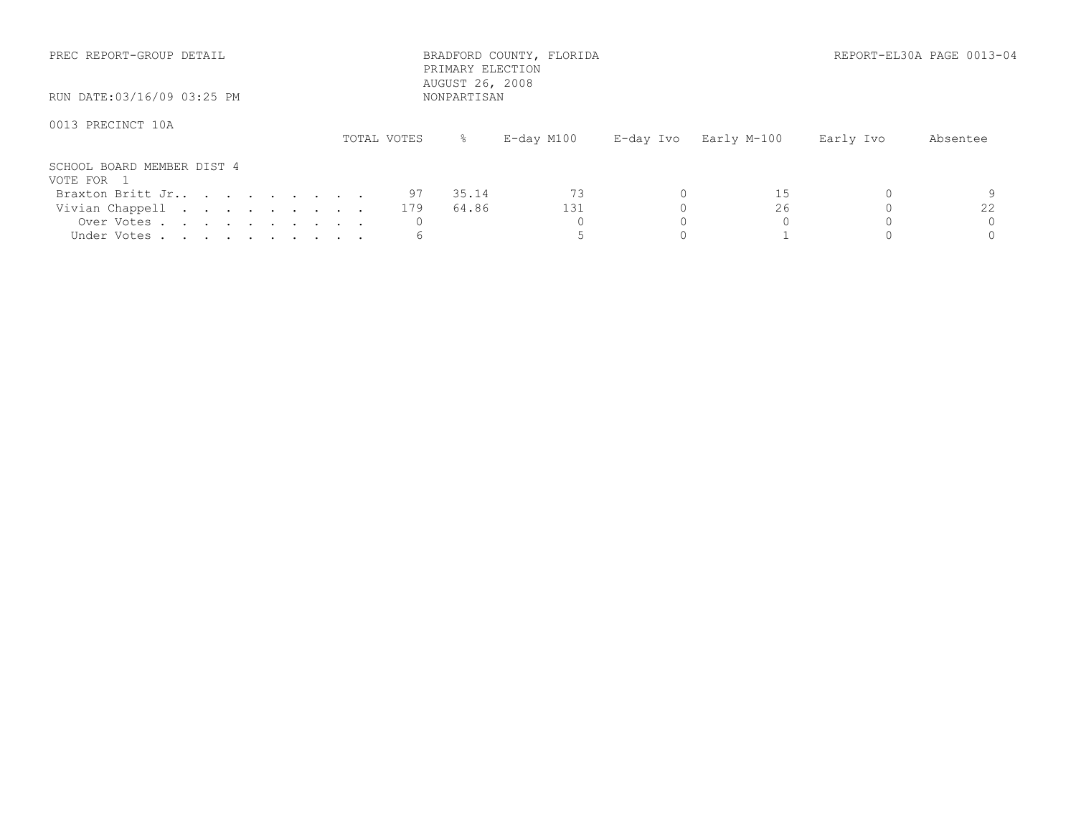| PREC REPORT-GROUP DETAIL                 |             | BRADFORD COUNTY, FLORIDA<br>PRIMARY ELECTION<br>AUGUST 26, 2008 |                          | REPORT-EL30A PAGE 0013-04 |
|------------------------------------------|-------------|-----------------------------------------------------------------|--------------------------|---------------------------|
| RUN DATE:03/16/09 03:25 PM               |             | NONPARTISAN                                                     |                          |                           |
| 0013 PRECINCT 10A                        | TOTAL VOTES | E-day M100<br>ိ ေ                                               | E-day Ivo<br>Early M-100 | Early Ivo<br>Absentee     |
| SCHOOL BOARD MEMBER DIST 4<br>VOTE FOR 1 |             |                                                                 |                          |                           |
| Braxton Britt Jr                         | 97          | 73<br>35.14                                                     | 15                       |                           |
| Vivian Chappell                          | 179         | 131<br>64.86                                                    | 26                       | 22                        |
| Over Votes<br>Under Votes                |             |                                                                 |                          |                           |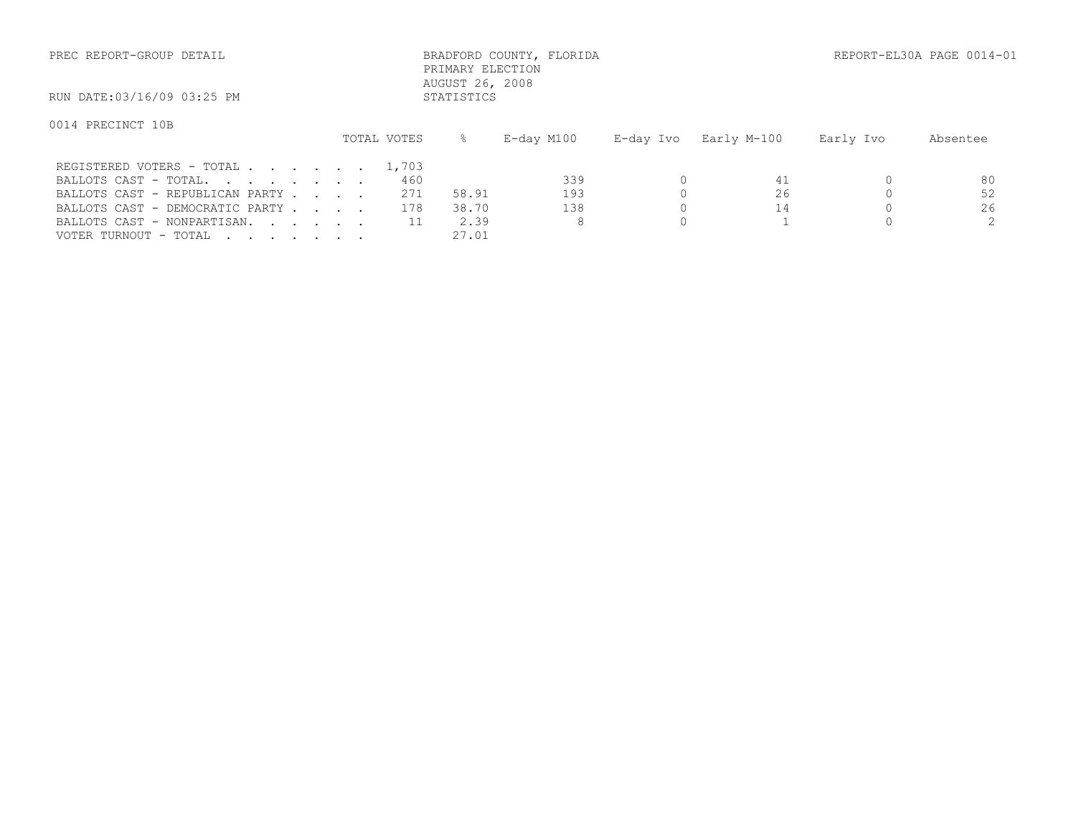| PREC REPORT-GROUP DETAIL                              |                           |               | BRADFORD COUNTY, FLORIDA<br>PRIMARY ELECTION |                                       |           | REPORT-EL30A PAGE 0014 |
|-------------------------------------------------------|---------------------------|---------------|----------------------------------------------|---------------------------------------|-----------|------------------------|
| RUN DATE:03/16/09 03:25 PM                            |                           | STATISTICS    | AUGUST 26, 2008                              |                                       |           |                        |
| 0014 PRECINCT 10B                                     | TOTAL VOTES               | $\frac{9}{6}$ | E-day M100                                   | E-day Ivo Barly M-100                 | Early Ivo | Absentee               |
| REGISTERED VOTERS - TOTAL 1,703<br>DRITOHO CROM MOMRI | $\wedge$ $\subset$ $\cap$ |               | ാററ                                          | $\bigcap$ and $\bigcap$ and $\bigcap$ |           | $\circ$                |

| BALLOTS CAST - TOTAL.           | 460          | 339   |  |    |
|---------------------------------|--------------|-------|--|----|
| BALLOTS CAST - REPUBLICAN PARTY | 271<br>58.91 | ା ଦ - |  | 52 |
| BALLOTS CAST - DEMOCRATIC PARTY | 38.70<br>78  |       |  |    |
| BALLOTS CAST - NONPARTISAN.     |              |       |  |    |
| VOTER TURNOUT - TOTAL           | 27.01        |       |  |    |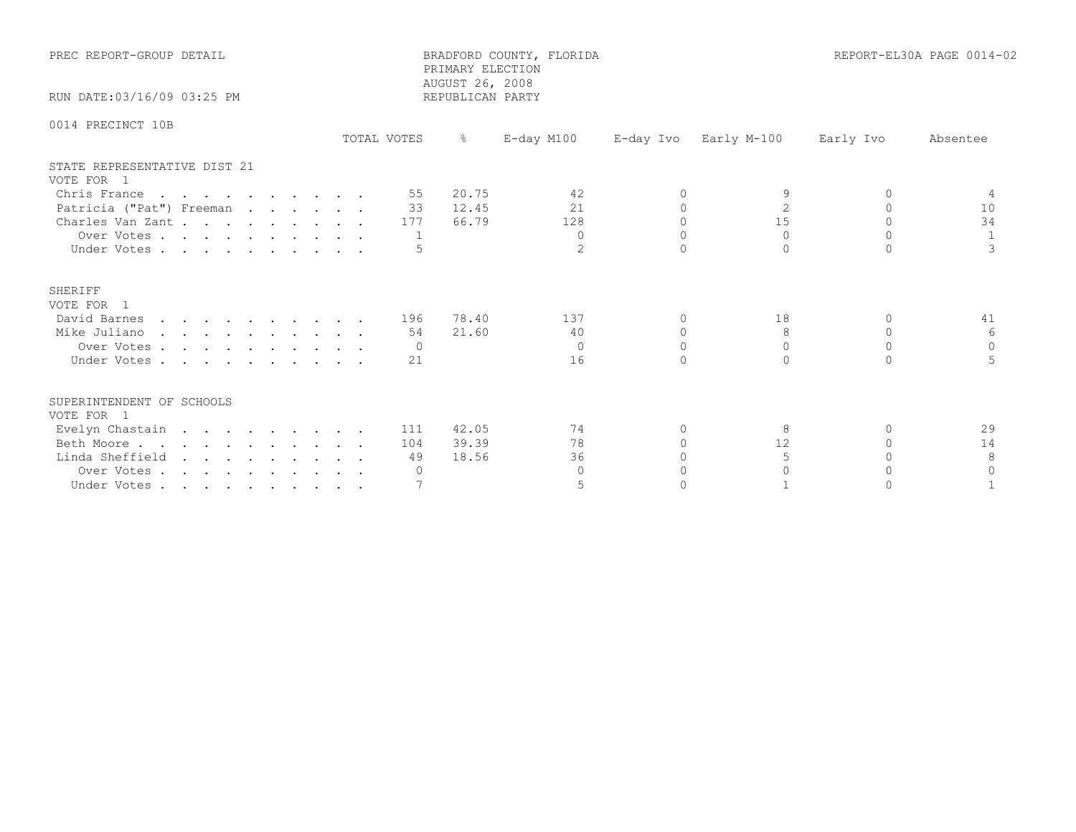| PREC REPORT-GROUP DETAIL<br>RUN DATE: 03/16/09 03:25 PM |             | PRIMARY ELECTION<br>AUGUST 26, 2008<br>REPUBLICAN PARTY | BRADFORD COUNTY, FLORIDA |          |                       |           | REPORT-EL30A PAGE 0014-02 |
|---------------------------------------------------------|-------------|---------------------------------------------------------|--------------------------|----------|-----------------------|-----------|---------------------------|
| 0014 PRECINCT 10B                                       |             |                                                         |                          |          |                       |           |                           |
|                                                         | TOTAL VOTES | $\frac{8}{6}$                                           | E-day M100               |          | E-day Ivo Early M-100 | Early Ivo | Absentee                  |
| STATE REPRESENTATIVE DIST 21<br>VOTE FOR 1              |             |                                                         |                          |          |                       |           |                           |
| Chris France                                            | 55          | 20.75                                                   | 42                       | 0        | 9                     | $\Omega$  | 4                         |
| Patricia ("Pat") Freeman                                |             | 33 12.45                                                | 21                       | $\Omega$ | $\overline{2}$        | $\Omega$  | 10                        |
| Charles Van Zant.                                       | 177         | 66.79                                                   | 128                      | $\Omega$ | 15                    | $\cap$    | 34                        |
| Over Votes                                              |             |                                                         | $\Omega$                 | $\Omega$ | $\Omega$              | $\cap$    |                           |
| Under Votes                                             |             |                                                         | $\overline{2}$           | $\Omega$ | $\Omega$              | $\Omega$  | 3                         |
| <b>SHERIFF</b><br>VOTE FOR 1                            |             |                                                         |                          |          |                       |           |                           |
| David Barnes                                            | 196         | 78.40                                                   | 137                      | $\Omega$ | 18                    | $\Omega$  | 41                        |
| Mike Juliano                                            | 54          | 21.60                                                   | 40                       | $\Omega$ | 8                     | $\Omega$  | -6                        |
| Over Votes                                              | $\Omega$    |                                                         | $\Omega$                 | $\Omega$ | $\Omega$              | $\cap$    | $\Omega$                  |
| Under Votes                                             | 21          |                                                         | 16                       | $\cap$   | $\bigcap$             | $\cap$    |                           |
| SUPERINTENDENT OF SCHOOLS<br>VOTE FOR 1                 |             |                                                         |                          |          |                       |           |                           |
| Evelyn Chastain                                         | 111         | 42.05                                                   | 74                       | $\Omega$ | 8                     | $\Omega$  | 29                        |
| Beth Moore                                              | 104         | 39.39                                                   | 78                       | $\circ$  | 12                    | $\Omega$  | 14                        |
| Linda Sheffield                                         | 49          | 18.56                                                   | 36                       | $\Omega$ | 5                     | $\cap$    | 8                         |
| Over Votes                                              | $\Omega$    |                                                         | $\Omega$                 |          | $\Omega$              |           | $\Omega$                  |
| Under Votes                                             |             |                                                         | 5                        | $\cap$   |                       |           |                           |
|                                                         |             |                                                         |                          |          |                       |           |                           |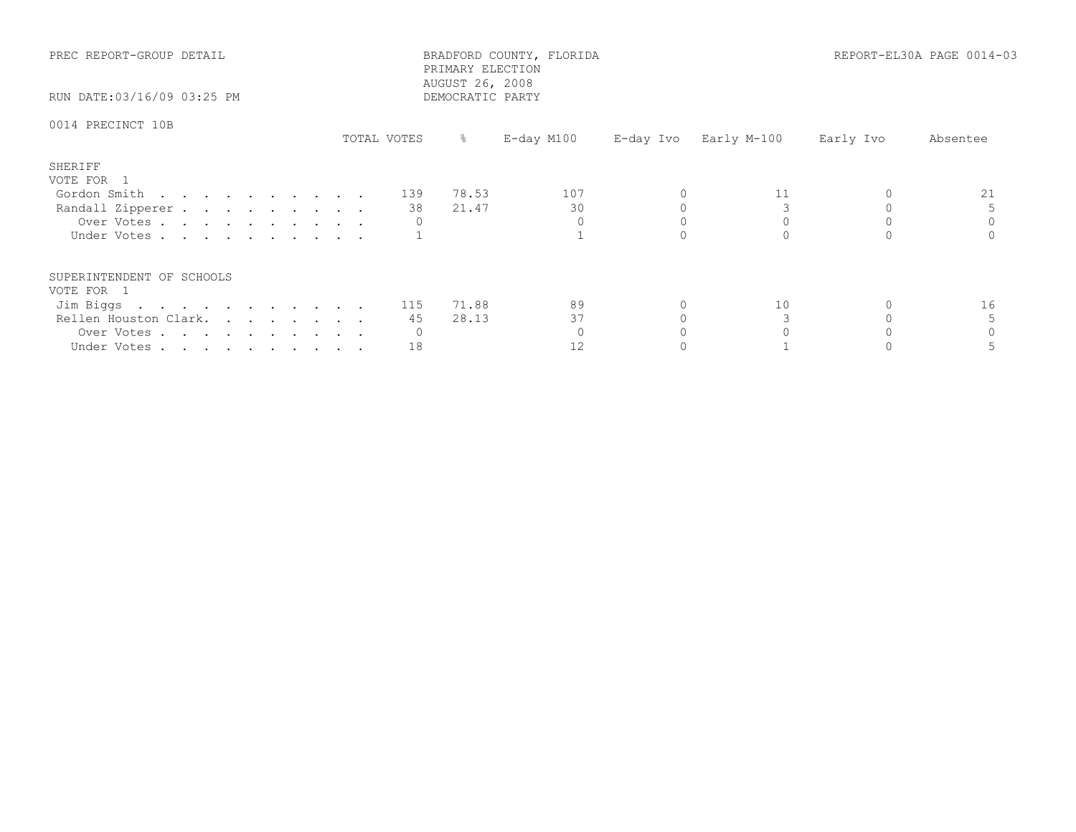| PREC REPORT-GROUP DETAIL<br>RUN DATE:03/16/09 03:25 PM |             | PRIMARY ELECTION<br>AUGUST 26, 2008<br>DEMOCRATIC PARTY | BRADFORD COUNTY, FLORIDA |                       |           | REPORT-EL30A PAGE 0014-03 |
|--------------------------------------------------------|-------------|---------------------------------------------------------|--------------------------|-----------------------|-----------|---------------------------|
| 0014 PRECINCT 10B                                      | TOTAL VOTES | ိ                                                       | E-day M100               | E-day Ivo Early M-100 | Early Ivo | Absentee                  |
| SHERIFF<br>VOTE FOR 1                                  |             |                                                         |                          |                       |           |                           |
| Gordon Smith 139 78.53                                 |             |                                                         | 107                      | 11                    |           | 21                        |
| Randall Zipperer                                       | 38 —        | 21.47                                                   | 30                       |                       |           |                           |
| Over Votes                                             |             |                                                         |                          |                       |           |                           |
| Under Votes                                            |             |                                                         |                          |                       |           |                           |
| SUPERINTENDENT OF SCHOOLS                              |             |                                                         |                          |                       |           |                           |
| VOTE FOR 1                                             |             |                                                         |                          |                       |           |                           |
| Jim Biggs 115 71.88                                    |             |                                                         | 89                       | 10                    |           | 16                        |
| Rellen Houston Clark.                                  | 45          | 28.13                                                   | 37                       |                       |           |                           |
| Over Votes                                             | 0           |                                                         |                          |                       |           |                           |
| Under Votes                                            | 18          |                                                         |                          |                       |           |                           |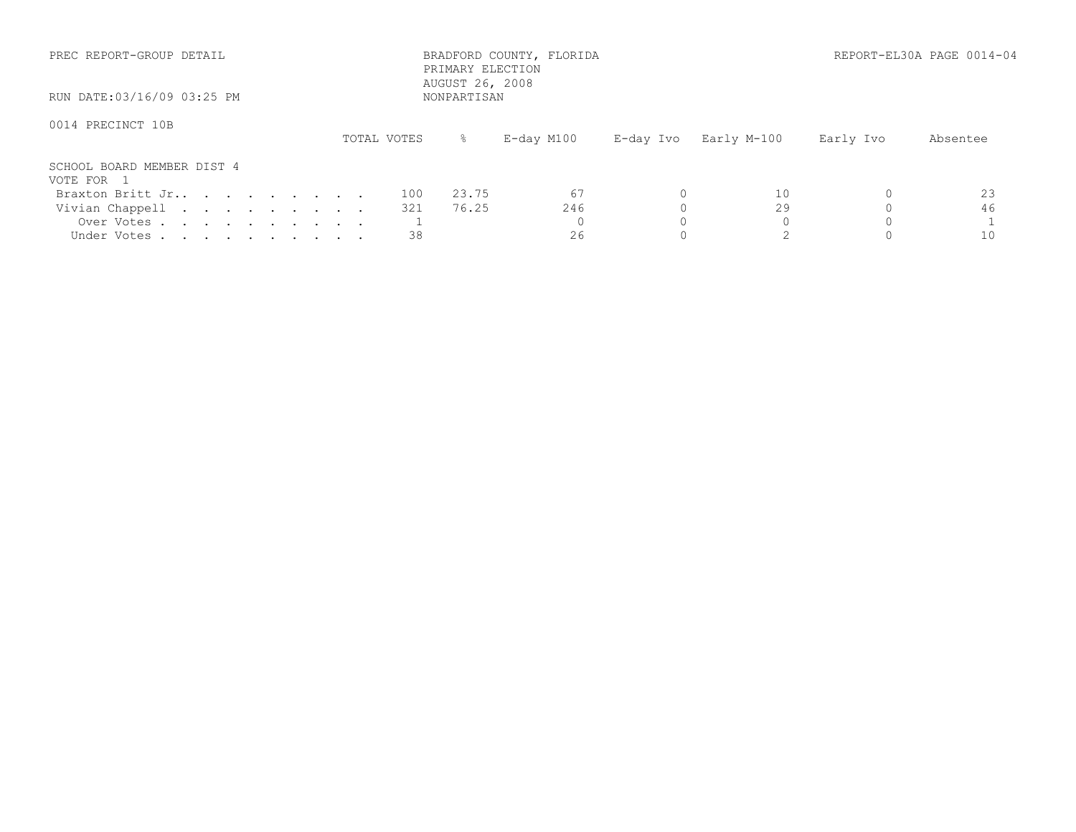| PREC REPORT-GROUP DETAIL<br>RUN DATE:03/16/09 03:25 PM |             | PRIMARY ELECTION<br>AUGUST 26, 2008<br>NONPARTISAN | BRADFORD COUNTY, FLORIDA |           | REPORT-EL30A PAGE 0014-04 |           |          |  |
|--------------------------------------------------------|-------------|----------------------------------------------------|--------------------------|-----------|---------------------------|-----------|----------|--|
|                                                        |             |                                                    |                          |           |                           |           |          |  |
| 0014 PRECINCT 10B                                      | TOTAL VOTES | $\approx$                                          | $E$ -day M $100$         | E-day Ivo | Early M-100               | Early Ivo | Absentee |  |
| SCHOOL BOARD MEMBER DIST 4<br>VOTE FOR 1               |             |                                                    |                          |           |                           |           |          |  |
| Braxton Britt Jr                                       | 100         | 23.75                                              | -67                      |           | 10                        |           | 23       |  |
| Vivian Chappell                                        | 321         | 76.25                                              | 246                      |           | 29                        |           | 46       |  |
| Over Votes                                             |             |                                                    |                          |           |                           |           |          |  |
| Under Votes                                            | 38          |                                                    | 26                       |           |                           |           | 10       |  |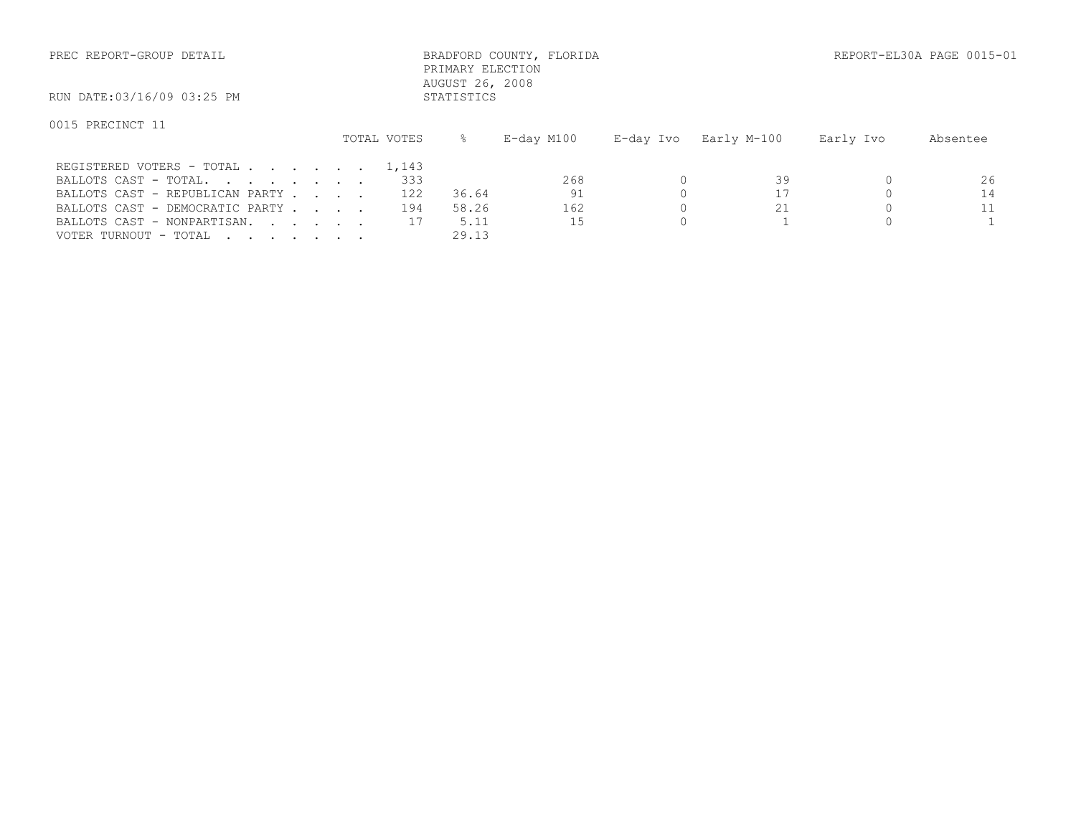| PREC REPORT-GROUP DETAIL        |  |             | PRIMARY ELECTION<br>AUGUST 26, 2008 | BRADFORD COUNTY, FLORIDA |           |             |           | REPORT-EL30A PAGE 0015-01 |
|---------------------------------|--|-------------|-------------------------------------|--------------------------|-----------|-------------|-----------|---------------------------|
| RUN DATE:03/16/09 03:25 PM      |  |             | STATISTICS                          |                          |           |             |           |                           |
| 0015 PRECINCT 11                |  | TOTAL VOTES | ⊱                                   | E-day M100               | E-day Ivo | Early M-100 | Early Ivo | Absentee                  |
| REGISTERED VOTERS - TOTAL       |  | 1,143       |                                     |                          |           |             |           |                           |
| BALLOTS CAST - TOTAL.           |  | 333         |                                     | 268                      |           | 39          |           | 26                        |
| BALLOTS CAST - REPUBLICAN PARTY |  | 122         | 36.64                               | 91                       |           |             |           | 14                        |
| BALLOTS CAST - DEMOCRATIC PARTY |  | 194         | 58.26                               | 162                      |           | 21          |           | 11                        |
| BALLOTS CAST - NONPARTISAN.     |  |             | 5.11                                | 15                       |           |             |           |                           |

VOTER TURNOUT - TOTAL . . . . . . . 29.13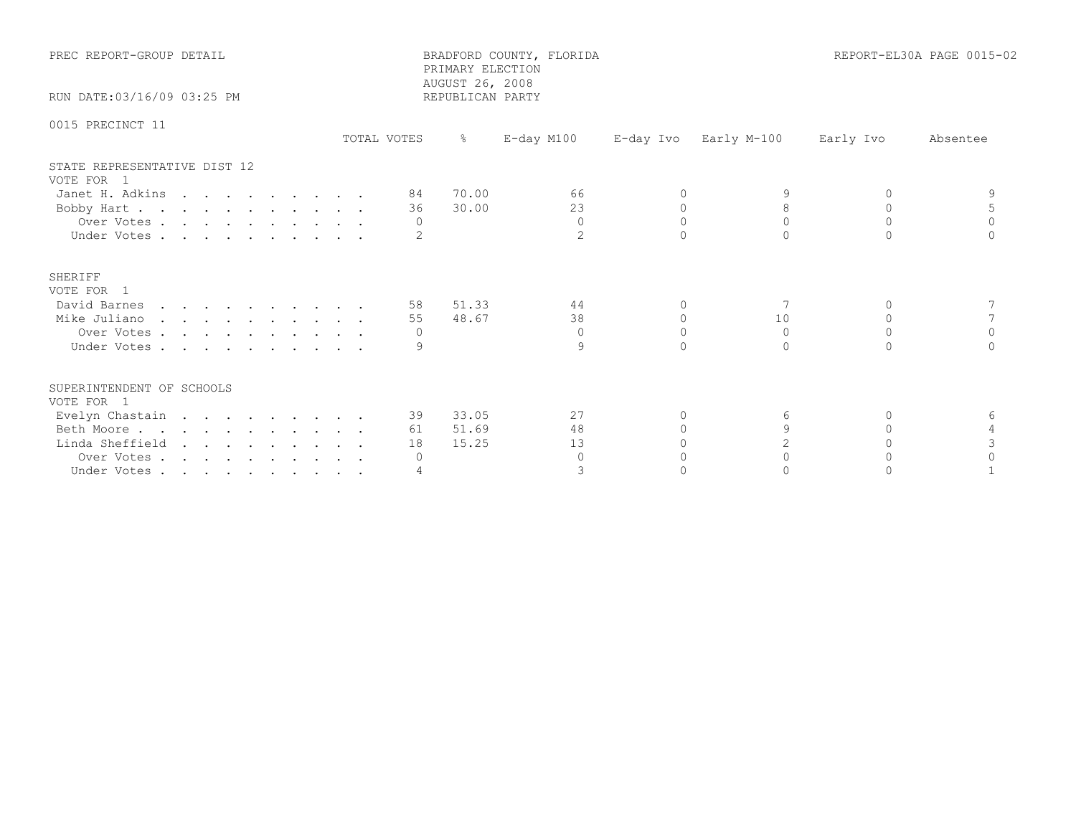| PREC REPORT-GROUP DETAIL                   |             | PRIMARY ELECTION<br>AUGUST 26, 2008 | BRADFORD COUNTY, FLORIDA |           |                |           | REPORT-EL30A PAGE 0015-02 |
|--------------------------------------------|-------------|-------------------------------------|--------------------------|-----------|----------------|-----------|---------------------------|
| RUN DATE: 03/16/09 03:25 PM                |             | REPUBLICAN PARTY                    |                          |           |                |           |                           |
| 0015 PRECINCT 11                           | TOTAL VOTES | $\frac{6}{6}$                       | $E$ -day M100            | E-day Ivo | Early M-100    | Early Ivo | Absentee                  |
| STATE REPRESENTATIVE DIST 12<br>VOTE FOR 1 |             |                                     |                          |           |                |           |                           |
| Janet H. Adkins                            |             | 70.00<br>84                         | 66                       | $\Omega$  |                | $\Omega$  |                           |
| Bobby Hart                                 |             | 30.00<br>36                         | 23                       | $\Omega$  | 8              | $\Omega$  |                           |
| Over Votes                                 |             | $\Omega$                            | $\Omega$                 | $\Omega$  | $\Omega$       | $\Omega$  | $\Omega$                  |
| Under Votes                                |             |                                     | $\overline{2}$           |           | $\cap$         |           |                           |
| SHERIFF<br>VOTE FOR 1                      |             |                                     |                          |           |                |           |                           |
| David Barnes                               |             | 51.33<br>58                         | 44                       | $\Omega$  |                | $\cap$    |                           |
| Mike Juliano                               |             | 48.67<br>55                         | 38                       | $\Omega$  | 10             | $\Omega$  |                           |
| Over Votes                                 |             | $\Omega$                            | $\Omega$                 | $\Omega$  | $\Omega$       | $\Omega$  | $\Omega$                  |
| Under Votes                                |             |                                     | 9                        | $\cap$    | $\Omega$       | $\cap$    |                           |
| SUPERINTENDENT OF SCHOOLS<br>VOTE FOR 1    |             |                                     |                          |           |                |           |                           |
| Evelyn Chastain                            |             | 33.05<br>39                         | 27                       | 0         | 6              | $\Omega$  | 6                         |
| Beth Moore                                 |             | 51.69<br>61                         | 48                       |           | $\mathsf{Q}$   | $\cap$    |                           |
| Linda Sheffield                            |             | 15.25<br>18                         | 13                       |           | $\overline{c}$ |           |                           |
| Over Votes                                 |             | $\circ$                             | $\Omega$                 |           | $\bigcap$      | $\cap$    | $\cap$                    |
| Under Votes                                |             |                                     | 3                        |           |                |           |                           |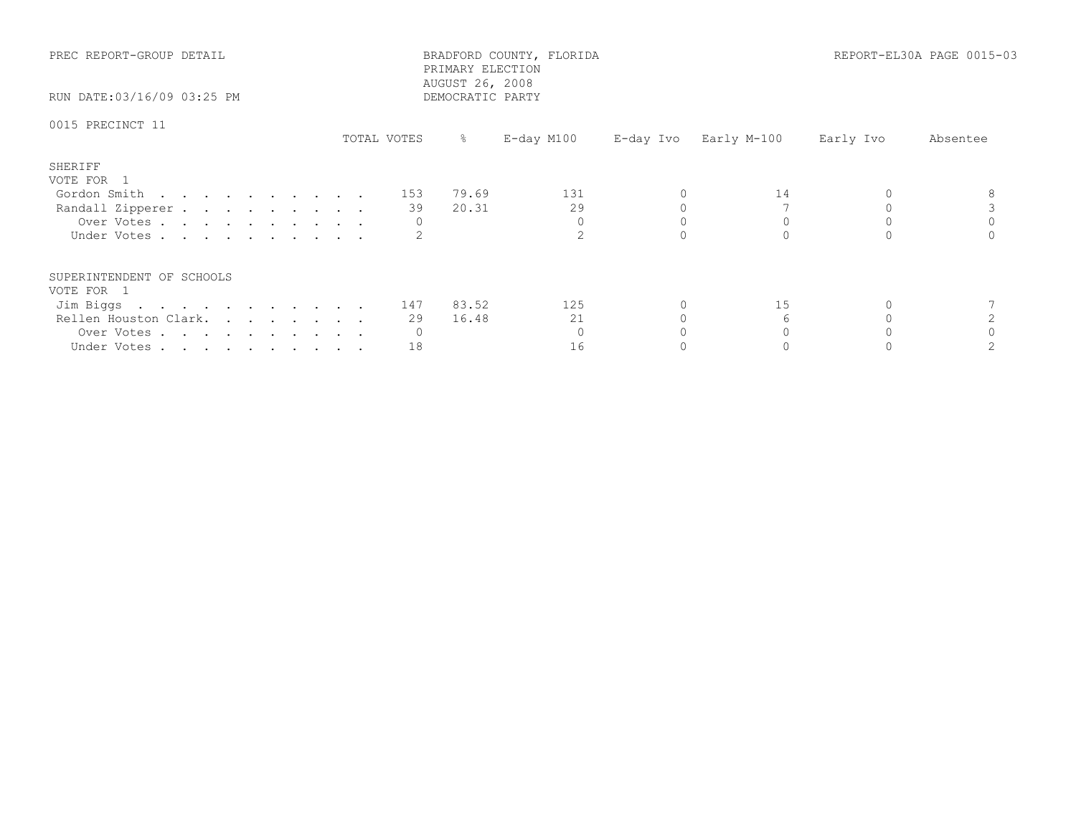| PREC REPORT-GROUP DETAIL<br>RUN DATE:03/16/09 03:25 PM        |             | PRIMARY ELECTION<br>AUGUST 26, 2008<br>DEMOCRATIC PARTY | BRADFORD COUNTY, FLORIDA |                       |           | REPORT-EL30A PAGE 0015-03 |
|---------------------------------------------------------------|-------------|---------------------------------------------------------|--------------------------|-----------------------|-----------|---------------------------|
| 0015 PRECINCT 11                                              | TOTAL VOTES | $\frac{1}{6}$                                           | E-day M100               | E-day Ivo Early M-100 | Early Ivo | Absentee                  |
| SHERIFF<br>VOTE FOR 1                                         |             |                                                         |                          |                       |           |                           |
| Gordon Smith $\ldots$ $\ldots$ $\ldots$ $\ldots$ $\ldots$ 153 |             | 79.69                                                   | 131                      | 14                    |           |                           |
| Randall Zipperer                                              | 39          | 20.31                                                   | 29                       |                       |           |                           |
| Over Votes                                                    |             |                                                         | $\Omega$                 |                       |           |                           |
| Under Votes                                                   |             |                                                         |                          |                       |           |                           |
| SUPERINTENDENT OF SCHOOLS                                     |             |                                                         |                          |                       |           |                           |
| VOTE FOR 1                                                    |             |                                                         |                          |                       |           |                           |
| Jim Biggs 147 83.52                                           |             |                                                         | 125                      | 15                    |           |                           |
| Rellen Houston Clark.                                         | 29          | 16.48                                                   | 21                       |                       |           |                           |
| Over Votes                                                    |             |                                                         |                          |                       |           |                           |
| Under Votes                                                   | 18          |                                                         | 16                       |                       |           |                           |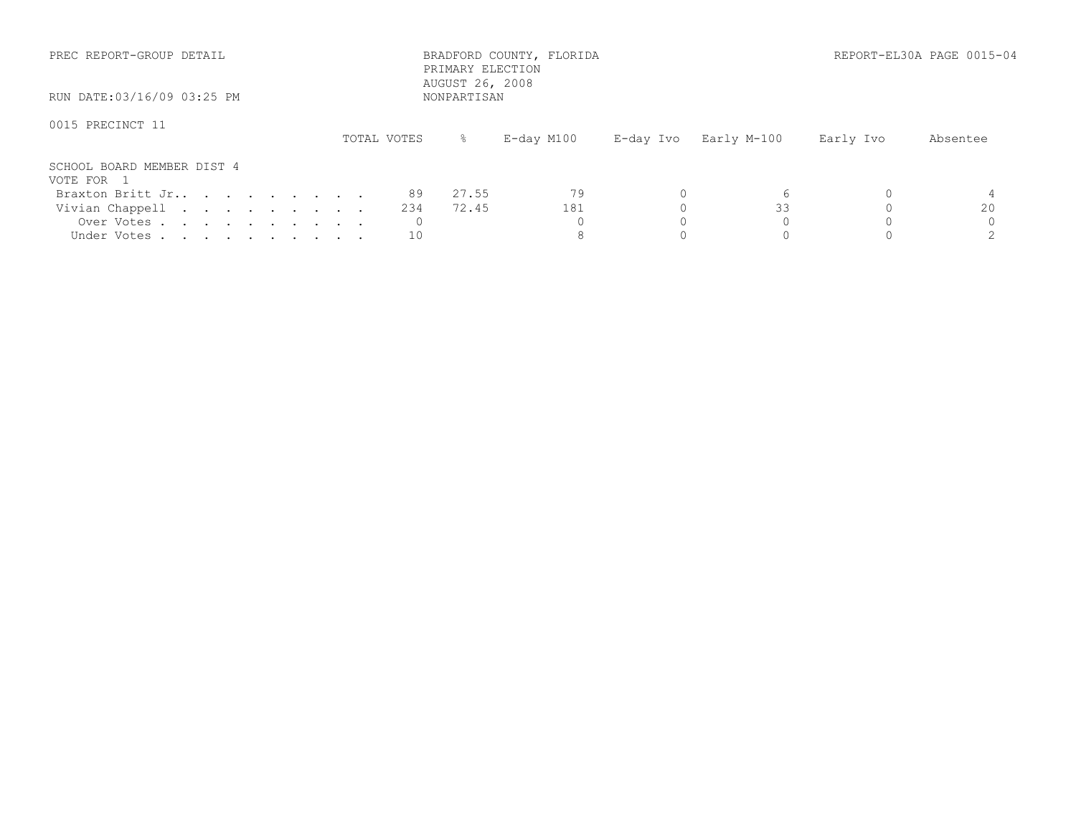| PREC REPORT-GROUP DETAIL                 |             | BRADFORD COUNTY, FLORIDA<br>PRIMARY ELECTION<br>AUGUST 26, 2008 |           | REPORT-EL30A PAGE 0015-04 |           |          |
|------------------------------------------|-------------|-----------------------------------------------------------------|-----------|---------------------------|-----------|----------|
| RUN DATE:03/16/09 03:25 PM               |             | NONPARTISAN                                                     |           |                           |           |          |
| 0015 PRECINCT 11                         | TOTAL VOTES | E-day M100<br>ိ ေ                                               | E-day Ivo | Early M-100               | Early Ivo | Absentee |
| SCHOOL BOARD MEMBER DIST 4<br>VOTE FOR 1 |             |                                                                 |           |                           |           |          |
| Braxton Britt Jr                         | 89          | 27.55                                                           |           |                           |           |          |
| Vivian Chappell                          | 234         | 72.45                                                           | 181       | 33                        |           | 20       |
| Over Votes                               |             |                                                                 |           |                           |           |          |
| Under Votes                              | 10          |                                                                 |           |                           |           |          |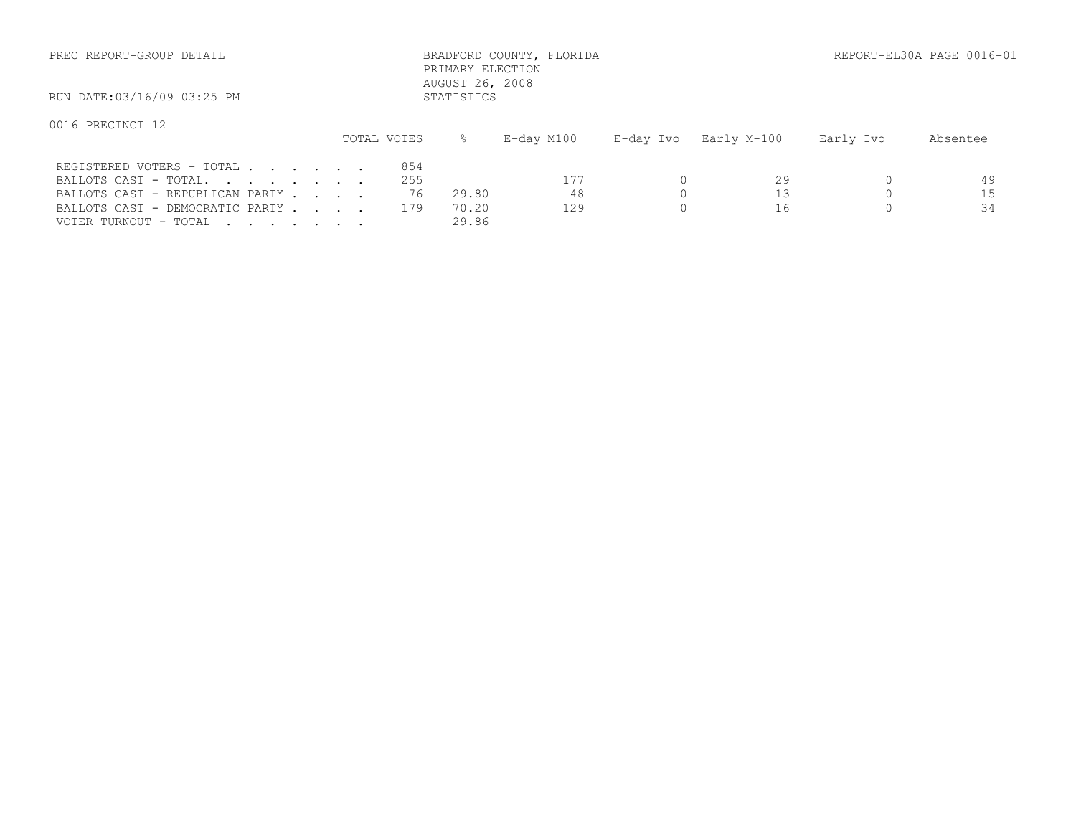| PREC REPORT-GROUP DETAIL                                                              |                  | PRIMARY ELECTION<br>AUGUST 26, 2008 | BRADFORD COUNTY, FLORIDA |           |             |           | REPORT-EL30A PAGE 0016-01 |
|---------------------------------------------------------------------------------------|------------------|-------------------------------------|--------------------------|-----------|-------------|-----------|---------------------------|
| RUN DATE:03/16/09 03:25 PM                                                            |                  | STATISTICS                          |                          |           |             |           |                           |
| 0016 PRECINCT 12                                                                      | TOTAL VOTES      | ⊱                                   | E-day M100               | E-day Ivo | Early M-100 | Early Ivo | Absentee                  |
| REGISTERED VOTERS - TOTAL<br>BALLOTS CAST - TOTAL.<br>BALLOTS CAST - REPUBLICAN PARTY | 854<br>255<br>76 | 29.80                               | 177<br>48                |           | 29          |           | 49<br>15                  |

VOTER TURNOUT - TOTAL . . . . . . . . 29.86

BALLOTS CAST - DEMOCRATIC PARTY . . . 179 70.20 129 0 16 0 34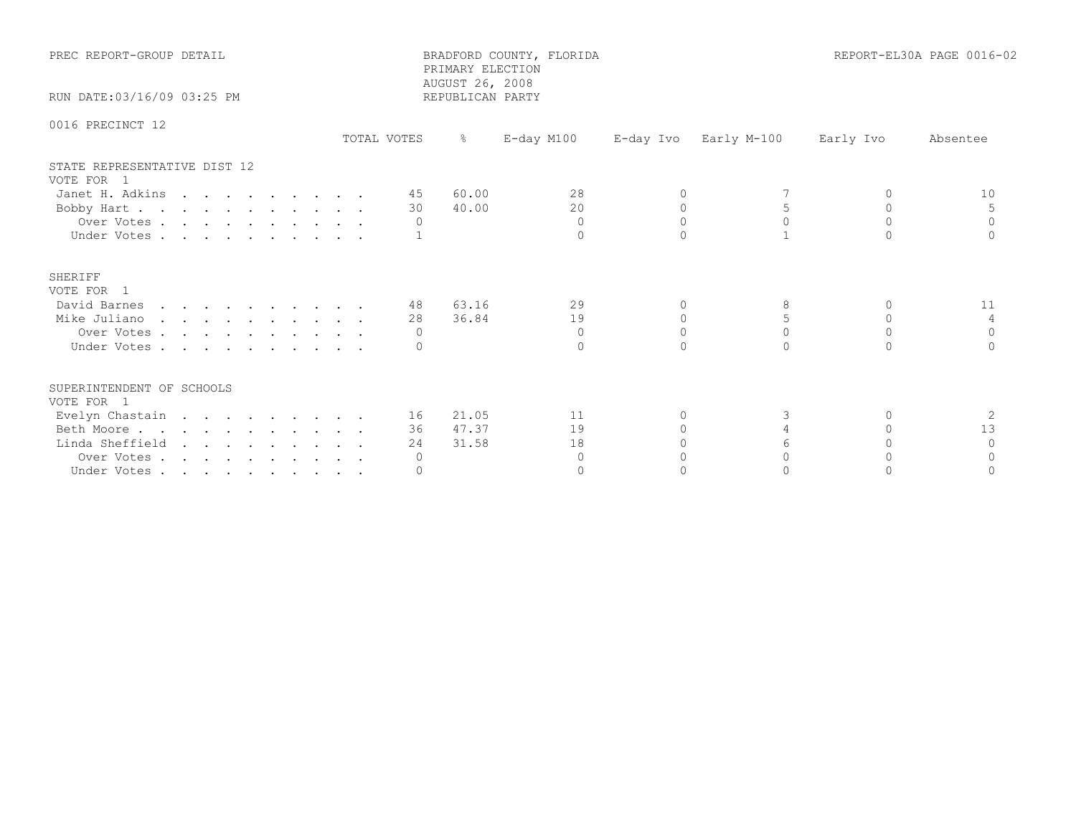| PREC REPORT-GROUP DETAIL                   |             | PRIMARY ELECTION<br>AUGUST 26, 2008 | BRADFORD COUNTY, FLORIDA |           |             |           | REPORT-EL30A PAGE 0016-02 |
|--------------------------------------------|-------------|-------------------------------------|--------------------------|-----------|-------------|-----------|---------------------------|
| RUN DATE: 03/16/09 03:25 PM                |             | REPUBLICAN PARTY                    |                          |           |             |           |                           |
| 0016 PRECINCT 12                           | TOTAL VOTES | $\frac{6}{6}$                       | E-day M100               | E-day Ivo | Early M-100 | Early Ivo | Absentee                  |
| STATE REPRESENTATIVE DIST 12<br>VOTE FOR 1 |             |                                     |                          |           |             |           |                           |
| Janet H. Adkins                            |             | 60.00<br>45                         | 28                       | $\Omega$  |             | $\Omega$  | 10                        |
| Bobby Hart                                 |             | 40.00<br>30                         | 20                       | $\Omega$  |             | $\Omega$  |                           |
| Over Votes                                 |             | $\Omega$                            | $\Omega$                 | $\Omega$  | $\Omega$    | $\Omega$  | $\Omega$                  |
| Under Votes                                |             |                                     | $\Omega$                 |           |             | $\cap$    |                           |
| SHERIFF<br>VOTE FOR 1                      |             |                                     |                          |           |             |           |                           |
| David Barnes                               |             | 63.16<br>48                         | 29                       | $\Omega$  | 8           | $\Omega$  | 11                        |
| Mike Juliano                               |             | 36.84<br>28                         | 19                       | $\Omega$  | 5           | $\Omega$  | 4                         |
| Over Votes                                 |             | $\Omega$                            | $\Omega$                 | $\Omega$  | $\Omega$    | $\Omega$  | $\Omega$                  |
| Under Votes                                |             |                                     | $\Omega$                 | $\cap$    | $\bigcap$   | $\cap$    |                           |
| SUPERINTENDENT OF SCHOOLS<br>VOTE FOR 1    |             |                                     |                          |           |             |           |                           |
| Evelyn Chastain                            |             | 21.05<br>16 —                       | 11                       | 0         | 3           | $\Omega$  | -2                        |
| Beth Moore                                 |             | 47.37<br>36                         | 19                       |           |             | $\cap$    | 13                        |
| Linda Sheffield                            |             | 31.58<br>24                         | 18                       |           | 6           |           | $\Omega$                  |
| Over Votes                                 |             | $\circ$                             | $\Omega$                 |           | $\cap$      |           | $\bigcap$                 |
| Under Votes                                |             | $\Omega$                            | $\Omega$                 |           |             |           |                           |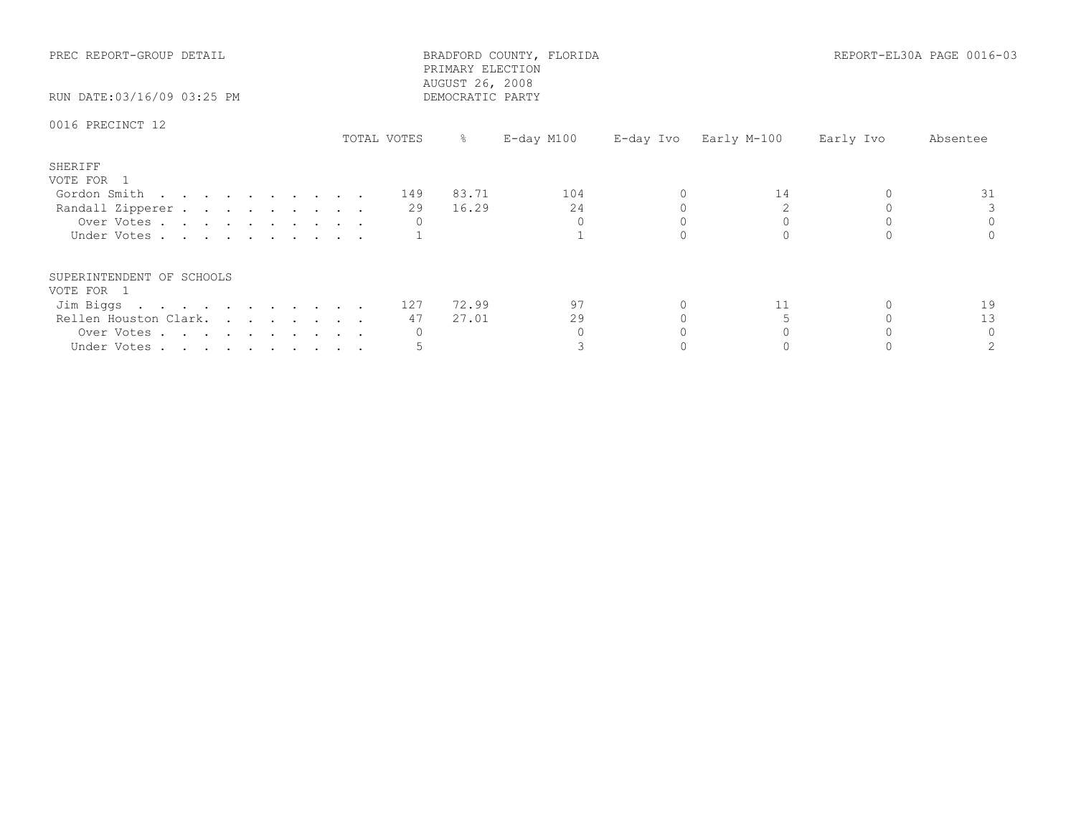| PREC REPORT-GROUP DETAIL<br>RUN DATE:03/16/09 03:25 PM                                                         |             | BRADFORD COUNTY, FLORIDA<br>PRIMARY ELECTION<br>AUGUST 26, 2008<br>DEMOCRATIC PARTY |                       |    | REPORT-EL30A PAGE 0016-03 |          |  |
|----------------------------------------------------------------------------------------------------------------|-------------|-------------------------------------------------------------------------------------|-----------------------|----|---------------------------|----------|--|
| 0016 PRECINCT 12                                                                                               | TOTAL VOTES | E-day M100<br>$\frac{8}{6}$                                                         | E-day Ivo Early M-100 |    | Early Ivo                 | Absentee |  |
| SHERIFF<br>VOTE FOR 1<br>Gordon Smith 149 83.71<br>Randall Zipperer<br>Over Votes<br>Under Votes               | 29          | 104<br>24<br>16.29<br>$\Omega$                                                      |                       | 14 |                           | 31       |  |
| SUPERINTENDENT OF SCHOOLS<br>VOTE FOR 1<br>Jim Biggs 127<br>Rellen Houston Clark.<br>Over Votes<br>Under Votes | 47          | 97<br>72.99<br>29<br>27.01                                                          |                       | 11 |                           | 19<br>13 |  |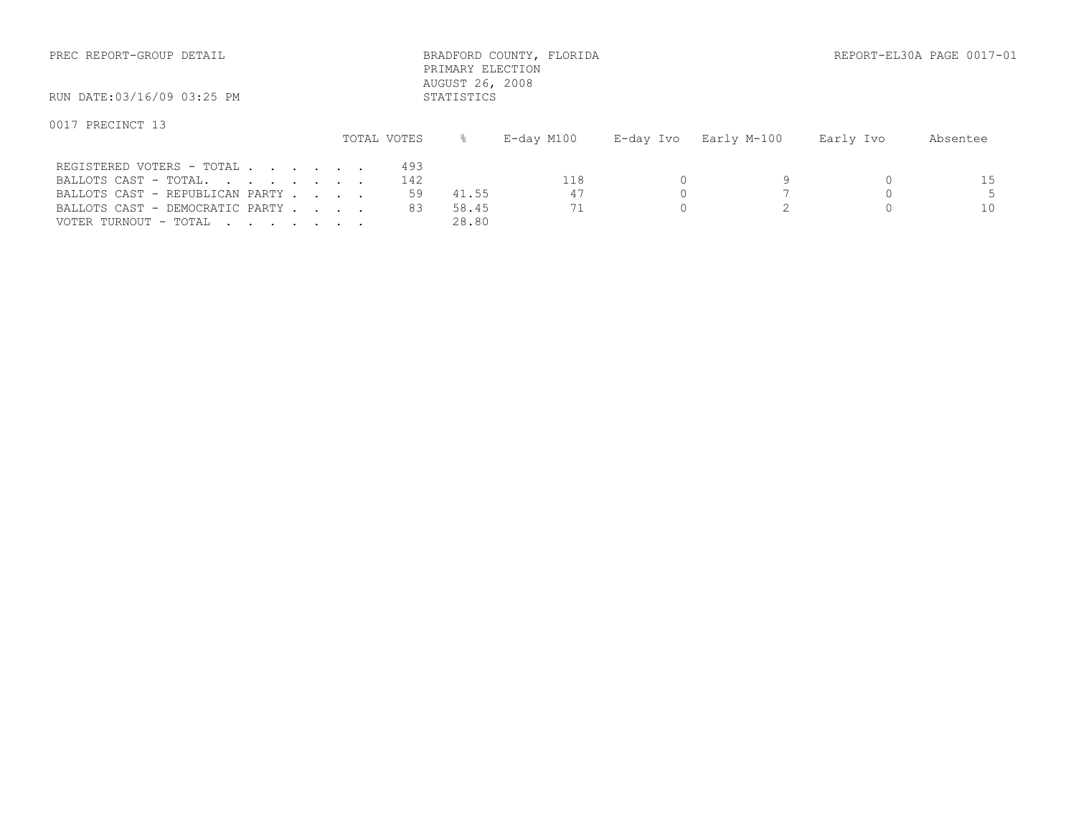| PREC REPORT-GROUP DETAIL                                                              |                  | PRIMARY ELECTION<br>AUGUST 26, 2008 | BRADFORD COUNTY, FLORIDA |           |             |           | REPORT-EL30A PAGE 0017-01 |
|---------------------------------------------------------------------------------------|------------------|-------------------------------------|--------------------------|-----------|-------------|-----------|---------------------------|
| RUN DATE:03/16/09 03:25 PM                                                            |                  | STATISTICS                          |                          |           |             |           |                           |
| 0017 PRECINCT 13                                                                      | TOTAL VOTES      | ⊱                                   | E-day M100               | E-day Ivo | Early M-100 | Early Ivo | Absentee                  |
| REGISTERED VOTERS - TOTAL<br>BALLOTS CAST - TOTAL.<br>BALLOTS CAST - REPUBLICAN PARTY | 493<br>142<br>59 | 41.55                               | 118<br>47                |           |             |           | 15                        |

VOTER TURNOUT - TOTAL . . . . . . . . 28.80

BALLOTS CAST - DEMOCRATIC PARTY . . . 83 58.45 71 0 2 0 10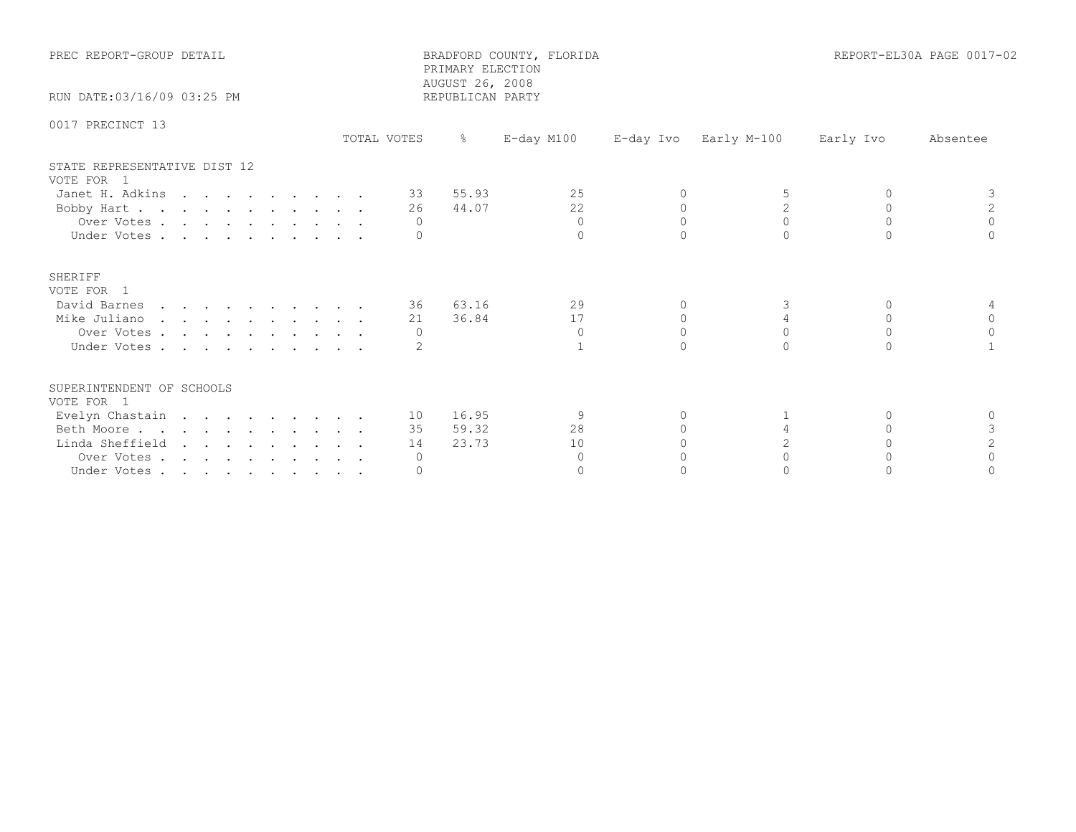| PREC REPORT-GROUP DETAIL                   | BRADFORD COUNTY, FLORIDA<br>PRIMARY ELECTION<br>AUGUST 26, 2008 |                  |               |          | REPORT-EL30A PAGE 0017-02 |           |           |  |
|--------------------------------------------|-----------------------------------------------------------------|------------------|---------------|----------|---------------------------|-----------|-----------|--|
| RUN DATE: 03/16/09 03:25 PM                |                                                                 | REPUBLICAN PARTY |               |          |                           |           |           |  |
| 0017 PRECINCT 13                           | TOTAL VOTES                                                     | $\frac{8}{6}$    | $E$ -day M100 |          | E-day Ivo Early M-100     | Early Ivo | Absentee  |  |
| STATE REPRESENTATIVE DIST 12<br>VOTE FOR 1 |                                                                 |                  |               |          |                           |           |           |  |
| Janet H. Adkins                            |                                                                 | 55.93<br>33      | 2.5           | $\Omega$ |                           | $\Omega$  |           |  |
| Bobby Hart                                 |                                                                 | 44.07<br>26      | 22            | $\Omega$ | $\overline{2}$            | $\Omega$  | 2         |  |
| Over Votes                                 |                                                                 | $\Omega$         | $\Omega$      | $\Omega$ | $\Omega$                  | $\Omega$  | $\Omega$  |  |
| Under Votes                                |                                                                 |                  | $\Omega$      |          | $\cap$                    |           |           |  |
| SHERIFF<br>VOTE FOR 1                      |                                                                 |                  |               |          |                           |           |           |  |
| David Barnes                               |                                                                 | 36 63.16         | 29            | $\Omega$ | 3                         | $\Omega$  |           |  |
| Mike Juliano                               |                                                                 | 36.84<br>21      | 17            | $\Omega$ | 4                         | $\Omega$  | $\Omega$  |  |
| Over Votes                                 |                                                                 | $\Omega$         | $\Omega$      | $\Omega$ | $\Omega$                  | $\Omega$  | $\Omega$  |  |
| Under Votes                                |                                                                 |                  |               | $\cap$   | $\cap$                    | $\cap$    |           |  |
| SUPERINTENDENT OF SCHOOLS<br>VOTE FOR 1    |                                                                 |                  |               |          |                           |           |           |  |
| Evelyn Chastain                            |                                                                 | 10 16.95         | 9             | 0        |                           | $\Omega$  | $\Omega$  |  |
| Beth Moore                                 |                                                                 | 59.32<br>35      | 28            |          | 4                         | $\cap$    | 3         |  |
| Linda Sheffield                            |                                                                 | 23.73<br>14      | 10            |          | 2                         |           |           |  |
| Over Votes                                 |                                                                 | $\circ$          | $\Omega$      |          |                           |           | $\bigcap$ |  |
| Under Votes                                |                                                                 |                  | $\Omega$      |          |                           |           |           |  |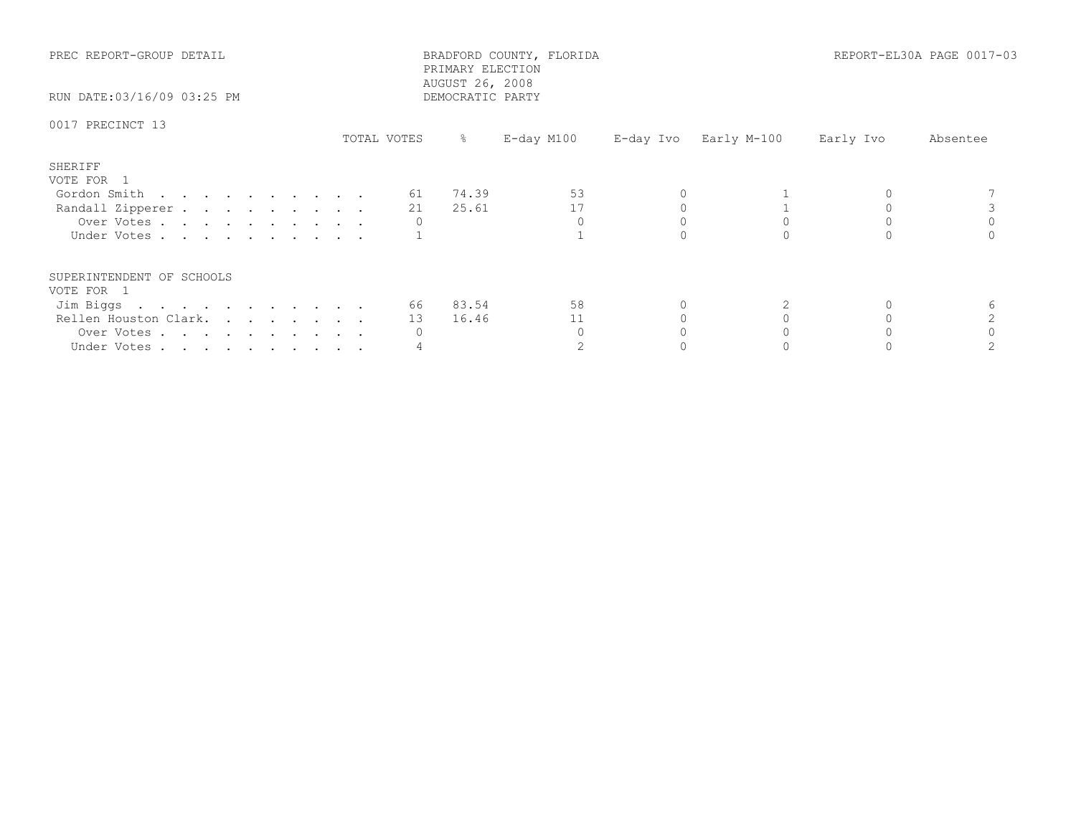| PREC REPORT-GROUP DETAIL<br>RUN DATE:03/16/09 03:25 PM    |             | PRIMARY ELECTION<br>AUGUST 26, 2008<br>DEMOCRATIC PARTY | BRADFORD COUNTY, FLORIDA |                       |           | REPORT-EL30A PAGE 0017-03 |
|-----------------------------------------------------------|-------------|---------------------------------------------------------|--------------------------|-----------------------|-----------|---------------------------|
| 0017 PRECINCT 13                                          | TOTAL VOTES | $\frac{8}{6}$                                           | E-day M100               | E-day Ivo Early M-100 | Early Ivo | Absentee                  |
| SHERIFF<br>VOTE FOR 1<br>Gordon Smith<br>Randall Zipperer |             | 61 74.39<br>25.61<br>21                                 | 53<br>17                 |                       |           |                           |
| Over Votes<br>Under Votes                                 |             |                                                         |                          |                       |           |                           |
| SUPERINTENDENT OF SCHOOLS<br>VOTE FOR 1                   |             |                                                         |                          |                       |           |                           |
| Jim Biggs                                                 |             | 66 83.54                                                | 58                       |                       |           |                           |
| Rellen Houston Clark.                                     |             | 13 16.46                                                | 11                       |                       |           |                           |
| Over Votes                                                |             |                                                         |                          |                       |           |                           |
| Under Votes                                               |             |                                                         |                          |                       |           |                           |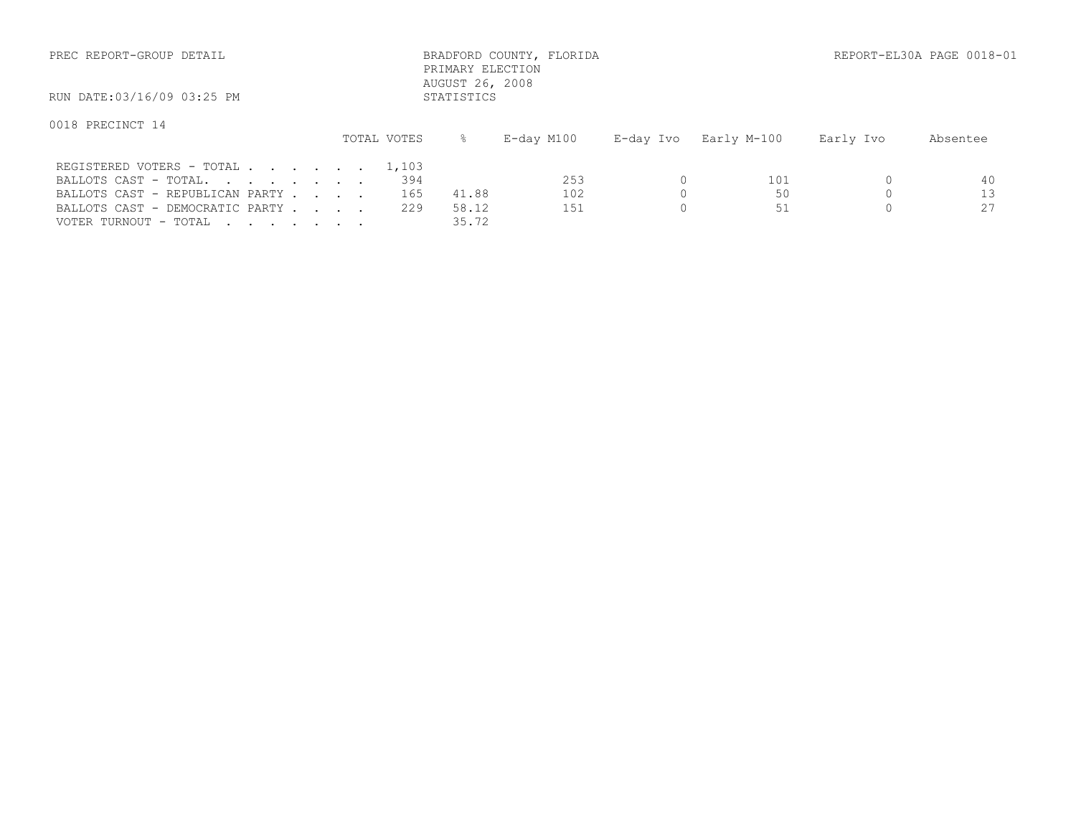| PREC REPORT-GROUP DETAIL                                                                                                       |  |                   | PRIMARY ELECTION<br>AUGUST 26, 2008 | BRADFORD COUNTY, FLORIDA |           |                 |           | REPORT-EL30A PAGE 0018-01 |
|--------------------------------------------------------------------------------------------------------------------------------|--|-------------------|-------------------------------------|--------------------------|-----------|-----------------|-----------|---------------------------|
| RUN DATE:03/16/09 03:25 PM                                                                                                     |  |                   | STATISTICS                          |                          |           |                 |           |                           |
| 0018 PRECINCT 14                                                                                                               |  | TOTAL VOTES       | $\approx$                           | E-day M100               | E-day Ivo | Early M-100     | Early Ivo | Absentee                  |
| REGISTERED VOTERS - TOTAL 1,103<br>BALLOTS CAST - TOTAL.<br>BALLOTS CAST - REPUBLICAN PARTY<br>BALLOTS CAST - DEMOCRATIC PARTY |  | 394<br>165<br>229 | 41.88<br>58.12                      | 253<br>102<br>151        |           | 101<br>50<br>51 |           | 40<br>13<br>27            |

VOTER TURNOUT - TOTAL . . . . . . . . 35.72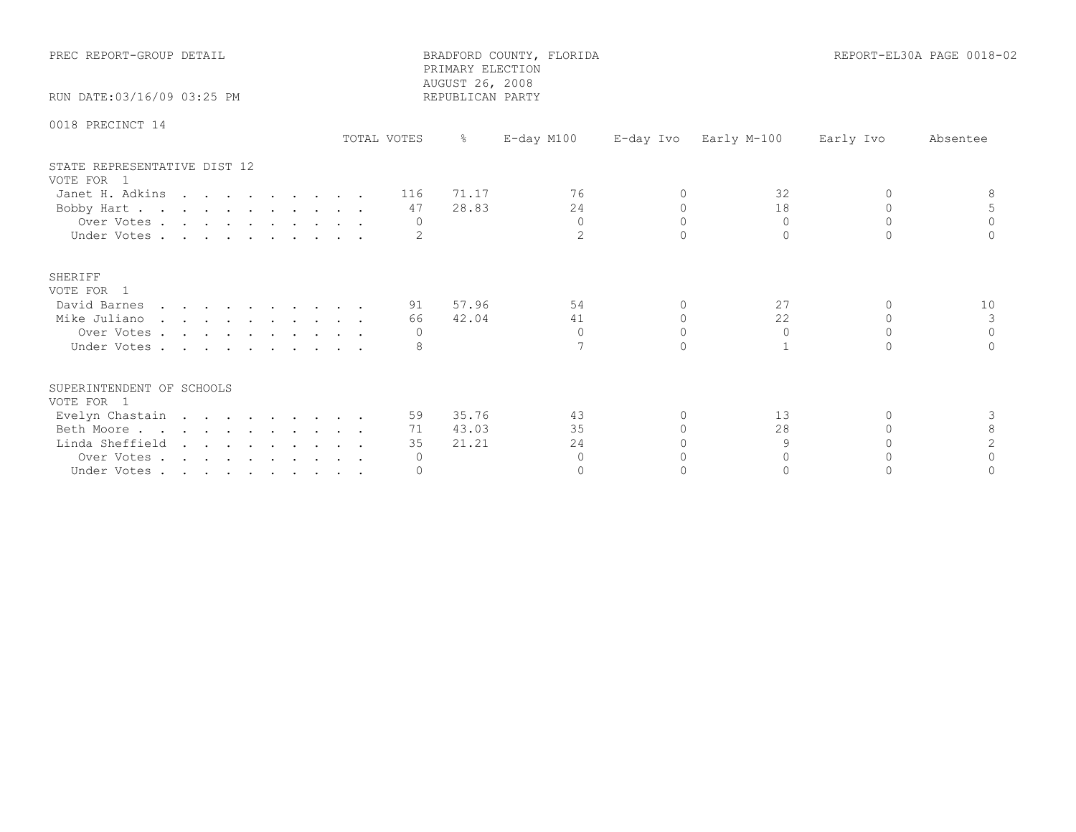| PREC REPORT-GROUP DETAIL<br>RUN DATE: 03/16/09 03:25 PM |             | PRIMARY ELECTION<br>AUGUST 26, 2008<br>REPUBLICAN PARTY | BRADFORD COUNTY, FLORIDA |           | REPORT-EL30A PAGE 0018-02 |           |          |
|---------------------------------------------------------|-------------|---------------------------------------------------------|--------------------------|-----------|---------------------------|-----------|----------|
|                                                         |             |                                                         |                          |           |                           |           |          |
| 0018 PRECINCT 14                                        | TOTAL VOTES | $\frac{6}{6}$                                           | $E$ -day M100            |           | E-day Ivo Early M-100     | Early Ivo | Absentee |
| STATE REPRESENTATIVE DIST 12<br>VOTE FOR 1              |             |                                                         |                          |           |                           |           |          |
| Janet H. Adkins                                         |             | 71.17<br>116                                            | 76                       | $\Omega$  | 32                        | $\cap$    |          |
| Bobby Hart                                              |             | 28.83<br>47                                             | 24                       | $\Omega$  | 18                        | $\cap$    |          |
| Over Votes                                              |             | 0                                                       | $\Omega$                 | $\Omega$  | $\Omega$                  | $\Omega$  | $\Omega$ |
| Under Votes                                             |             |                                                         | $\overline{2}$           | $\cap$    | $\cap$                    | $\cap$    |          |
| SHERIFF<br>VOTE FOR 1                                   |             |                                                         |                          |           |                           |           |          |
| David Barnes                                            |             | 57.96<br>91                                             | 54                       | $\Omega$  | 27                        | $\Omega$  | 10       |
| Mike Juliano                                            |             | 42.04<br>66                                             | 41                       | $\Omega$  | 22                        | $\Omega$  | 3        |
| Over Votes                                              |             | $\Omega$                                                | $\Omega$                 | $\Omega$  | $\Omega$                  | $\Omega$  | $\Omega$ |
| Under Votes                                             |             |                                                         |                          | $\cap$    |                           | $\cap$    |          |
| SUPERINTENDENT OF SCHOOLS<br>VOTE FOR 1                 |             |                                                         |                          |           |                           |           |          |
| Evelyn Chastain                                         |             | 35.76<br>59                                             | 43                       | 0         | 13                        | $\Omega$  | 3        |
| Beth Moore                                              |             | 43.03<br>71                                             | 35                       | $\bigcap$ | 28                        | $\Omega$  | 8        |
| Linda Sheffield                                         |             | 21.21<br>35                                             | 24                       |           | 9                         | $\Omega$  | 2        |
| Over Votes                                              |             | $\circ$                                                 | $\Omega$                 | ∩         | $\cap$                    | $\cap$    | $\cap$   |
| Under Votes                                             |             | $\Omega$                                                | $\Omega$                 |           | $\Omega$                  |           |          |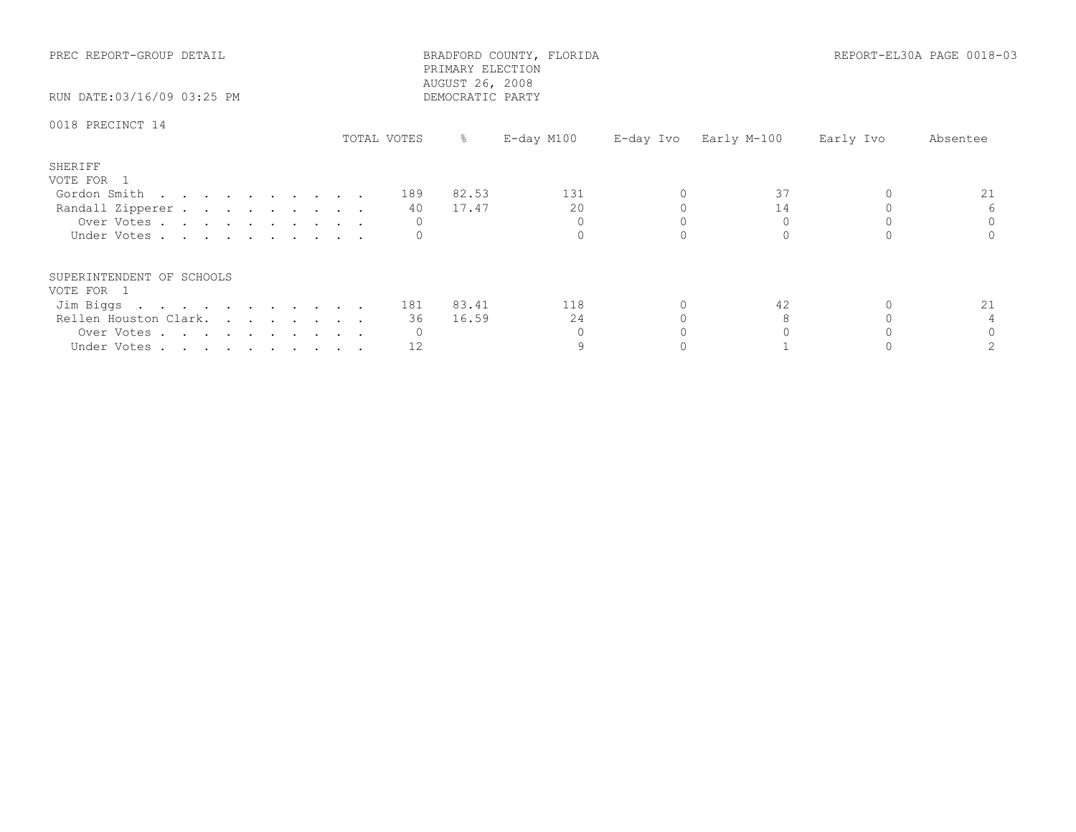| PREC REPORT-GROUP DETAIL<br>RUN DATE:03/16/09 03:25 PM |             |           | PRIMARY ELECTION<br>AUGUST 26, 2008<br>DEMOCRATIC PARTY | BRADFORD COUNTY, FLORIDA |                       |           | REPORT-EL30A PAGE 0018-03 |
|--------------------------------------------------------|-------------|-----------|---------------------------------------------------------|--------------------------|-----------------------|-----------|---------------------------|
| 0018 PRECINCT 14                                       | TOTAL VOTES |           | $\frac{5}{6}$                                           | E-day M100               | E-day Ivo Early M-100 | Early Ivo | Absentee                  |
| SHERIFF<br>VOTE FOR 1                                  |             |           |                                                         |                          |                       |           |                           |
| Gordon Smith                                           |             | 189       | 82.53                                                   | 131                      | 37                    |           | 21                        |
| Randall Zipperer                                       |             | 40        | 17.47                                                   | 20                       | 14                    |           |                           |
| Over Votes                                             |             |           |                                                         |                          |                       |           |                           |
| Under Votes                                            |             |           |                                                         |                          |                       |           |                           |
| SUPERINTENDENT OF SCHOOLS<br>VOTE FOR 1                |             |           |                                                         |                          |                       |           |                           |
| Jim Biggs                                              |             | 181 83.41 |                                                         | 118                      | 42                    |           | 21                        |
| Rellen Houston Clark.                                  |             | 36        | 16.59                                                   | 24                       |                       |           |                           |
| Over Votes                                             |             |           |                                                         |                          |                       |           |                           |
| Under Votes                                            |             | 12        |                                                         |                          |                       |           |                           |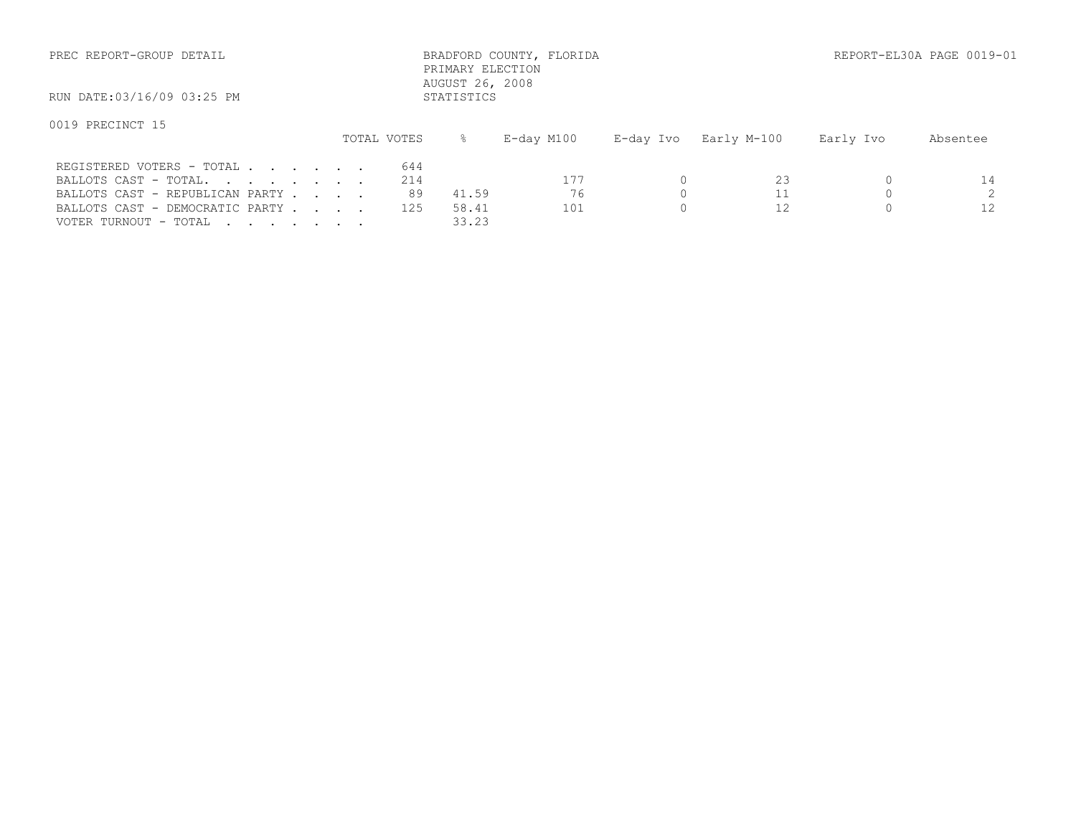| PREC REPORT-GROUP DETAIL                                                              |                  | PRIMARY ELECTION<br>AUGUST 26, 2008 | BRADFORD COUNTY, FLORIDA |           |             |           | REPORT-EL30A PAGE 0019-01 |
|---------------------------------------------------------------------------------------|------------------|-------------------------------------|--------------------------|-----------|-------------|-----------|---------------------------|
| RUN DATE:03/16/09 03:25 PM                                                            |                  | STATISTICS                          |                          |           |             |           |                           |
| 0019 PRECINCT 15                                                                      | TOTAL VOTES      | ⊱                                   | E-day M100               | E-day Ivo | Early M-100 | Early Ivo | Absentee                  |
| REGISTERED VOTERS - TOTAL<br>BALLOTS CAST - TOTAL.<br>BALLOTS CAST - REPUBLICAN PARTY | 644<br>214<br>89 | 41.59                               | 177<br>76                |           | 23          |           | 14                        |

VOTER TURNOUT - TOTAL . . . . . . . . 33.23

BALLOTS CAST - DEMOCRATIC PARTY . . . 125 58.41 101 0 12 0 12 0 12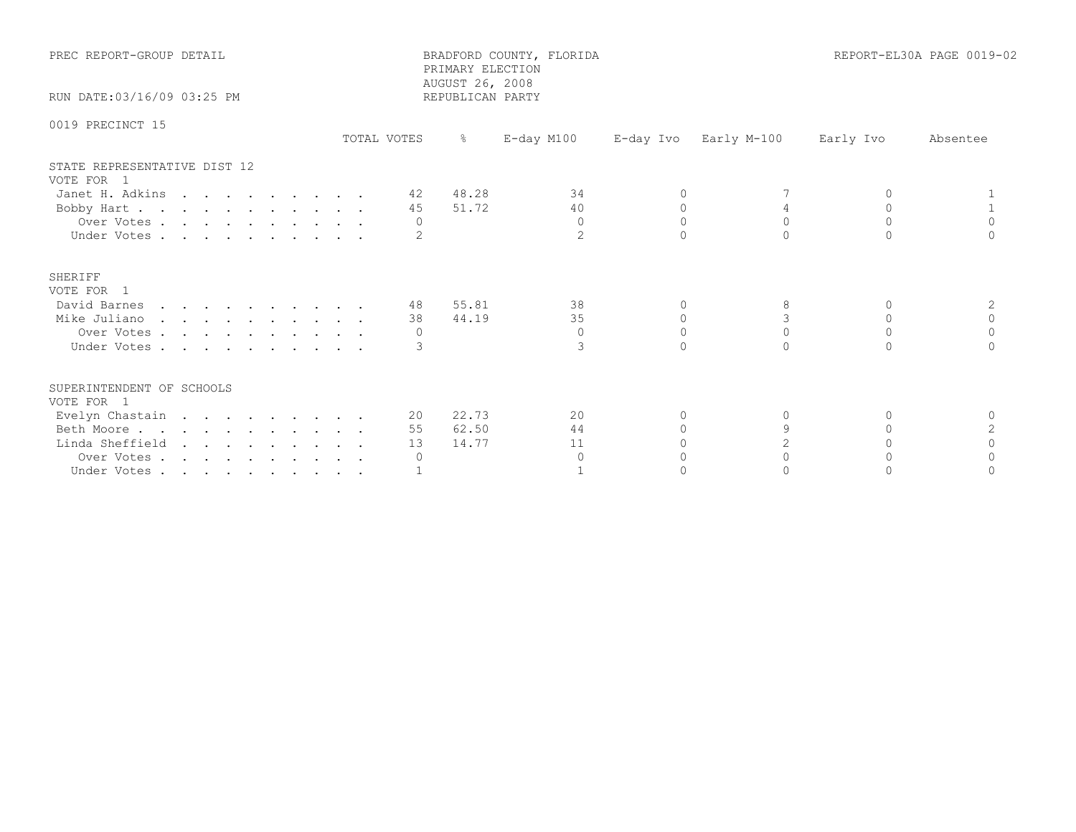| PREC REPORT-GROUP DETAIL<br>RUN DATE: 03/16/09 03:25 PM |             | PRIMARY ELECTION<br>AUGUST 26, 2008 | BRADFORD COUNTY, FLORIDA |          | REPORT-EL30A PAGE 0019-02 |           |          |
|---------------------------------------------------------|-------------|-------------------------------------|--------------------------|----------|---------------------------|-----------|----------|
|                                                         |             | REPUBLICAN PARTY                    |                          |          |                           |           |          |
| 0019 PRECINCT 15                                        | TOTAL VOTES | $\frac{6}{6}$                       | $E$ -day M100            |          | E-day Ivo Early M-100     | Early Ivo | Absentee |
| STATE REPRESENTATIVE DIST 12<br>VOTE FOR 1              |             |                                     |                          |          |                           |           |          |
| Janet H. Adkins                                         |             | 48.28<br>42                         | 34                       | $\Omega$ |                           |           |          |
| Bobby Hart                                              |             | 51.72<br>45                         | 40                       | $\Omega$ |                           | $\Omega$  |          |
| Over Votes                                              |             | $\Omega$                            | $\Omega$                 | $\Omega$ | $\Omega$                  | $\Omega$  | $\Omega$ |
| Under Votes                                             |             |                                     | $\overline{2}$           |          |                           |           |          |
| SHERIFF<br>VOTE FOR 1                                   |             |                                     |                          |          |                           |           |          |
| David Barnes                                            |             | 55.81<br>48                         | 38                       | $\Omega$ | 8                         | $\Omega$  | 2        |
| Mike Juliano                                            |             | 44.19<br>38                         | 35                       | $\Omega$ | 3                         | $\Omega$  | $\Omega$ |
| Over Votes                                              |             | $\Omega$                            | $\Omega$                 | $\Omega$ | $\Omega$                  | $\Omega$  | $\Omega$ |
| Under Votes                                             |             |                                     | 3                        | $\cap$   | $\cap$                    | $\cap$    |          |
| SUPERINTENDENT OF SCHOOLS<br>VOTE FOR 1                 |             |                                     |                          |          |                           |           |          |
| Evelyn Chastain                                         |             | 22.73<br>20                         | 20                       | 0        | 0                         | $\Omega$  | $\Omega$ |
| Beth Moore                                              |             | 62.50<br>55                         | 44                       |          | $\mathsf{Q}$              | $\cap$    |          |
| Linda Sheffield                                         |             | 14.77<br>13                         | 11                       |          | $\overline{c}$            |           |          |
| Over Votes                                              |             | $\circ$                             | $\Omega$                 |          |                           | $\cap$    |          |
| Under Votes                                             |             |                                     |                          |          |                           |           |          |